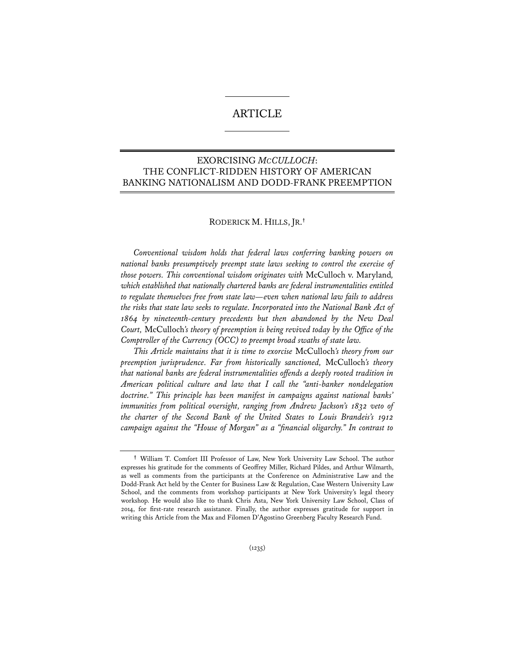# **ARTICLE**

## EXORCISING *MCCULLOCH*: THE CONFLICT-RIDDEN HISTORY OF AMERICAN BANKING NATIONALISM AND DODD-FRANK PREEMPTION

## RODERICK M. HILLS, JR. **†**

*Conventional wisdom holds that federal laws conferring banking powers on national banks presumptively preempt state laws seeking to control the exercise of those powers. This conventional wisdom originates with* McCulloch v. Maryland*, which established that nationally chartered banks are federal instrumentalities entitled to regulate themselves free from state law—even when national law fails to address the risks that state law seeks to regulate. Incorporated into the National Bank Act of 1864 by nineteenth-century precedents but then abandoned by the New Deal Court,* McCulloch*'s theory of preemption is being revived today by the Office of the Comptroller of the Currency (OCC) to preempt broad swaths of state law.* 

*This Article maintains that it is time to exorcise* McCulloch*'s theory from our preemption jurisprudence. Far from historically sanctioned,* McCulloch*'s theory that national banks are federal instrumentalities offends a deeply rooted tradition in American political culture and law that I call the "anti-banker nondelegation doctrine." This principle has been manifest in campaigns against national banks' immunities from political oversight, ranging from Andrew Jackson's 1832 veto of the charter of the Second Bank of the United States to Louis Brandeis's 1912 campaign against the "House of Morgan" as a "financial oligarchy." In contrast to* 

**<sup>†</sup>** William T. Comfort III Professor of Law, New York University Law School. The author expresses his gratitude for the comments of Geoffrey Miller, Richard Pildes, and Arthur Wilmarth, as well as comments from the participants at the Conference on Administrative Law and the Dodd-Frank Act held by the Center for Business Law & Regulation, Case Western University Law School, and the comments from workshop participants at New York University's legal theory workshop. He would also like to thank Chris Asta, New York University Law School, Class of 2014, for first-rate research assistance. Finally, the author expresses gratitude for support in writing this Article from the Max and Filomen D'Agostino Greenberg Faculty Research Fund.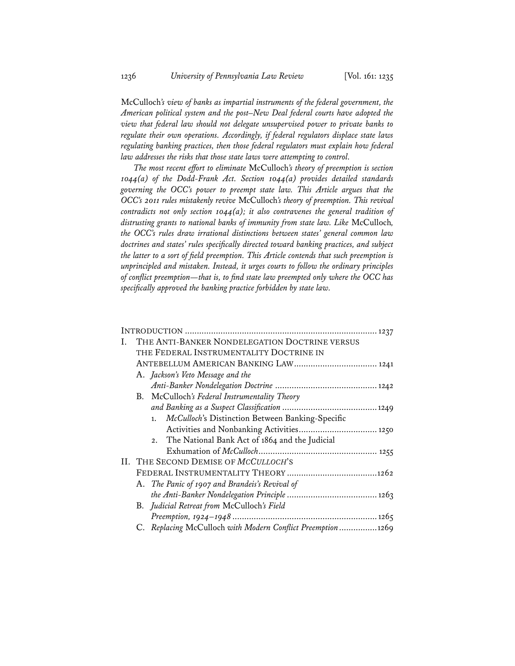McCulloch*'s view of banks as impartial instruments of the federal government, the American political system and the post–New Deal federal courts have adopted the view that federal law should not delegate unsupervised power to private banks to regulate their own operations. Accordingly, if federal regulators displace state laws regulating banking practices, then those federal regulators must explain how federal law addresses the risks that those state laws were attempting to control.* 

*The most recent effort to eliminate* McCulloch*'s theory of preemption is section 1044(a) of the Dodd-Frank Act. Section 1044(a) provides detailed standards governing the OCC's power to preempt state law. This Article argues that the OCC's 2011 rules mistakenly revive* McCulloch*'s theory of preemption. This revival contradicts not only section 1044(a); it also contravenes the general tradition of distrusting grants to national banks of immunity from state law. Like* McCulloch*, the OCC's rules draw irrational distinctions between states' general common law doctrines and states' rules specifically directed toward banking practices, and subject the latter to a sort of field preemption. This Article contends that such preemption is unprincipled and mistaken. Instead, it urges courts to follow the ordinary principles of conflict preemption—that is, to find state law preempted only where the OCC has specifically approved the banking practice forbidden by state law.* 

|  | THE ANTI-BANKER NONDELEGATION DOCTRINE VERSUS                |  |
|--|--------------------------------------------------------------|--|
|  | THE FEDERAL INSTRUMENTALITY DOCTRINE IN                      |  |
|  |                                                              |  |
|  | A. Jackson's Veto Message and the                            |  |
|  |                                                              |  |
|  | B. McCulloch's Federal Instrumentality Theory                |  |
|  |                                                              |  |
|  | McCulloch's Distinction Between Banking-Specific<br>1.       |  |
|  | Activities and Nonbanking Activities 1250                    |  |
|  | 2. The National Bank Act of 1864 and the Judicial            |  |
|  |                                                              |  |
|  | II. THE SECOND DEMISE OF MCCULLOCH'S                         |  |
|  |                                                              |  |
|  | A. The Panic of 1907 and Brandeis's Revival of               |  |
|  |                                                              |  |
|  | B. Judicial Retreat from McCulloch's Field                   |  |
|  |                                                              |  |
|  | C. Replacing McCulloch with Modern Conflict Preemption  1269 |  |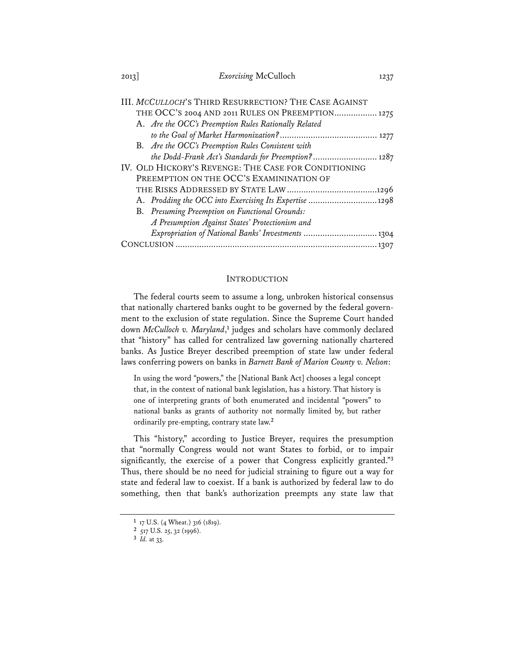| III. MCCULLOCH'S THIRD RESURRECTION? THE CASE AGAINST  |  |  |
|--------------------------------------------------------|--|--|
| THE OCC'S 2004 AND 2011 RULES ON PREEMPTION 1275       |  |  |
| A. Are the OCC's Preemption Rules Rationally Related   |  |  |
|                                                        |  |  |
| B. Are the OCC's Preemption Rules Consistent with      |  |  |
| the Dodd-Frank Act's Standards for Preemption? 1287    |  |  |
| IV. OLD HICKORY'S REVENGE: THE CASE FOR CONDITIONING   |  |  |
| PREEMPTION ON THE OCC'S EXAMININATION OF               |  |  |
|                                                        |  |  |
| A. Prodding the OCC into Exercising Its Expertise 1298 |  |  |
| B. Presuming Preemption on Functional Grounds:         |  |  |
| A Presumption Against States' Protectionism and        |  |  |
| Expropriation of National Banks' Investments  1304     |  |  |
|                                                        |  |  |

#### INTRODUCTION

The federal courts seem to assume a long, unbroken historical consensus that nationally chartered banks ought to be governed by the federal government to the exclusion of state regulation. Since the Supreme Court handed down *McCulloch v. Maryland*,<sup>1</sup> judges and scholars have commonly declared that "history" has called for centralized law governing nationally chartered banks. As Justice Breyer described preemption of state law under federal laws conferring powers on banks in *Barnett Bank of Marion County v. Nelson*:

In using the word "powers," the [National Bank Act] chooses a legal concept that, in the context of national bank legislation, has a history. That history is one of interpreting grants of both enumerated and incidental "powers" to national banks as grants of authority not normally limited by, but rather ordinarily pre-empting, contrary state law.**<sup>2</sup>**

This "history," according to Justice Breyer, requires the presumption that "normally Congress would not want States to forbid, or to impair significantly, the exercise of a power that Congress explicitly granted."**<sup>3</sup>** Thus, there should be no need for judicial straining to figure out a way for state and federal law to coexist. If a bank is authorized by federal law to do something, then that bank's authorization preempts any state law that

**<sup>1</sup>** 17 U.S. (4 Wheat.) 316 (1819).

**<sup>2</sup>** 517 U.S. 25, 32 (1996).

**<sup>3</sup>** *Id.* at 33.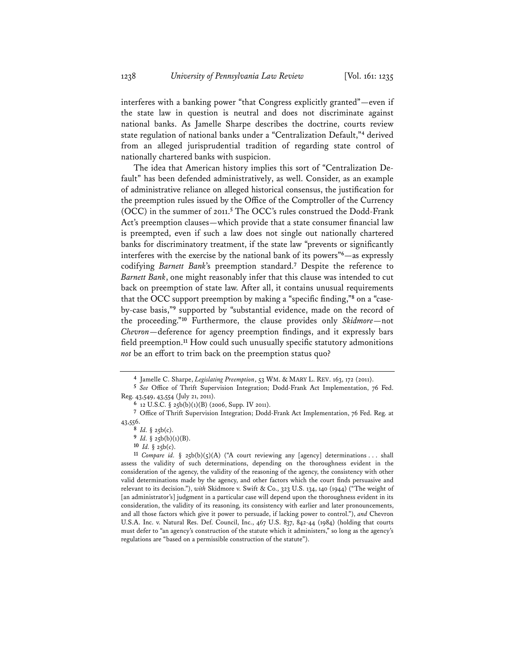interferes with a banking power "that Congress explicitly granted"—even if the state law in question is neutral and does not discriminate against national banks. As Jamelle Sharpe describes the doctrine, courts review state regulation of national banks under a "Centralization Default,"**<sup>4</sup>** derived from an alleged jurisprudential tradition of regarding state control of nationally chartered banks with suspicion.

The idea that American history implies this sort of "Centralization Default" has been defended administratively, as well. Consider, as an example of administrative reliance on alleged historical consensus, the justification for the preemption rules issued by the Office of the Comptroller of the Currency (OCC) in the summer of 2011.<sup>5</sup> The OCC's rules construed the Dodd-Frank Act's preemption clauses—which provide that a state consumer financial law is preempted, even if such a law does not single out nationally chartered banks for discriminatory treatment, if the state law "prevents or significantly interferes with the exercise by the national bank of its powers"**<sup>6</sup>**—as expressly codifying *Barnett Bank*'s preemption standard.**<sup>7</sup>** Despite the reference to *Barnett Bank*, one might reasonably infer that this clause was intended to cut back on preemption of state law. After all, it contains unusual requirements that the OCC support preemption by making a "specific finding,"**8** on a "caseby-case basis,"**<sup>9</sup>** supported by "substantial evidence, made on the record of the proceeding."**<sup>10</sup>** Furthermore, the clause provides only *Skidmore*—not *Chevron*—deference for agency preemption findings, and it expressly bars field preemption.**<sup>11</sup>** How could such unusually specific statutory admonitions *not* be an effort to trim back on the preemption status quo?

**9** *Id.* § 25b(b)(1)(B).

**10** *Id.* § 25b(c).

**11** *Compare id.* § 25b(b)(5)(A) ("A court reviewing any [agency] determinations . . . shall assess the validity of such determinations, depending on the thoroughness evident in the consideration of the agency, the validity of the reasoning of the agency, the consistency with other valid determinations made by the agency, and other factors which the court finds persuasive and relevant to its decision."), *with* Skidmore v. Swift & Co., 323 U.S. 134, 140 (1944) ("The weight of [an administrator's] judgment in a particular case will depend upon the thoroughness evident in its consideration, the validity of its reasoning, its consistency with earlier and later pronouncements, and all those factors which give it power to persuade, if lacking power to control."), *and* Chevron U.S.A. Inc. v. Natural Res. Def. Council, Inc., 467 U.S. 837, 842-44 (1984) (holding that courts must defer to "an agency's construction of the statute which it administers," so long as the agency's regulations are "based on a permissible construction of the statute").

**<sup>4</sup>** Jamelle C. Sharpe, *Legislating Preemption*, 53 WM. & MARY L. REV. 163, 172 (2011).

**<sup>5</sup>** *See* Office of Thrift Supervision Integration; Dodd-Frank Act Implementation, 76 Fed. Reg. 43,549, 43,554 (July 21, 2011).

**<sup>6</sup>** 12 U.S.C. § 25b(b)(1)(B) (2006, Supp. IV 2011).

**<sup>7</sup>** Office of Thrift Supervision Integration; Dodd-Frank Act Implementation, 76 Fed. Reg. at 43,556.

**<sup>8</sup>** *Id.* § 25b(c).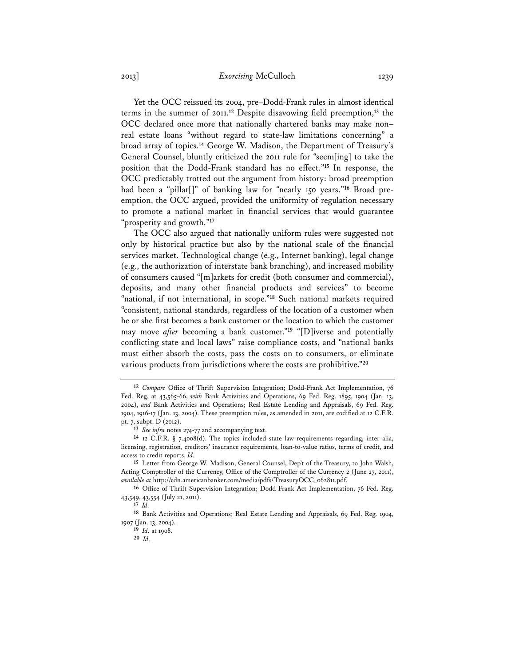2013] *Exorcising* McCulloch 1239

Yet the OCC reissued its 2004, pre–Dodd-Frank rules in almost identical terms in the summer of 2011.**<sup>12</sup>** Despite disavowing field preemption,**<sup>13</sup>** the OCC declared once more that nationally chartered banks may make non– real estate loans "without regard to state-law limitations concerning" a broad array of topics.**<sup>14</sup>** George W. Madison, the Department of Treasury's General Counsel, bluntly criticized the 2011 rule for "seem[ing] to take the position that the Dodd-Frank standard has no effect."**<sup>15</sup>** In response, the OCC predictably trotted out the argument from history: broad preemption had been a "pillar[]" of banking law for "nearly 150 years."**16** Broad preemption, the OCC argued, provided the uniformity of regulation necessary to promote a national market in financial services that would guarantee "prosperity and growth."**<sup>17</sup>**

The OCC also argued that nationally uniform rules were suggested not only by historical practice but also by the national scale of the financial services market. Technological change (e.g., Internet banking), legal change (e.g., the authorization of interstate bank branching), and increased mobility of consumers caused "[m]arkets for credit (both consumer and commercial), deposits, and many other financial products and services" to become "national, if not international, in scope."**<sup>18</sup>** Such national markets required "consistent, national standards, regardless of the location of a customer when he or she first becomes a bank customer or the location to which the customer may move *after* becoming a bank customer."**<sup>19</sup>** "[D]iverse and potentially conflicting state and local laws" raise compliance costs, and "national banks must either absorb the costs, pass the costs on to consumers, or eliminate various products from jurisdictions where the costs are prohibitive."**<sup>20</sup>**

**19** *Id.* at 1908.

**20** *Id.*

**<sup>12</sup>** *Compare* Office of Thrift Supervision Integration; Dodd-Frank Act Implementation, 76 Fed. Reg. at 43,565-66, *with* Bank Activities and Operations, 69 Fed. Reg. 1895, 1904 (Jan. 13, 2004), *and* Bank Activities and Operations; Real Estate Lending and Appraisals, 69 Fed. Reg. 1904, 1916-17 (Jan. 13, 2004). These preemption rules, as amended in 2011, are codified at 12 C.F.R. pt. 7, subpt. D (2012).

**<sup>13</sup>** *See infra* notes 274-77 and accompanying text.

**<sup>14</sup>** 12 C.F.R. § 7.4008(d). The topics included state law requirements regarding, inter alia, licensing, registration, creditors' insurance requirements, loan-to-value ratios, terms of credit, and access to credit reports. *Id.*

**<sup>15</sup>** Letter from George W. Madison, General Counsel, Dep't of the Treasury, to John Walsh, Acting Comptroller of the Currency, Office of the Comptroller of the Currency 2 (June 27, 2011), *available at* http://cdn.americanbanker.com/media/pdfs/TreasuryOCC\_062811.pdf.

**<sup>16</sup>** Office of Thrift Supervision Integration; Dodd-Frank Act Implementation, 76 Fed. Reg. 43,549, 43,554 (July 21, 2011).

**<sup>17</sup>** *Id.*

**<sup>18</sup>** Bank Activities and Operations; Real Estate Lending and Appraisals, 69 Fed. Reg. 1904, 1907 (Jan. 13, 2004).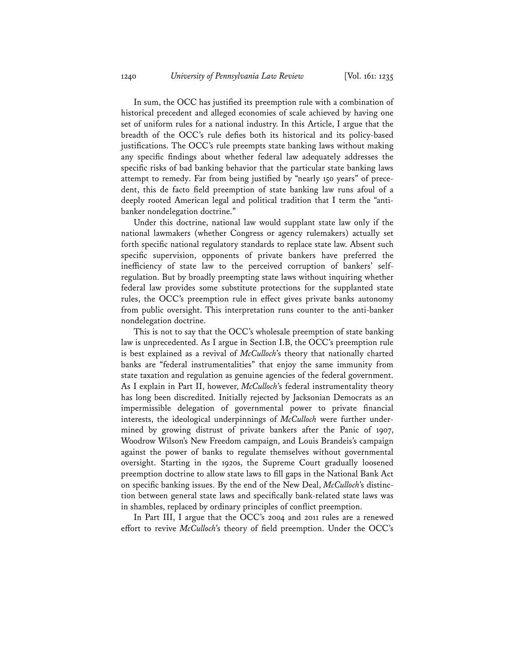In sum, the OCC has justified its preemption rule with a combination of historical precedent and alleged economies of scale achieved by having one set of uniform rules for a national industry. In this Article, I argue that the breadth of the OCC's rule defies both its historical and its policy-based justifications. The OCC's rule preempts state banking laws without making any specific findings about whether federal law adequately addresses the specific risks of bad banking behavior that the particular state banking laws attempt to remedy. Far from being justified by "nearly 150 years" of precedent, this de facto field preemption of state banking law runs afoul of a deeply rooted American legal and political tradition that I term the "antibanker nondelegation doctrine."

Under this doctrine, national law would supplant state law only if the national lawmakers (whether Congress or agency rulemakers) actually set forth specific national regulatory standards to replace state law. Absent such specific supervision, opponents of private bankers have preferred the inefficiency of state law to the perceived corruption of bankers' selfregulation. But by broadly preempting state laws without inquiring whether federal law provides some substitute protections for the supplanted state rules, the OCC's preemption rule in effect gives private banks autonomy from public oversight. This interpretation runs counter to the anti-banker nondelegation doctrine.

This is not to say that the OCC's wholesale preemption of state banking law is unprecedented. As I argue in Section I.B, the OCC's preemption rule is best explained as a revival of *McCulloch*'s theory that nationally charted banks are "federal instrumentalities" that enjoy the same immunity from state taxation and regulation as genuine agencies of the federal government. As I explain in Part II, however, *McCulloch*'s federal instrumentality theory has long been discredited. Initially rejected by Jacksonian Democrats as an impermissible delegation of governmental power to private financial interests, the ideological underpinnings of *McCulloch* were further undermined by growing distrust of private bankers after the Panic of 1907, Woodrow Wilson's New Freedom campaign, and Louis Brandeis's campaign against the power of banks to regulate themselves without governmental oversight. Starting in the 1920s, the Supreme Court gradually loosened preemption doctrine to allow state laws to fill gaps in the National Bank Act on specific banking issues. By the end of the New Deal, *McCulloch*'s distinction between general state laws and specifically bank-related state laws was in shambles, replaced by ordinary principles of conflict preemption.

In Part III, I argue that the OCC's 2004 and 2011 rules are a renewed effort to revive *McCulloch*'s theory of field preemption. Under the OCC's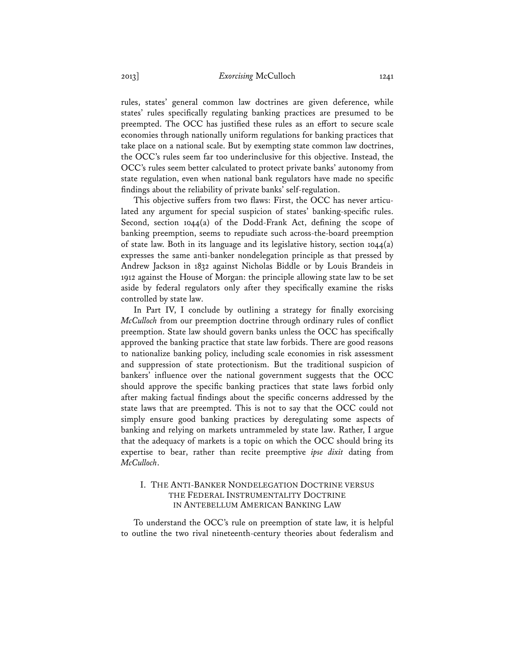rules, states' general common law doctrines are given deference, while states' rules specifically regulating banking practices are presumed to be preempted. The OCC has justified these rules as an effort to secure scale economies through nationally uniform regulations for banking practices that take place on a national scale. But by exempting state common law doctrines, the OCC's rules seem far too underinclusive for this objective. Instead, the OCC's rules seem better calculated to protect private banks' autonomy from state regulation, even when national bank regulators have made no specific findings about the reliability of private banks' self-regulation.

This objective suffers from two flaws: First, the OCC has never articulated any argument for special suspicion of states' banking-specific rules. Second, section 1044(a) of the Dodd-Frank Act, defining the scope of banking preemption, seems to repudiate such across-the-board preemption of state law. Both in its language and its legislative history, section 1044(a) expresses the same anti-banker nondelegation principle as that pressed by Andrew Jackson in 1832 against Nicholas Biddle or by Louis Brandeis in 1912 against the House of Morgan: the principle allowing state law to be set aside by federal regulators only after they specifically examine the risks controlled by state law.

In Part IV, I conclude by outlining a strategy for finally exorcising *McCulloch* from our preemption doctrine through ordinary rules of conflict preemption. State law should govern banks unless the OCC has specifically approved the banking practice that state law forbids. There are good reasons to nationalize banking policy, including scale economies in risk assessment and suppression of state protectionism. But the traditional suspicion of bankers' influence over the national government suggests that the OCC should approve the specific banking practices that state laws forbid only after making factual findings about the specific concerns addressed by the state laws that are preempted. This is not to say that the OCC could not simply ensure good banking practices by deregulating some aspects of banking and relying on markets untrammeled by state law. Rather, I argue that the adequacy of markets is a topic on which the OCC should bring its expertise to bear, rather than recite preemptive *ipse dixit* dating from *McCulloch*.

### I. THE ANTI-BANKER NONDELEGATION DOCTRINE VERSUS THE FEDERAL INSTRUMENTALITY DOCTRINE IN ANTEBELLUM AMERICAN BANKING LAW

To understand the OCC's rule on preemption of state law, it is helpful to outline the two rival nineteenth-century theories about federalism and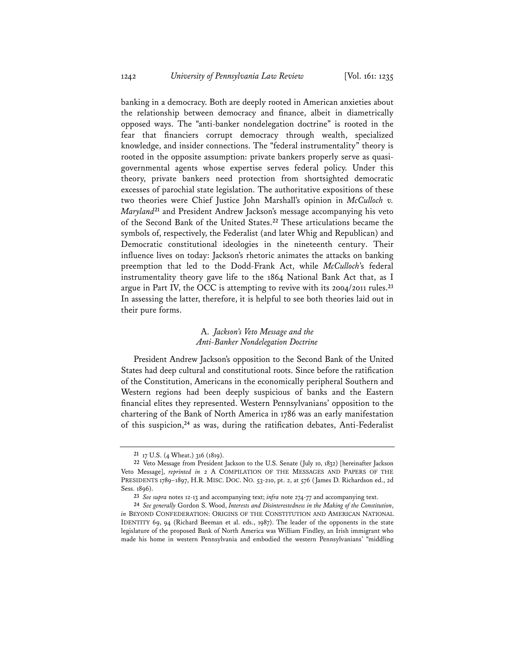banking in a democracy. Both are deeply rooted in American anxieties about the relationship between democracy and finance, albeit in diametrically opposed ways. The "anti-banker nondelegation doctrine" is rooted in the fear that financiers corrupt democracy through wealth, specialized knowledge, and insider connections. The "federal instrumentality" theory is rooted in the opposite assumption: private bankers properly serve as quasigovernmental agents whose expertise serves federal policy. Under this theory, private bankers need protection from shortsighted democratic excesses of parochial state legislation. The authoritative expositions of these two theories were Chief Justice John Marshall's opinion in *McCulloch v. Maryland***<sup>21</sup>** and President Andrew Jackson's message accompanying his veto of the Second Bank of the United States.**<sup>22</sup>** These articulations became the symbols of, respectively, the Federalist (and later Whig and Republican) and Democratic constitutional ideologies in the nineteenth century. Their influence lives on today: Jackson's rhetoric animates the attacks on banking preemption that led to the Dodd-Frank Act, while *McCulloch*'s federal instrumentality theory gave life to the 1864 National Bank Act that, as I argue in Part IV, the OCC is attempting to revive with its 2004/2011 rules.**<sup>23</sup>** In assessing the latter, therefore, it is helpful to see both theories laid out in their pure forms.

## A. *Jackson's Veto Message and the Anti-Banker Nondelegation Doctrine*

President Andrew Jackson's opposition to the Second Bank of the United States had deep cultural and constitutional roots. Since before the ratification of the Constitution, Americans in the economically peripheral Southern and Western regions had been deeply suspicious of banks and the Eastern financial elites they represented. Western Pennsylvanians' opposition to the chartering of the Bank of North America in 1786 was an early manifestation of this suspicion,**<sup>24</sup>** as was, during the ratification debates, Anti-Federalist

**<sup>21</sup>** 17 U.S. (4 Wheat.) 316 (1819).

**<sup>22</sup>** Veto Message from President Jackson to the U.S. Senate (July 10, 1832) [hereinafter Jackson Veto Message], *reprinted in* 2 A COMPILATION OF THE MESSAGES AND PAPERS OF THE PRESIDENTS 1789–1897, H.R. MISC. DOC. NO. 53-210, pt. 2, at 576 (James D. Richardson ed., 2d Sess. 1896).

**<sup>23</sup>** *See supra* notes 12-13 and accompanying text; *infra* note 274-77 and accompanying text.

**<sup>24</sup>** *See generally* Gordon S. Wood, *Interests and Disinterestedness in the Making of the Constitution*, *in* BEYOND CONFEDERATION: ORIGINS OF THE CONSTITUTION AND AMERICAN NATIONAL IDENTITY 69, 94 (Richard Beeman et al. eds., 1987). The leader of the opponents in the state legislature of the proposed Bank of North America was William Findley, an Irish immigrant who made his home in western Pennsylvania and embodied the western Pennsylvanians' "middling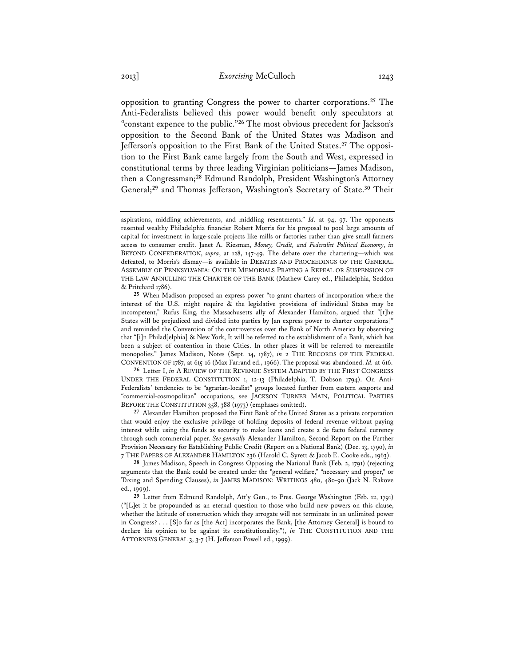opposition to granting Congress the power to charter corporations.**<sup>25</sup>** The Anti-Federalists believed this power would benefit only speculators at "constant expence to the public."**<sup>26</sup>** The most obvious precedent for Jackson's opposition to the Second Bank of the United States was Madison and Jefferson's opposition to the First Bank of the United States.**27** The opposition to the First Bank came largely from the South and West, expressed in constitutional terms by three leading Virginian politicians—James Madison, then a Congressman;**<sup>28</sup>** Edmund Randolph, President Washington's Attorney General;**<sup>29</sup>** and Thomas Jefferson, Washington's Secretary of State.**<sup>30</sup>** Their

**26** Letter I, *in* A REVIEW OF THE REVENUE SYSTEM ADAPTED BY THE FIRST CONGRESS UNDER THE FEDERAL CONSTITUTION 1, 12-13 (Philadelphia, T. Dobson 1794). On Anti-Federalists' tendencies to be "agrarian-localist" groups located further from eastern seaports and "commercial-cosmopolitan" occupations, see JACKSON TURNER MAIN, POLITICAL PARTIES BEFORE THE CONSTITUTION 358, 388 (1973) (emphases omitted).

**27** Alexander Hamilton proposed the First Bank of the United States as a private corporation that would enjoy the exclusive privilege of holding deposits of federal revenue without paying interest while using the funds as security to make loans and create a de facto federal currency through such commercial paper. *See generally* Alexander Hamilton, Second Report on the Further Provision Necessary for Establishing Public Credit (Report on a National Bank) (Dec. 13, 1790), *in* 7 THE PAPERS OF ALEXANDER HAMILTON 236 (Harold C. Syrett & Jacob E. Cooke eds., 1963).

**28** James Madison, Speech in Congress Opposing the National Bank (Feb. 2, 1791) (rejecting arguments that the Bank could be created under the "general welfare," "necessary and proper," or Taxing and Spending Clauses), *in* JAMES MADISON: WRITINGS 480, 480-90 (Jack N. Rakove ed., 1999).

**29** Letter from Edmund Randolph, Att'y Gen., to Pres. George Washington (Feb. 12, 1791) ("[L]et it be propounded as an eternal question to those who build new powers on this clause, whether the latitude of construction which they arrogate will not terminate in an unlimited power in Congress? . . . [S]o far as [the Act] incorporates the Bank, [the Attorney General] is bound to declare his opinion to be against its constitutionality."), *in* THE CONSTITUTION AND THE ATTORNEYS GENERAL 3, 3-7 (H. Jefferson Powell ed., 1999).

aspirations, middling achievements, and middling resentments." *Id.* at 94, 97. The opponents resented wealthy Philadelphia financier Robert Morris for his proposal to pool large amounts of capital for investment in large-scale projects like mills or factories rather than give small farmers access to consumer credit. Janet A. Riesman, *Money, Credit, and Federalist Political Economy*, *in* BEYOND CONFEDERATION, *supra*, at 128, 147-49. The debate over the chartering—which was defeated, to Morris's dismay—is available in DEBATES AND PROCEEDINGS OF THE GENERAL ASSEMBLY OF PENNSYLVANIA: ON THE MEMORIALS PRAYING A REPEAL OR SUSPENSION OF THE LAW ANNULLING THE CHARTER OF THE BANK (Mathew Carey ed., Philadelphia, Seddon & Pritchard 1786).

**<sup>25</sup>** When Madison proposed an express power "to grant charters of incorporation where the interest of the U.S. might require & the legislative provisions of individual States may be incompetent," Rufus King, the Massachusetts ally of Alexander Hamilton, argued that "[t]he States will be prejudiced and divided into parties by [an express power to charter corporations]" and reminded the Convention of the controversies over the Bank of North America by observing that "[i]n Philad[elphia] & New York, It will be referred to the establishment of a Bank, which has been a subject of contention in those Cities. In other places it will be referred to mercantile monopolies." James Madison, Notes (Sept. 14, 1787), *in* 2 THE RECORDS OF THE FEDERAL CONVENTION OF 1787, at 615-16 (Max Farrand ed., 1966). The proposal was abandoned. *Id.* at 616.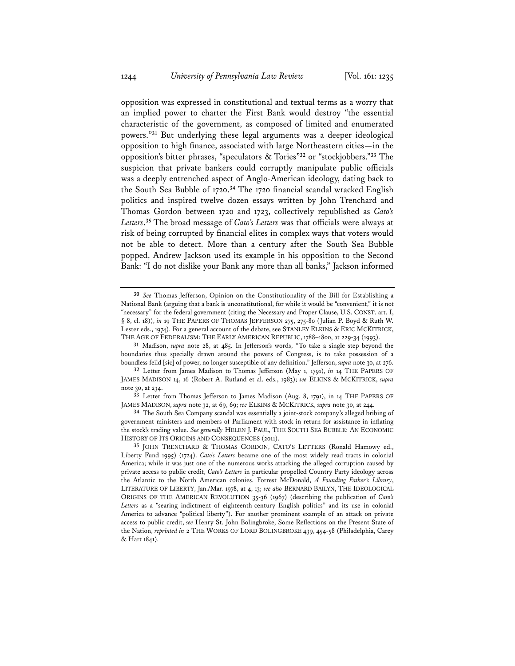opposition was expressed in constitutional and textual terms as a worry that an implied power to charter the First Bank would destroy "the essential characteristic of the government, as composed of limited and enumerated powers."**<sup>31</sup>** But underlying these legal arguments was a deeper ideological opposition to high finance, associated with large Northeastern cities—in the opposition's bitter phrases, "speculators & Tories"**<sup>32</sup>** or "stockjobbers."**<sup>33</sup>** The suspicion that private bankers could corruptly manipulate public officials was a deeply entrenched aspect of Anglo-American ideology, dating back to the South Sea Bubble of 1720.**<sup>34</sup>** The 1720 financial scandal wracked English politics and inspired twelve dozen essays written by John Trenchard and Thomas Gordon between 1720 and 1723, collectively republished as *Cato's Letters*. **<sup>35</sup>** The broad message of *Cato's Letters* was that officials were always at risk of being corrupted by financial elites in complex ways that voters would not be able to detect. More than a century after the South Sea Bubble popped, Andrew Jackson used its example in his opposition to the Second Bank: "I do not dislike your Bank any more than all banks," Jackson informed

**<sup>30</sup>** *See* Thomas Jefferson, Opinion on the Constitutionality of the Bill for Establishing a National Bank (arguing that a bank is unconstitutional, for while it would be "convenient," it is not "necessary" for the federal government (citing the Necessary and Proper Clause, U.S. CONST. art. I, § 8, cl. 18)), *in* 19 THE PAPERS OF THOMAS JEFFERSON 275, 275-80 (Julian P. Boyd & Ruth W. Lester eds., 1974). For a general account of the debate, see STANLEY ELKINS & ERIC MCKITRICK, THE AGE OF FEDERALISM: THE EARLY AMERICAN REPUBLIC, 1788–1800, at 229-34 (1993).

**<sup>31</sup>** Madison, *supra* note 28, at 485. In Jefferson's words, "To take a single step beyond the boundaries thus specially drawn around the powers of Congress, is to take possession of a boundless feild [sic] of power, no longer susceptible of any definition." Jefferson, *supra* note 30, at 276.

**<sup>32</sup>** Letter from James Madison to Thomas Jefferson (May 1, 1791), *in* 14 THE PAPERS OF JAMES MADISON 14, 16 (Robert A. Rutland et al. eds., 1983); *see* ELKINS & MCKITRICK, *supra* note 30, at 234.

**<sup>33</sup>** Letter from Thomas Jefferson to James Madison (Aug. 8, 1791), in 14 THE PAPERS OF JAMES MADISON, *supra* note 32, at 69, 69; *see* ELKINS & MCKITRICK, *supra* note 30, at 244.

**<sup>34</sup>** The South Sea Company scandal was essentially a joint-stock company's alleged bribing of government ministers and members of Parliament with stock in return for assistance in inflating the stock's trading value. *See generally* HELEN J. PAUL, THE SOUTH SEA BUBBLE: AN ECONOMIC HISTORY OF ITS ORIGINS AND CONSEQUENCES (2011).

**<sup>35</sup>** JOHN TRENCHARD & THOMAS GORDON, CATO'S LETTERS (Ronald Hamowy ed., Liberty Fund 1995) (1724). *Cato's Letters* became one of the most widely read tracts in colonial America; while it was just one of the numerous works attacking the alleged corruption caused by private access to public credit, *Cato's Letters* in particular propelled Country Party ideology across the Atlantic to the North American colonies. Forrest McDonald, *A Founding Father's Library*, LITERATURE OF LIBERTY, Jan./Mar. 1978, at 4, 13; *see also* BERNARD BAILYN, THE IDEOLOGICAL ORIGINS OF THE AMERICAN REVOLUTION 35-36 (1967) (describing the publication of *Cato's Letters* as a "searing indictment of eighteenth-century English politics" and its use in colonial America to advance "political liberty"). For another prominent example of an attack on private access to public credit, *see* Henry St. John Bolingbroke, Some Reflections on the Present State of the Nation, *reprinted in* 2 THE WORKS OF LORD BOLINGBROKE 439, 454-58 (Philadelphia, Carey & Hart 1841).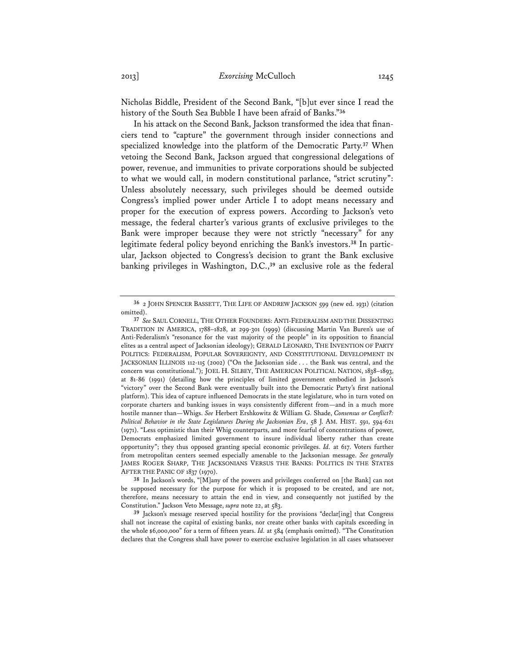Nicholas Biddle, President of the Second Bank, "[b]ut ever since I read the history of the South Sea Bubble I have been afraid of Banks."**<sup>36</sup>**

In his attack on the Second Bank, Jackson transformed the idea that financiers tend to "capture" the government through insider connections and specialized knowledge into the platform of the Democratic Party.**<sup>37</sup>** When vetoing the Second Bank, Jackson argued that congressional delegations of power, revenue, and immunities to private corporations should be subjected to what we would call, in modern constitutional parlance, "strict scrutiny": Unless absolutely necessary, such privileges should be deemed outside Congress's implied power under Article I to adopt means necessary and proper for the execution of express powers. According to Jackson's veto message, the federal charter's various grants of exclusive privileges to the Bank were improper because they were not strictly "necessary" for any legitimate federal policy beyond enriching the Bank's investors.**38** In particular, Jackson objected to Congress's decision to grant the Bank exclusive banking privileges in Washington, D.C.,**<sup>39</sup>** an exclusive role as the federal

**38** In Jackson's words, "[M]any of the powers and privileges conferred on [the Bank] can not be supposed necessary for the purpose for which it is proposed to be created, and are not, therefore, means necessary to attain the end in view, and consequently not justified by the Constitution." Jackson Veto Message, *supra* note 22, at 583.

**<sup>36</sup>** 2 JOHN SPENCER BASSETT, THE LIFE OF ANDREW JACKSON 599 (new ed. 1931) (citation omitted).

**<sup>37</sup>** *See* SAUL CORNELL, THE OTHER FOUNDERS: ANTI-FEDERALISM AND THE DISSENTING TRADITION IN AMERICA, 1788–1828, at 299-301 (1999) (discussing Martin Van Buren's use of Anti-Federalism's "resonance for the vast majority of the people" in its opposition to financial elites as a central aspect of Jacksonian ideology); GERALD LEONARD, THE INVENTION OF PARTY POLITICS: FEDERALISM, POPULAR SOVEREIGNTY, AND CONSTITUTIONAL DEVELOPMENT IN JACKSONIAN ILLINOIS 112-115 (2002) ("On the Jacksonian side . . . the Bank was central, and the concern was constitutional."); JOEL H. SILBEY, THE AMERICAN POLITICAL NATION, 1838–1893, at 81-86 (1991) (detailing how the principles of limited government embodied in Jackson's "victory" over the Second Bank were eventually built into the Democratic Party's first national platform). This idea of capture influenced Democrats in the state legislature, who in turn voted on corporate charters and banking issues in ways consistently different from—and in a much more hostile manner than—Whigs. *See* Herbert Ershkowitz & William G. Shade, *Consensus or Conflict?: Political Behavior in the State Legislatures During the Jacksonian Era*, 58 J. AM. HIST. 591, 594-621 (1971). "Less optimistic than their Whig counterparts, and more fearful of concentrations of power, Democrats emphasized limited government to insure individual liberty rather than create opportunity"; they thus opposed granting special economic privileges. *Id.* at 617. Voters further from metropolitan centers seemed especially amenable to the Jacksonian message. *See generally* JAMES ROGER SHARP, THE JACKSONIANS VERSUS THE BANKS: POLITICS IN THE STATES AFTER THE PANIC OF 1837 (1970).

**<sup>39</sup>** Jackson's message reserved special hostility for the provisions "declar[ing] that Congress shall not increase the capital of existing banks, nor create other banks with capitals exceeding in the whole \$6,000,000" for a term of fifteen years. *Id.* at 584 (emphasis omitted). "The Constitution declares that the Congress shall have power to exercise exclusive legislation in all cases whatsoever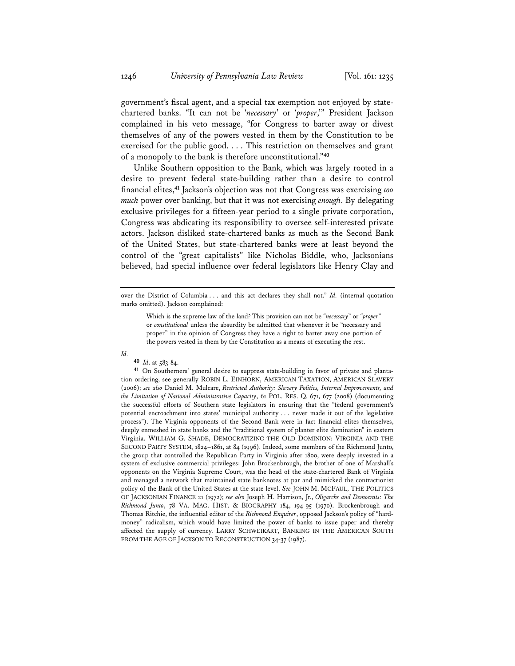government's fiscal agent, and a special tax exemption not enjoyed by statechartered banks. "It can not be '*necessary*' or '*proper*,'" President Jackson complained in his veto message, "for Congress to barter away or divest themselves of any of the powers vested in them by the Constitution to be exercised for the public good. . . . This restriction on themselves and grant of a monopoly to the bank is therefore unconstitutional."**<sup>40</sup>**

Unlike Southern opposition to the Bank, which was largely rooted in a desire to prevent federal state-building rather than a desire to control financial elites,**<sup>41</sup>** Jackson's objection was not that Congress was exercising *too much* power over banking, but that it was not exercising *enough*. By delegating exclusive privileges for a fifteen-year period to a single private corporation, Congress was abdicating its responsibility to oversee self-interested private actors. Jackson disliked state-chartered banks as much as the Second Bank of the United States, but state-chartered banks were at least beyond the control of the "great capitalists" like Nicholas Biddle, who, Jacksonians believed, had special influence over federal legislators like Henry Clay and

Which is the supreme law of the land? This provision can not be "*necessary*" or "*proper*" or *constitutional* unless the absurdity be admitted that whenever it be "necessary and proper" in the opinion of Congress they have a right to barter away one portion of the powers vested in them by the Constitution as a means of executing the rest.

*Id.*

**40** *Id*. at 583-84.

**41** On Southerners' general desire to suppress state-building in favor of private and plantation ordering, see generally ROBIN L. EINHORN, AMERICAN TAXATION, AMERICAN SLAVERY (2006); *see also* Daniel M. Mulcare, *Restricted Authority: Slavery Politics, Internal Improvements, and the Limitation of National Administrative Capacity*, 61 POL. RES. Q. 671, 677 (2008) (documenting the successful efforts of Southern state legislators in ensuring that the "federal government's potential encroachment into states' municipal authority . . . never made it out of the legislative process"). The Virginia opponents of the Second Bank were in fact financial elites themselves, deeply enmeshed in state banks and the "traditional system of planter elite domination" in eastern Virginia. WILLIAM G. SHADE, DEMOCRATIZING THE OLD DOMINION: VIRGINIA AND THE SECOND PARTY SYSTEM, 1824–1861, at 84 (1996). Indeed, some members of the Richmond Junto, the group that controlled the Republican Party in Virginia after 1800, were deeply invested in a system of exclusive commercial privileges: John Brockenbrough, the brother of one of Marshall's opponents on the Virginia Supreme Court, was the head of the state-chartered Bank of Virginia and managed a network that maintained state banknotes at par and mimicked the contractionist policy of the Bank of the United States at the state level. *See* JOHN M. MCFAUL, THE POLITICS OF JACKSONIAN FINANCE 21 (1972); *see also* Joseph H. Harrison, Jr., *Oligarchs and Democrats: The Richmond Junto*, 78 VA. MAG. HIST. & BIOGRAPHY 184, 194-95 (1970). Brockenbrough and Thomas Ritchie, the influential editor of the *Richmond Enquirer*, opposed Jackson's policy of "hardmoney" radicalism, which would have limited the power of banks to issue paper and thereby affected the supply of currency. LARRY SCHWEIKART, BANKING IN THE AMERICAN SOUTH FROM THE AGE OF JACKSON TO RECONSTRUCTION 34-37 (1987).

over the District of Columbia . . . and this act declares they shall not." *Id.* (internal quotation marks omitted). Jackson complained: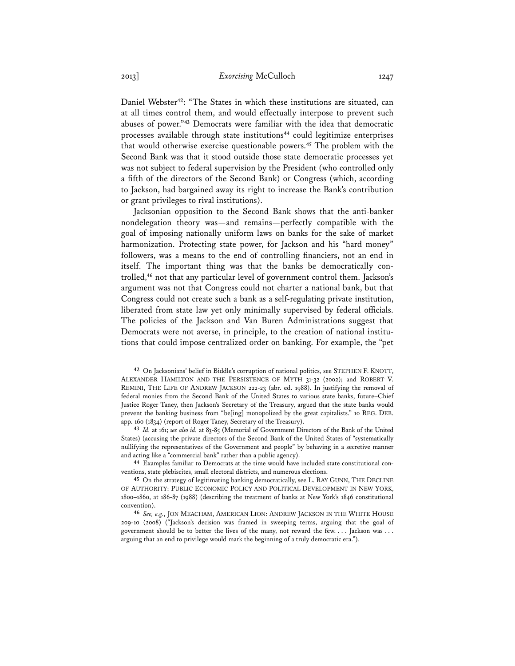Daniel Webster**<sup>42</sup>**: "The States in which these institutions are situated, can at all times control them, and would effectually interpose to prevent such abuses of power."**<sup>43</sup>** Democrats were familiar with the idea that democratic processes available through state institutions**<sup>44</sup>** could legitimize enterprises that would otherwise exercise questionable powers.**<sup>45</sup>** The problem with the Second Bank was that it stood outside those state democratic processes yet was not subject to federal supervision by the President (who controlled only a fifth of the directors of the Second Bank) or Congress (which, according to Jackson, had bargained away its right to increase the Bank's contribution or grant privileges to rival institutions).

Jacksonian opposition to the Second Bank shows that the anti-banker nondelegation theory was—and remains—perfectly compatible with the goal of imposing nationally uniform laws on banks for the sake of market harmonization. Protecting state power, for Jackson and his "hard money" followers, was a means to the end of controlling financiers, not an end in itself. The important thing was that the banks be democratically controlled,**<sup>46</sup>** not that any particular level of government control them. Jackson's argument was not that Congress could not charter a national bank, but that Congress could not create such a bank as a self-regulating private institution, liberated from state law yet only minimally supervised by federal officials. The policies of the Jackson and Van Buren Administrations suggest that Democrats were not averse, in principle, to the creation of national institutions that could impose centralized order on banking. For example, the "pet

**<sup>42</sup>** On Jacksonians' belief in Biddle's corruption of national politics, see STEPHEN F. KNOTT, ALEXANDER HAMILTON AND THE PERSISTENCE OF MYTH 31-32 (2002); and ROBERT V. REMINI, THE LIFE OF ANDREW JACKSON 222-23 (abr. ed. 1988). In justifying the removal of federal monies from the Second Bank of the United States to various state banks, future–Chief Justice Roger Taney, then Jackson's Secretary of the Treasury, argued that the state banks would prevent the banking business from "be[ing] monopolized by the great capitalists." 10 REG. DEB. app. 160 (1834) (report of Roger Taney, Secretary of the Treasury).

**<sup>43</sup>** *Id.* at 161; *see also id.* at 83-85 (Memorial of Government Directors of the Bank of the United States) (accusing the private directors of the Second Bank of the United States of "systematically nullifying the representatives of the Government and people" by behaving in a secretive manner and acting like a "commercial bank" rather than a public agency).

**<sup>44</sup>** Examples familiar to Democrats at the time would have included state constitutional conventions, state plebiscites, small electoral districts, and numerous elections.

**<sup>45</sup>** On the strategy of legitimating banking democratically, see L. RAY GUNN, THE DECLINE OF AUTHORITY: PUBLIC ECONOMIC POLICY AND POLITICAL DEVELOPMENT IN NEW YORK, 1800–1860, at 186-87 (1988) (describing the treatment of banks at New York's 1846 constitutional convention).

**<sup>46</sup>** *See, e.g.*, JON MEACHAM, AMERICAN LION: ANDREW JACKSON IN THE WHITE HOUSE 209-10 (2008) ("Jackson's decision was framed in sweeping terms, arguing that the goal of government should be to better the lives of the many, not reward the few. . . . Jackson was . . . arguing that an end to privilege would mark the beginning of a truly democratic era.").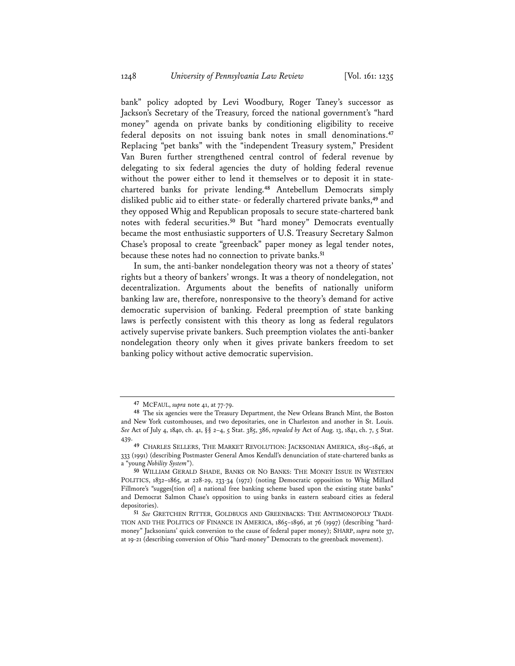bank" policy adopted by Levi Woodbury, Roger Taney's successor as Jackson's Secretary of the Treasury, forced the national government's "hard money" agenda on private banks by conditioning eligibility to receive federal deposits on not issuing bank notes in small denominations.**<sup>47</sup>** Replacing "pet banks" with the "independent Treasury system," President Van Buren further strengthened central control of federal revenue by delegating to six federal agencies the duty of holding federal revenue without the power either to lend it themselves or to deposit it in statechartered banks for private lending.**<sup>48</sup>** Antebellum Democrats simply disliked public aid to either state- or federally chartered private banks,**<sup>49</sup>** and they opposed Whig and Republican proposals to secure state-chartered bank notes with federal securities.**<sup>50</sup>** But "hard money" Democrats eventually became the most enthusiastic supporters of U.S. Treasury Secretary Salmon Chase's proposal to create "greenback" paper money as legal tender notes, because these notes had no connection to private banks.**<sup>51</sup>**

In sum, the anti-banker nondelegation theory was not a theory of states' rights but a theory of bankers' wrongs. It was a theory of nondelegation, not decentralization. Arguments about the benefits of nationally uniform banking law are, therefore, nonresponsive to the theory's demand for active democratic supervision of banking. Federal preemption of state banking laws is perfectly consistent with this theory as long as federal regulators actively supervise private bankers. Such preemption violates the anti-banker nondelegation theory only when it gives private bankers freedom to set banking policy without active democratic supervision.

**<sup>47</sup>** MCFAUL, *supra* note 41, at 77-79.

**<sup>48</sup>** The six agencies were the Treasury Department, the New Orleans Branch Mint, the Boston and New York customhouses, and two depositaries, one in Charleston and another in St. Louis. *See* Act of July 4, 1840, ch. 41, §§ 2–4, 5 Stat. 385, 386, *repealed by* Act of Aug. 13, 1841, ch. 7, 5 Stat. 439.

**<sup>49</sup>** CHARLES SELLERS, THE MARKET REVOLUTION: JACKSONIAN AMERICA, 1815–1846, at 333 (1991) (describing Postmaster General Amos Kendall's denunciation of state-chartered banks as a "young *Nobility System*").

**<sup>50</sup>** WILLIAM GERALD SHADE, BANKS OR NO BANKS: THE MONEY ISSUE IN WESTERN POLITICS, 1832–1865, at 228-29, 233-34 (1972) (noting Democratic opposition to Whig Millard Fillmore's "sugges[tion of] a national free banking scheme based upon the existing state banks" and Democrat Salmon Chase's opposition to using banks in eastern seaboard cities as federal depositories).

**<sup>51</sup>** *See* GRETCHEN RITTER, GOLDBUGS AND GREENBACKS: THE ANTIMONOPOLY TRADI-TION AND THE POLITICS OF FINANCE IN AMERICA, 1865–1896, at 76 (1997) (describing "hardmoney" Jacksonians' quick conversion to the cause of federal paper money); SHARP, *supra* note 37, at 19-21 (describing conversion of Ohio "hard-money" Democrats to the greenback movement).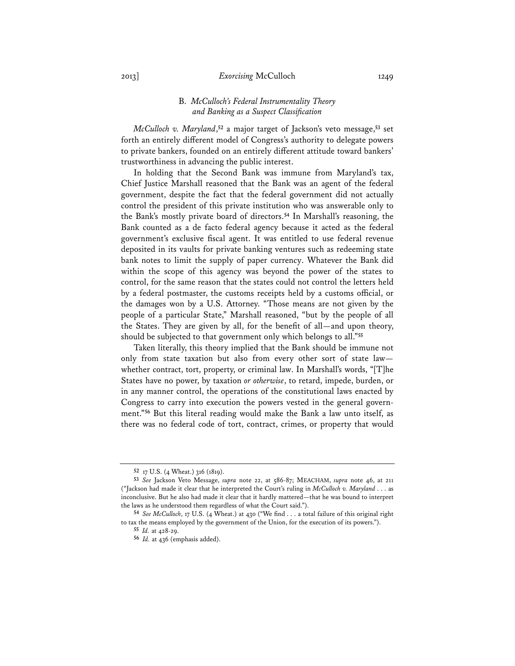### B. *McCulloch's Federal Instrumentality Theory and Banking as a Suspect Classification*

*McCulloch v. Maryland*, **<sup>52</sup>** a major target of Jackson's veto message,**<sup>53</sup>** set forth an entirely different model of Congress's authority to delegate powers to private bankers, founded on an entirely different attitude toward bankers' trustworthiness in advancing the public interest.

In holding that the Second Bank was immune from Maryland's tax, Chief Justice Marshall reasoned that the Bank was an agent of the federal government, despite the fact that the federal government did not actually control the president of this private institution who was answerable only to the Bank's mostly private board of directors.**<sup>54</sup>** In Marshall's reasoning, the Bank counted as a de facto federal agency because it acted as the federal government's exclusive fiscal agent. It was entitled to use federal revenue deposited in its vaults for private banking ventures such as redeeming state bank notes to limit the supply of paper currency. Whatever the Bank did within the scope of this agency was beyond the power of the states to control, for the same reason that the states could not control the letters held by a federal postmaster, the customs receipts held by a customs official, or the damages won by a U.S. Attorney. "Those means are not given by the people of a particular State," Marshall reasoned, "but by the people of all the States. They are given by all, for the benefit of all—and upon theory, should be subjected to that government only which belongs to all."**<sup>55</sup>**

Taken literally, this theory implied that the Bank should be immune not only from state taxation but also from every other sort of state law whether contract, tort, property, or criminal law. In Marshall's words, "[T]he States have no power, by taxation *or otherwise*, to retard, impede, burden, or in any manner control, the operations of the constitutional laws enacted by Congress to carry into execution the powers vested in the general government."**<sup>56</sup>** But this literal reading would make the Bank a law unto itself, as there was no federal code of tort, contract, crimes, or property that would

**<sup>52</sup>** 17 U.S. (4 Wheat.) 316 (1819).

**<sup>53</sup>** *See* Jackson Veto Message, *supra* note 22, at 586-87; MEACHAM, *supra* note 46, at 211 ("Jackson had made it clear that he interpreted the Court's ruling in *McCulloch v. Maryland* . . . as inconclusive. But he also had made it clear that it hardly mattered—that he was bound to interpret the laws as he understood them regardless of what the Court said.").

**<sup>54</sup>** *See McCulloch*, 17 U.S. (4 Wheat.) at 430 ("We find . . . a total failure of this original right to tax the means employed by the government of the Union, for the execution of its powers.").

**<sup>55</sup>** *Id.* at 428-29.

**<sup>56</sup>** *Id.* at 436 (emphasis added).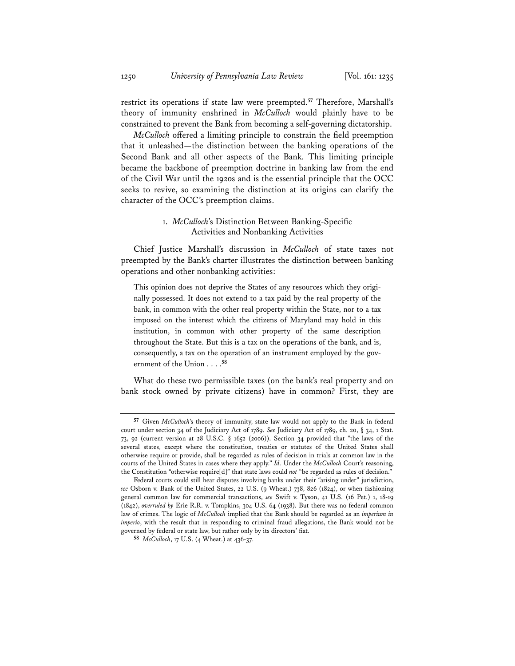restrict its operations if state law were preempted.**<sup>57</sup>** Therefore, Marshall's theory of immunity enshrined in *McCulloch* would plainly have to be constrained to prevent the Bank from becoming a self-governing dictatorship.

*McCulloch* offered a limiting principle to constrain the field preemption that it unleashed—the distinction between the banking operations of the Second Bank and all other aspects of the Bank. This limiting principle became the backbone of preemption doctrine in banking law from the end of the Civil War until the 1920s and is the essential principle that the OCC seeks to revive, so examining the distinction at its origins can clarify the character of the OCC's preemption claims.

#### 1. *McCulloch*'s Distinction Between Banking-Specific Activities and Nonbanking Activities

Chief Justice Marshall's discussion in *McCulloch* of state taxes not preempted by the Bank's charter illustrates the distinction between banking operations and other nonbanking activities:

This opinion does not deprive the States of any resources which they originally possessed. It does not extend to a tax paid by the real property of the bank, in common with the other real property within the State, nor to a tax imposed on the interest which the citizens of Maryland may hold in this institution, in common with other property of the same description throughout the State. But this is a tax on the operations of the bank, and is, consequently, a tax on the operation of an instrument employed by the government of the Union . . . .**<sup>58</sup>**

What do these two permissible taxes (on the bank's real property and on bank stock owned by private citizens) have in common? First, they are

**<sup>57</sup>** Given *McCulloch*'s theory of immunity, state law would not apply to the Bank in federal court under section 34 of the Judiciary Act of 1789. *See* Judiciary Act of 1789, ch. 20, § 34, 1 Stat. 73, 92 (current version at 28 U.S.C. § 1652 (2006)). Section 34 provided that "the laws of the several states, except where the constitution, treaties or statutes of the United States shall otherwise require or provide, shall be regarded as rules of decision in trials at common law in the courts of the United States in cases where they apply." *Id.* Under the *McCulloch* Court's reasoning, the Constitution "otherwise require[d]" that state laws could *not* "be regarded as rules of decision."

Federal courts could still hear disputes involving banks under their "arising under" jurisdiction, *see* Osborn v. Bank of the United States, 22 U.S. (9 Wheat.) 738, 826 (1824), or when fashioning general common law for commercial transactions, *see* Swift v. Tyson, 41 U.S. (16 Pet.) 1, 18-19 (1842), *overruled by* Erie R.R. v. Tompkins, 304 U.S. 64 (1938). But there was no federal common law of crimes. The logic of *McCulloch* implied that the Bank should be regarded as an *imperium in imperio*, with the result that in responding to criminal fraud allegations, the Bank would not be governed by federal or state law, but rather only by its directors' fiat.

**<sup>58</sup>** *McCulloch*, 17 U.S. (4 Wheat.) at 436-37.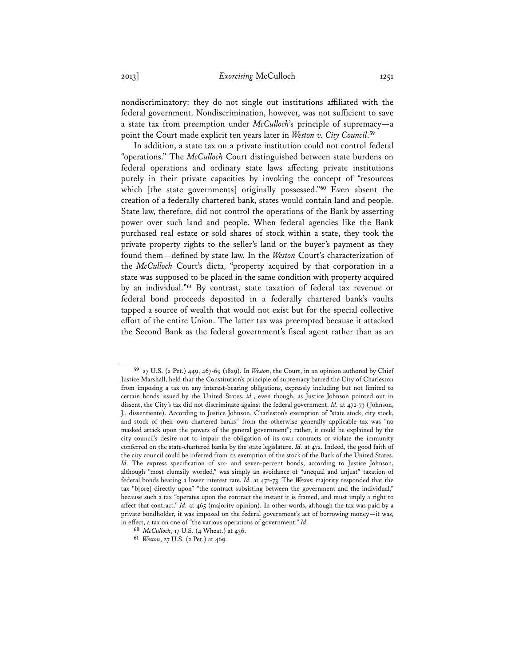nondiscriminatory: they do not single out institutions affiliated with the federal government. Nondiscrimination, however, was not sufficient to save a state tax from preemption under *McCulloch*'s principle of supremacy—a point the Court made explicit ten years later in *Weston v. City Council*. **59**

In addition, a state tax on a private institution could not control federal "operations." The *McCulloch* Court distinguished between state burdens on federal operations and ordinary state laws affecting private institutions purely in their private capacities by invoking the concept of "resources which [the state governments] originally possessed."**<sup>60</sup>** Even absent the creation of a federally chartered bank, states would contain land and people. State law, therefore, did not control the operations of the Bank by asserting power over such land and people. When federal agencies like the Bank purchased real estate or sold shares of stock within a state, they took the private property rights to the seller's land or the buyer's payment as they found them—defined by state law. In the *Weston* Court's characterization of the *McCulloch* Court's dicta, "property acquired by that corporation in a state was supposed to be placed in the same condition with property acquired by an individual."**<sup>61</sup>** By contrast, state taxation of federal tax revenue or federal bond proceeds deposited in a federally chartered bank's vaults tapped a source of wealth that would not exist but for the special collective effort of the entire Union. The latter tax was preempted because it attacked the Second Bank as the federal government's fiscal agent rather than as an

**<sup>59</sup>** 27 U.S. (2 Pet.) 449, 467-69 (1829). In *Weston*, the Court, in an opinion authored by Chief Justice Marshall, held that the Constitution's principle of supremacy barred the City of Charleston from imposing a tax on any interest-bearing obligations, expressly including but not limited to certain bonds issued by the United States, *id.*, even though, as Justice Johnson pointed out in dissent, the City's tax did not discriminate against the federal government. *Id.* at 472-73 (Johnson, J., dissentiente). According to Justice Johnson, Charleston's exemption of "state stock, city stock, and stock of their own chartered banks" from the otherwise generally applicable tax was "no masked attack upon the powers of the general government"; rather, it could be explained by the city council's desire not to impair the obligation of its own contracts or violate the immunity conferred on the state-chartered banks by the state legislature. *Id.* at 472. Indeed, the good faith of the city council could be inferred from its exemption of the stock of the Bank of the United States. *Id.* The express specification of six- and seven-percent bonds, according to Justice Johnson, although "most clumsily worded," was simply an avoidance of "unequal and unjust" taxation of federal bonds bearing a lower interest rate. *Id.* at 472-73. The *Weston* majority responded that the tax "b[ore] directly upon" "the contract subsisting between the government and the individual," because such a tax "operates upon the contract the instant it is framed, and must imply a right to affect that contract." *Id.* at 465 (majority opinion). In other words, although the tax was paid by a private bondholder, it was imposed on the federal government's act of borrowing money—it was, in effect, a tax on one of "the various operations of government." *Id.*

**<sup>60</sup>** *McCulloch*, 17 U.S. (4 Wheat.) at 436.

**<sup>61</sup>** *Weston*, 27 U.S. (2 Pet.) at 469.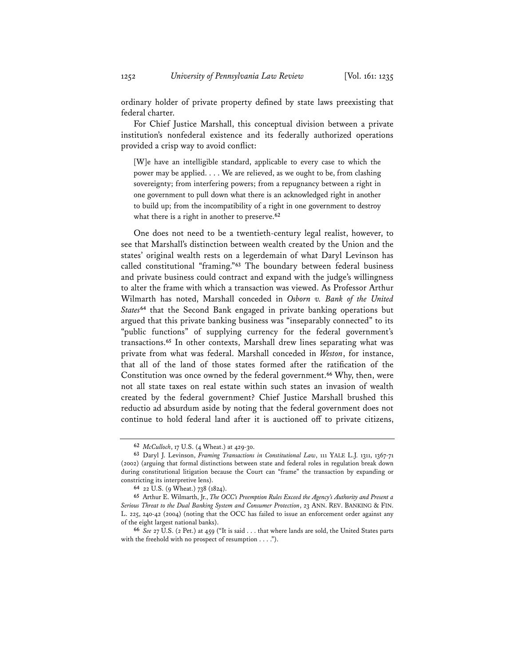ordinary holder of private property defined by state laws preexisting that federal charter.

For Chief Justice Marshall, this conceptual division between a private institution's nonfederal existence and its federally authorized operations provided a crisp way to avoid conflict:

[W]e have an intelligible standard, applicable to every case to which the power may be applied. . . . We are relieved, as we ought to be, from clashing sovereignty; from interfering powers; from a repugnancy between a right in one government to pull down what there is an acknowledged right in another to build up; from the incompatibility of a right in one government to destroy what there is a right in another to preserve.**<sup>62</sup>**

One does not need to be a twentieth-century legal realist, however, to see that Marshall's distinction between wealth created by the Union and the states' original wealth rests on a legerdemain of what Daryl Levinson has called constitutional "framing."**<sup>63</sup>** The boundary between federal business and private business could contract and expand with the judge's willingness to alter the frame with which a transaction was viewed. As Professor Arthur Wilmarth has noted, Marshall conceded in *Osborn v. Bank of the United States***<sup>64</sup>** that the Second Bank engaged in private banking operations but argued that this private banking business was "inseparably connected" to its "public functions" of supplying currency for the federal government's transactions.**<sup>65</sup>** In other contexts, Marshall drew lines separating what was private from what was federal. Marshall conceded in *Weston*, for instance, that all of the land of those states formed after the ratification of the Constitution was once owned by the federal government.**<sup>66</sup>** Why, then, were not all state taxes on real estate within such states an invasion of wealth created by the federal government? Chief Justice Marshall brushed this reductio ad absurdum aside by noting that the federal government does not continue to hold federal land after it is auctioned off to private citizens,

**<sup>62</sup>** *McCulloch*, 17 U.S. (4 Wheat.) at 429-30.

**<sup>63</sup>** Daryl J. Levinson, *Framing Transactions in Constitutional Law*, 111 YALE L.J. 1311, 1367-71 (2002) (arguing that formal distinctions between state and federal roles in regulation break down during constitutional litigation because the Court can "frame" the transaction by expanding or constricting its interpretive lens).

**<sup>64</sup>** 22 U.S. (9 Wheat.) 738 (1824).

**<sup>65</sup>** Arthur E. Wilmarth, Jr., *The OCC's Preemption Rules Exceed the Agency's Authority and Present a Serious Threat to the Dual Banking System and Consumer Protection*, 23 ANN. REV. BANKING & FIN. L. 225, 240-42 (2004) (noting that the OCC has failed to issue an enforcement order against any of the eight largest national banks).

**<sup>66</sup>** *See* 27 U.S. (2 Pet.) at 459 ("It is said . . . that where lands are sold, the United States parts with the freehold with no prospect of resumption . . . .").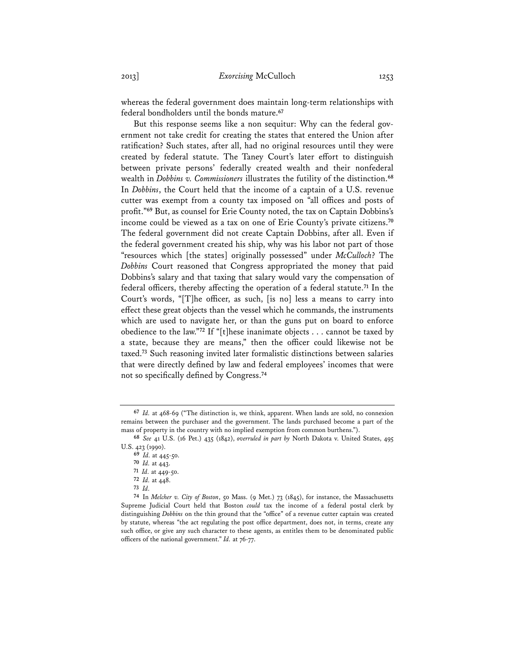But this response seems like a non sequitur: Why can the federal government not take credit for creating the states that entered the Union after ratification? Such states, after all, had no original resources until they were created by federal statute. The Taney Court's later effort to distinguish between private persons' federally created wealth and their nonfederal wealth in *Dobbins v. Commissioners* illustrates the futility of the distinction.**<sup>68</sup>** In *Dobbins*, the Court held that the income of a captain of a U.S. revenue cutter was exempt from a county tax imposed on "all offices and posts of profit."**<sup>69</sup>** But, as counsel for Erie County noted, the tax on Captain Dobbins's income could be viewed as a tax on one of Erie County's private citizens.**<sup>70</sup>** The federal government did not create Captain Dobbins, after all. Even if the federal government created his ship, why was his labor not part of those "resources which [the states] originally possessed" under *McCulloch*? The *Dobbins* Court reasoned that Congress appropriated the money that paid Dobbins's salary and that taxing that salary would vary the compensation of federal officers, thereby affecting the operation of a federal statute.**<sup>71</sup>** In the Court's words, "[T]he officer, as such, [is no] less a means to carry into effect these great objects than the vessel which he commands, the instruments which are used to navigate her, or than the guns put on board to enforce obedience to the law."**<sup>72</sup>** If "[t]hese inanimate objects . . . cannot be taxed by a state, because they are means," then the officer could likewise not be taxed.**<sup>73</sup>** Such reasoning invited later formalistic distinctions between salaries that were directly defined by law and federal employees' incomes that were not so specifically defined by Congress.**<sup>74</sup>**

**<sup>67</sup>** *Id.* at 468-69 ("The distinction is, we think, apparent. When lands are sold, no connexion remains between the purchaser and the government. The lands purchased become a part of the mass of property in the country with no implied exemption from common burthens.").

**<sup>68</sup>** *See* 41 U.S. (16 Pet.) 435 (1842), *overruled in part by* North Dakota v. United States, 495 U.S. 423 (1990).

**<sup>69</sup>** *Id.* at 445-50. **70** *Id.* at 443.

**<sup>71</sup>** *Id.* at 449-50.

**<sup>72</sup>** *Id.* at 448.

**<sup>73</sup>** *Id.*

**<sup>74</sup>** In *Melcher v. City of Boston*, 50 Mass. (9 Met.) 73 (1845), for instance, the Massachusetts Supreme Judicial Court held that Boston *could* tax the income of a federal postal clerk by distinguishing *Dobbins* on the thin ground that the "office" of a revenue cutter captain was created by statute, whereas "the act regulating the post office department, does not, in terms, create any such office, or give any such character to these agents, as entitles them to be denominated public officers of the national government." *Id.* at 76-77.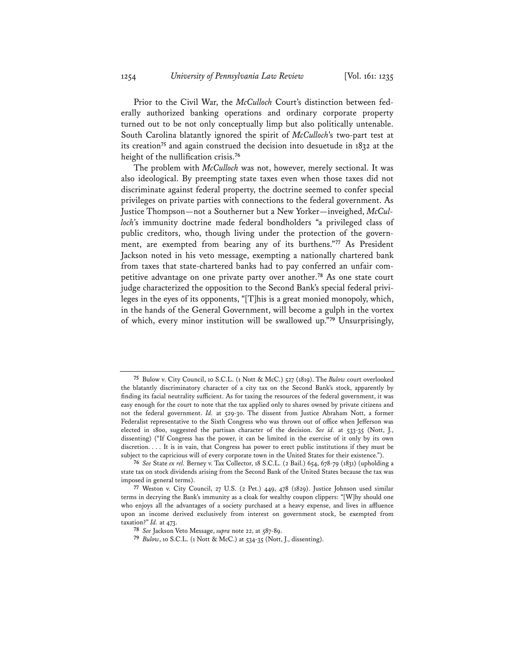Prior to the Civil War, the *McCulloch* Court's distinction between federally authorized banking operations and ordinary corporate property turned out to be not only conceptually limp but also politically untenable. South Carolina blatantly ignored the spirit of *McCulloch*'s two-part test at its creation**<sup>75</sup>** and again construed the decision into desuetude in 1832 at the height of the nullification crisis.**<sup>76</sup>**

The problem with *McCulloch* was not, however, merely sectional. It was also ideological. By preempting state taxes even when those taxes did not discriminate against federal property, the doctrine seemed to confer special privileges on private parties with connections to the federal government. As Justice Thompson—not a Southerner but a New Yorker—inveighed, *McCulloch*'s immunity doctrine made federal bondholders "a privileged class of public creditors, who, though living under the protection of the government, are exempted from bearing any of its burthens."**<sup>77</sup>** As President Jackson noted in his veto message, exempting a nationally chartered bank from taxes that state-chartered banks had to pay conferred an unfair competitive advantage on one private party over another.**<sup>78</sup>** As one state court judge characterized the opposition to the Second Bank's special federal privileges in the eyes of its opponents, "[T]his is a great monied monopoly, which, in the hands of the General Government, will become a gulph in the vortex of which, every minor institution will be swallowed up."**<sup>79</sup>** Unsurprisingly,

**<sup>75</sup>** Bulow v. City Council, 10 S.C.L. (1 Nott & McC.) 527 (1819). The *Bulow* court overlooked the blatantly discriminatory character of a city tax on the Second Bank's stock, apparently by finding its facial neutrality sufficient. As for taxing the resources of the federal government, it was easy enough for the court to note that the tax applied only to shares owned by private citizens and not the federal government. *Id.* at 529-30. The dissent from Justice Abraham Nott, a former Federalist representative to the Sixth Congress who was thrown out of office when Jefferson was elected in 1800, suggested the partisan character of the decision. *See id.* at 533-35 (Nott, J., dissenting) ("If Congress has the power, it can be limited in the exercise of it only by its own discretion. . . . It is in vain, that Congress has power to erect public institutions if they must be subject to the capricious will of every corporate town in the United States for their existence.").

**<sup>76</sup>** *See* State *ex rel.* Berney v. Tax Collector, 18 S.C.L. (2 Bail.) 654, 678-79 (1831) (upholding a state tax on stock dividends arising from the Second Bank of the United States because the tax was imposed in general terms).

**<sup>77</sup>** Weston v. City Council, 27 U.S. (2 Pet.) 449, 478 (1829). Justice Johnson used similar terms in decrying the Bank's immunity as a cloak for wealthy coupon clippers: "[W]hy should one who enjoys all the advantages of a society purchased at a heavy expense, and lives in affluence upon an income derived exclusively from interest on government stock, be exempted from taxation?" *Id.* at 473.

**<sup>78</sup>** *See* Jackson Veto Message, *supra* note 22, at 587-89.

**<sup>79</sup>** *Bulow*, 10 S.C.L. (1 Nott & McC.) at 534-35 (Nott, J., dissenting).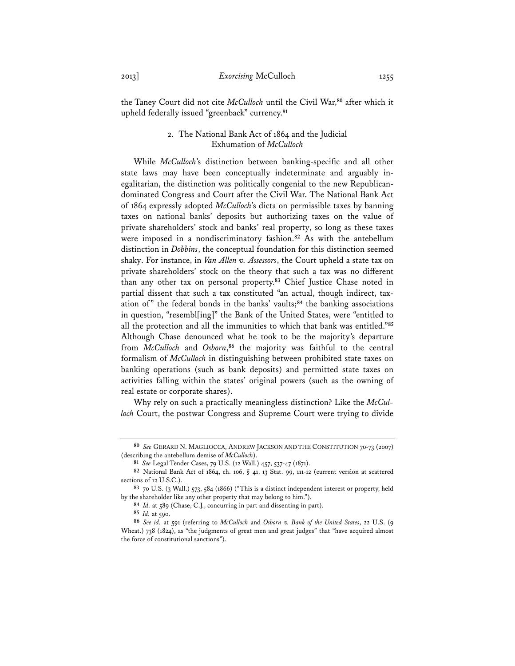the Taney Court did not cite *McCulloch* until the Civil War,**<sup>80</sup>** after which it upheld federally issued "greenback" currency.**<sup>81</sup>**

### 2. The National Bank Act of 1864 and the Judicial Exhumation of *McCulloch*

While *McCulloch*'s distinction between banking-specific and all other state laws may have been conceptually indeterminate and arguably inegalitarian, the distinction was politically congenial to the new Republicandominated Congress and Court after the Civil War. The National Bank Act of 1864 expressly adopted *McCulloch*'s dicta on permissible taxes by banning taxes on national banks' deposits but authorizing taxes on the value of private shareholders' stock and banks' real property, so long as these taxes were imposed in a nondiscriminatory fashion.**<sup>82</sup>** As with the antebellum distinction in *Dobbins*, the conceptual foundation for this distinction seemed shaky. For instance, in *Van Allen v. Assessors*, the Court upheld a state tax on private shareholders' stock on the theory that such a tax was no different than any other tax on personal property.**<sup>83</sup>** Chief Justice Chase noted in partial dissent that such a tax constituted "an actual, though indirect, taxation of" the federal bonds in the banks' vaults;**<sup>84</sup>** the banking associations in question, "resembl[ing]" the Bank of the United States, were "entitled to all the protection and all the immunities to which that bank was entitled."**<sup>85</sup>** Although Chase denounced what he took to be the majority's departure from *McCulloch* and *Osborn*, **<sup>86</sup>** the majority was faithful to the central formalism of *McCulloch* in distinguishing between prohibited state taxes on banking operations (such as bank deposits) and permitted state taxes on activities falling within the states' original powers (such as the owning of real estate or corporate shares).

Why rely on such a practically meaningless distinction? Like the *McCulloch* Court, the postwar Congress and Supreme Court were trying to divide

**<sup>80</sup>** *See* GERARD N. MAGLIOCCA, ANDREW JACKSON AND THE CONSTITUTION 70-73 (2007) (describing the antebellum demise of *McCulloch*).

**<sup>81</sup>** *See* Legal Tender Cases, 79 U.S. (12 Wall.) 457, 537-47 (1871).

**<sup>82</sup>** National Bank Act of 1864, ch. 106, § 41, 13 Stat. 99, 111-12 (current version at scattered sections of 12 U.S.C.).

**<sup>83</sup>** 70 U.S. (3 Wall.) 573, 584 (1866) ("This is a distinct independent interest or property, held by the shareholder like any other property that may belong to him.").

**<sup>84</sup>** *Id.* at 589 (Chase, C.J., concurring in part and dissenting in part).

**<sup>85</sup>** *Id.* at 590.

**<sup>86</sup>** *See id.* at 591 (referring to *McCulloch* and *Osborn v. Bank of the United States*, 22 U.S. (9 Wheat.) 738 (1824), as "the judgments of great men and great judges" that "have acquired almost the force of constitutional sanctions").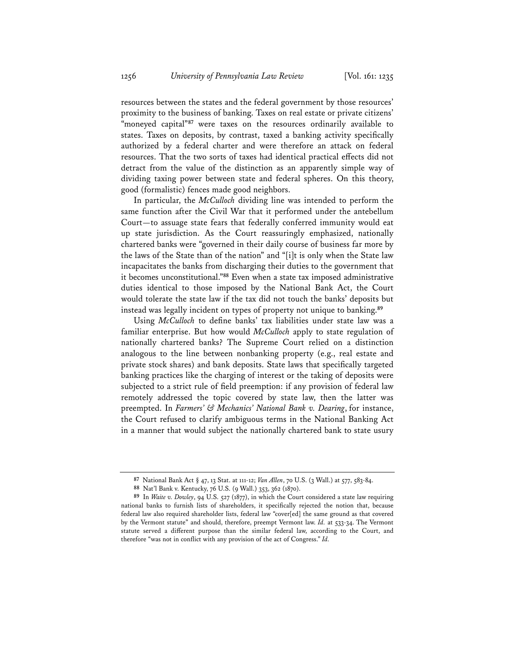resources between the states and the federal government by those resources' proximity to the business of banking. Taxes on real estate or private citizens' "moneyed capital"**<sup>87</sup>** were taxes on the resources ordinarily available to states. Taxes on deposits, by contrast, taxed a banking activity specifically authorized by a federal charter and were therefore an attack on federal resources. That the two sorts of taxes had identical practical effects did not detract from the value of the distinction as an apparently simple way of dividing taxing power between state and federal spheres. On this theory, good (formalistic) fences made good neighbors.

In particular, the *McCulloch* dividing line was intended to perform the same function after the Civil War that it performed under the antebellum Court—to assuage state fears that federally conferred immunity would eat up state jurisdiction. As the Court reassuringly emphasized, nationally chartered banks were "governed in their daily course of business far more by the laws of the State than of the nation" and "[i]t is only when the State law incapacitates the banks from discharging their duties to the government that it becomes unconstitutional."**<sup>88</sup>** Even when a state tax imposed administrative duties identical to those imposed by the National Bank Act, the Court would tolerate the state law if the tax did not touch the banks' deposits but instead was legally incident on types of property not unique to banking.**<sup>89</sup>**

Using *McCulloch* to define banks' tax liabilities under state law was a familiar enterprise. But how would *McCulloch* apply to state regulation of nationally chartered banks? The Supreme Court relied on a distinction analogous to the line between nonbanking property (e.g., real estate and private stock shares) and bank deposits. State laws that specifically targeted banking practices like the charging of interest or the taking of deposits were subjected to a strict rule of field preemption: if any provision of federal law remotely addressed the topic covered by state law, then the latter was preempted. In *Farmers' & Mechanics' National Bank v. Dearing*, for instance, the Court refused to clarify ambiguous terms in the National Banking Act in a manner that would subject the nationally chartered bank to state usury

**<sup>87</sup>** National Bank Act § 47, 13 Stat. at 111-12; *Van Allen*, 70 U.S. (3 Wall.) at 577, 583-84.

**<sup>88</sup>** Nat'l Bank v. Kentucky, 76 U.S. (9 Wall.) 353, 362 (1870).

**<sup>89</sup>** In *Waite v. Dowley*, 94 U.S. 527 (1877), in which the Court considered a state law requiring national banks to furnish lists of shareholders, it specifically rejected the notion that, because federal law also required shareholder lists, federal law "cover[ed] the same ground as that covered by the Vermont statute" and should, therefore, preempt Vermont law. *Id.* at 533-34. The Vermont statute served a different purpose than the similar federal law, according to the Court, and therefore "was not in conflict with any provision of the act of Congress." *Id.*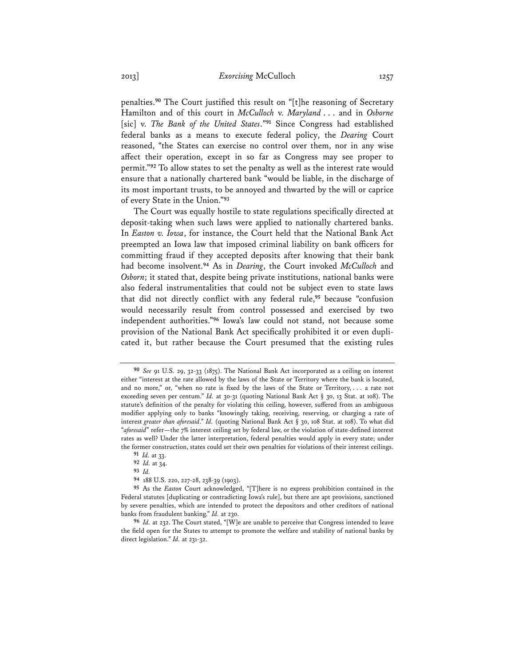penalties.**<sup>90</sup>** The Court justified this result on "[t]he reasoning of Secretary Hamilton and of this court in *McCulloch* v. *Maryland* . . . and in *Osborne* [sic] v. *The Bank of the United States*."**<sup>91</sup>** Since Congress had established federal banks as a means to execute federal policy, the *Dearing* Court reasoned, "the States can exercise no control over them, nor in any wise affect their operation, except in so far as Congress may see proper to permit."**<sup>92</sup>** To allow states to set the penalty as well as the interest rate would ensure that a nationally chartered bank "would be liable, in the discharge of its most important trusts, to be annoyed and thwarted by the will or caprice of every State in the Union."**<sup>93</sup>**

The Court was equally hostile to state regulations specifically directed at deposit-taking when such laws were applied to nationally chartered banks. In *Easton v. Iowa*, for instance, the Court held that the National Bank Act preempted an Iowa law that imposed criminal liability on bank officers for committing fraud if they accepted deposits after knowing that their bank had become insolvent.**<sup>94</sup>** As in *Dearing*, the Court invoked *McCulloch* and *Osborn*; it stated that, despite being private institutions, national banks were also federal instrumentalities that could not be subject even to state laws that did not directly conflict with any federal rule,**<sup>95</sup>** because "confusion would necessarily result from control possessed and exercised by two independent authorities."**<sup>96</sup>** Iowa's law could not stand, not because some provision of the National Bank Act specifically prohibited it or even duplicated it, but rather because the Court presumed that the existing rules

**91** *Id.* at 33.

**<sup>90</sup>** *See* 91 U.S. 29, 32-33 (1875). The National Bank Act incorporated as a ceiling on interest either "interest at the rate allowed by the laws of the State or Territory where the bank is located, and no more," or, "when no rate is fixed by the laws of the State or Territory, . . . a rate not exceeding seven per centum." *Id.* at 30-31 (quoting National Bank Act § 30, 13 Stat. at 108). The statute's definition of the penalty for violating this ceiling, however, suffered from an ambiguous modifier applying only to banks "knowingly taking, receiving, reserving, or charging a rate of interest *greater than aforesaid*." *Id.* (quoting National Bank Act § 30, 108 Stat. at 108). To what did "*aforesaid*" refer—the 7% interest ceiling set by federal law, or the violation of state-defined interest rates as well? Under the latter interpretation, federal penalties would apply in every state; under the former construction, states could set their own penalties for violations of their interest ceilings.

**<sup>92</sup>** *Id.* at 34.

**<sup>93</sup>** *Id.*

**<sup>94</sup>** 188 U.S. 220, 227-28, 238-39 (1903).

**<sup>95</sup>** As the *Easton* Court acknowledged, "[T]here is no express prohibition contained in the Federal statutes [duplicating or contradicting Iowa's rule], but there are apt provisions, sanctioned by severe penalties, which are intended to protect the depositors and other creditors of national banks from fraudulent banking." *Id.* at 230.

**<sup>96</sup>** *Id.* at 232. The Court stated, "[W]e are unable to perceive that Congress intended to leave the field open for the States to attempt to promote the welfare and stability of national banks by direct legislation." *Id.* at 231-32.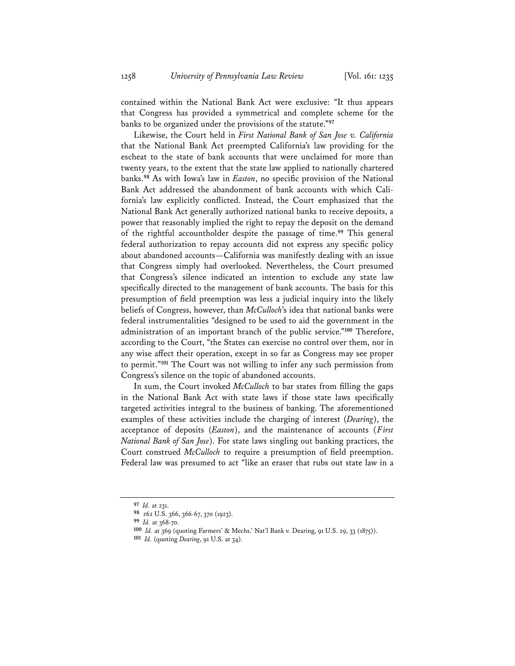contained within the National Bank Act were exclusive: "It thus appears that Congress has provided a symmetrical and complete scheme for the banks to be organized under the provisions of the statute."**<sup>97</sup>**

Likewise, the Court held in *First National Bank of San Jose v. California* that the National Bank Act preempted California's law providing for the escheat to the state of bank accounts that were unclaimed for more than twenty years, to the extent that the state law applied to nationally chartered banks.**<sup>98</sup>** As with Iowa's law in *Easton*, no specific provision of the National Bank Act addressed the abandonment of bank accounts with which California's law explicitly conflicted. Instead, the Court emphasized that the National Bank Act generally authorized national banks to receive deposits, a power that reasonably implied the right to repay the deposit on the demand of the rightful accountholder despite the passage of time.**<sup>99</sup>** This general federal authorization to repay accounts did not express any specific policy about abandoned accounts—California was manifestly dealing with an issue that Congress simply had overlooked. Nevertheless, the Court presumed that Congress's silence indicated an intention to exclude any state law specifically directed to the management of bank accounts. The basis for this presumption of field preemption was less a judicial inquiry into the likely beliefs of Congress, however, than *McCulloch*'s idea that national banks were federal instrumentalities "designed to be used to aid the government in the administration of an important branch of the public service."**<sup>100</sup>** Therefore, according to the Court, "the States can exercise no control over them, nor in any wise affect their operation, except in so far as Congress may see proper to permit."**<sup>101</sup>** The Court was not willing to infer any such permission from Congress's silence on the topic of abandoned accounts.

In sum, the Court invoked *McCulloch* to bar states from filling the gaps in the National Bank Act with state laws if those state laws specifically targeted activities integral to the business of banking. The aforementioned examples of these activities include the charging of interest (*Dearing*), the acceptance of deposits (*Easton*), and the maintenance of accounts (*First National Bank of San Jose*). For state laws singling out banking practices, the Court construed *McCulloch* to require a presumption of field preemption. Federal law was presumed to act "like an eraser that rubs out state law in a

**<sup>97</sup>** *Id.* at 231.

**<sup>98</sup>** 262 U.S. 366, 366-67, 370 (1923).

**<sup>99</sup>** *Id.* at 368-70.

**<sup>100</sup>** *Id.* at 369 (quoting Farmers' & Mechs.' Nat'l Bank v. Dearing, 91 U.S. 29, 33 (1875)).

**<sup>101</sup>** *Id.* (quoting *Dearing*, 91 U.S. at 34).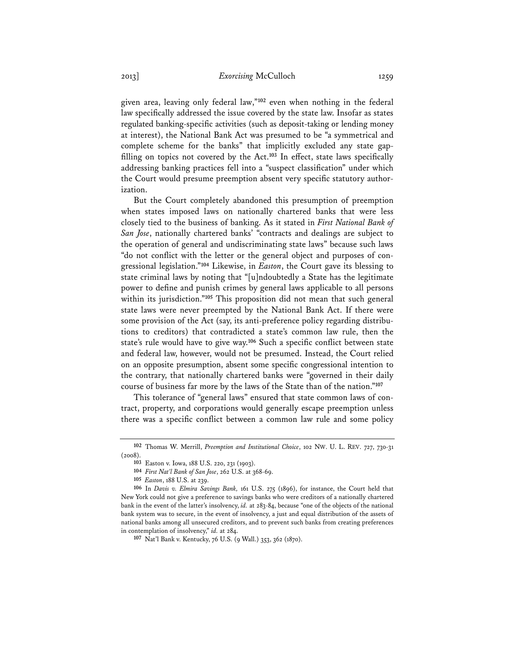given area, leaving only federal law,"**<sup>102</sup>** even when nothing in the federal law specifically addressed the issue covered by the state law. Insofar as states regulated banking-specific activities (such as deposit-taking or lending money at interest), the National Bank Act was presumed to be "a symmetrical and complete scheme for the banks" that implicitly excluded any state gapfilling on topics not covered by the Act.**<sup>103</sup>** In effect, state laws specifically addressing banking practices fell into a "suspect classification" under which the Court would presume preemption absent very specific statutory authorization.

But the Court completely abandoned this presumption of preemption when states imposed laws on nationally chartered banks that were less closely tied to the business of banking. As it stated in *First National Bank of San Jose*, nationally chartered banks' "contracts and dealings are subject to the operation of general and undiscriminating state laws" because such laws "do not conflict with the letter or the general object and purposes of congressional legislation."**<sup>104</sup>** Likewise, in *Easton*, the Court gave its blessing to state criminal laws by noting that "[u]ndoubtedly a State has the legitimate power to define and punish crimes by general laws applicable to all persons within its jurisdiction."**<sup>105</sup>** This proposition did not mean that such general state laws were never preempted by the National Bank Act. If there were some provision of the Act (say, its anti-preference policy regarding distributions to creditors) that contradicted a state's common law rule, then the state's rule would have to give way.**<sup>106</sup>** Such a specific conflict between state and federal law, however, would not be presumed. Instead, the Court relied on an opposite presumption, absent some specific congressional intention to the contrary, that nationally chartered banks were "governed in their daily course of business far more by the laws of the State than of the nation."**<sup>107</sup>**

This tolerance of "general laws" ensured that state common laws of contract, property, and corporations would generally escape preemption unless there was a specific conflict between a common law rule and some policy

**<sup>102</sup>** Thomas W. Merrill, *Preemption and Institutional Choice*, 102 NW. U. L. REV. 727, 730-31 (2008).

**<sup>103</sup>** Easton v. Iowa, 188 U.S. 220, 231 (1903).

**<sup>104</sup>** *First Nat'l Bank of San Jose*, 262 U.S. at 368-69.

**<sup>105</sup>** *Easton*, 188 U.S. at 239.

**<sup>106</sup>** In *Davis v. Elmira Savings Bank,* 161 U.S. 275 (1896), for instance, the Court held that New York could not give a preference to savings banks who were creditors of a nationally chartered bank in the event of the latter's insolvency, *id.* at 283-84, because "one of the objects of the national bank system was to secure, in the event of insolvency, a just and equal distribution of the assets of national banks among all unsecured creditors, and to prevent such banks from creating preferences in contemplation of insolvency," *id.* at 284.

**<sup>107</sup>** Nat'l Bank v. Kentucky, 76 U.S. (9 Wall.) 353, 362 (1870).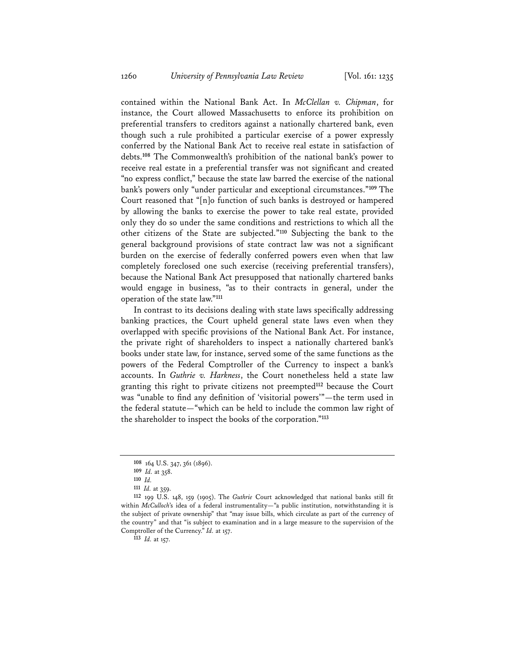contained within the National Bank Act. In *McClellan v. Chipman*, for instance, the Court allowed Massachusetts to enforce its prohibition on preferential transfers to creditors against a nationally chartered bank, even though such a rule prohibited a particular exercise of a power expressly conferred by the National Bank Act to receive real estate in satisfaction of debts.**<sup>108</sup>** The Commonwealth's prohibition of the national bank's power to receive real estate in a preferential transfer was not significant and created "no express conflict," because the state law barred the exercise of the national bank's powers only "under particular and exceptional circumstances."**<sup>109</sup>** The Court reasoned that "[n]o function of such banks is destroyed or hampered by allowing the banks to exercise the power to take real estate, provided only they do so under the same conditions and restrictions to which all the other citizens of the State are subjected."**<sup>110</sup>** Subjecting the bank to the general background provisions of state contract law was not a significant burden on the exercise of federally conferred powers even when that law completely foreclosed one such exercise (receiving preferential transfers), because the National Bank Act presupposed that nationally chartered banks would engage in business, "as to their contracts in general, under the operation of the state law."**<sup>111</sup>**

In contrast to its decisions dealing with state laws specifically addressing banking practices, the Court upheld general state laws even when they overlapped with specific provisions of the National Bank Act. For instance, the private right of shareholders to inspect a nationally chartered bank's books under state law, for instance, served some of the same functions as the powers of the Federal Comptroller of the Currency to inspect a bank's accounts. In *Guthrie v. Harkness*, the Court nonetheless held a state law granting this right to private citizens not preempted**<sup>112</sup>** because the Court was "unable to find any definition of 'visitorial powers'"—the term used in the federal statute—"which can be held to include the common law right of the shareholder to inspect the books of the corporation."**<sup>113</sup>**

**113** *Id.* at 157.

**<sup>108</sup>** 164 U.S. 347, 361 (1896).

**<sup>109</sup>** *Id.* at 358.

**<sup>110</sup>** *Id.*

**<sup>111</sup>** *Id.* at 359.

**<sup>112</sup>** 199 U.S. 148, 159 (1905). The *Guthrie* Court acknowledged that national banks still fit within *McCulloch*'s idea of a federal instrumentality—"a public institution, notwithstanding it is the subject of private ownership" that "may issue bills, which circulate as part of the currency of the country" and that "is subject to examination and in a large measure to the supervision of the Comptroller of the Currency." *Id.* at 157.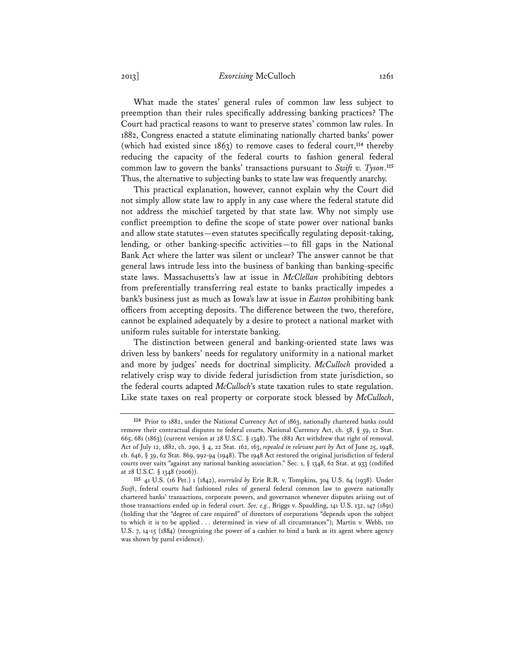What made the states' general rules of common law less subject to preemption than their rules specifically addressing banking practices? The Court had practical reasons to want to preserve states' common law rules. In 1882, Congress enacted a statute eliminating nationally charted banks' power (which had existed since 1863) to remove cases to federal court,**<sup>114</sup>** thereby reducing the capacity of the federal courts to fashion general federal common law to govern the banks' transactions pursuant to *Swift v. Tyson*. **115** Thus, the alternative to subjecting banks to state law was frequently anarchy.

This practical explanation, however, cannot explain why the Court did not simply allow state law to apply in any case where the federal statute did not address the mischief targeted by that state law. Why not simply use conflict preemption to define the scope of state power over national banks and allow state statutes—even statutes specifically regulating deposit-taking, lending, or other banking-specific activities—to fill gaps in the National Bank Act where the latter was silent or unclear? The answer cannot be that general laws intrude less into the business of banking than banking-specific state laws. Massachusetts's law at issue in *McClellan* prohibiting debtors from preferentially transferring real estate to banks practically impedes a bank's business just as much as Iowa's law at issue in *Easton* prohibiting bank officers from accepting deposits. The difference between the two, therefore, cannot be explained adequately by a desire to protect a national market with uniform rules suitable for interstate banking.

The distinction between general and banking-oriented state laws was driven less by bankers' needs for regulatory uniformity in a national market and more by judges' needs for doctrinal simplicity. *McCulloch* provided a relatively crisp way to divide federal jurisdiction from state jurisdiction, so the federal courts adapted *McCulloch*'s state taxation rules to state regulation. Like state taxes on real property or corporate stock blessed by *McCulloch*,

**<sup>114</sup>** Prior to 1882, under the National Currency Act of 1863, nationally chartered banks could remove their contractual disputes to federal courts. National Currency Act, ch. 58, § 59, 12 Stat. 665, 681 (1863) (current version at 28 U.S.C. § 1348). The 1882 Act withdrew that right of removal. Act of July 12, 1882, ch. 290, § 4, 22 Stat. 162, 163, *repealed in relevant part by* Act of June 25, 1948, ch. 646, § 39, 62 Stat. 869, 992-94 (1948). The 1948 Act restored the original jurisdiction of federal courts over suits "against any national banking association." Sec. 1, § 1348, 62 Stat. at 933 (codified at 28 U.S.C. § 1348 (2006)).

**<sup>115</sup>** 41 U.S. (16 Pet.) 1 (1842), *overruled by* Erie R.R. v. Tompkins, 304 U.S. 64 (1938). Under *Swift*, federal courts had fashioned rules of general federal common law to govern nationally chartered banks' transactions, corporate powers, and governance whenever disputes arising out of those transactions ended up in federal court. *See, e.g.*, Briggs v. Spaulding, 141 U.S. 132, 147 (1891) (holding that the "degree of care required" of directors of corporations "depends upon the subject to which it is to be applied . . . determined in view of all circumstances"); Martin v. Webb, 110 U.S. 7, 14-15 (1884) (recognizing the power of a cashier to bind a bank as its agent where agency was shown by parol evidence).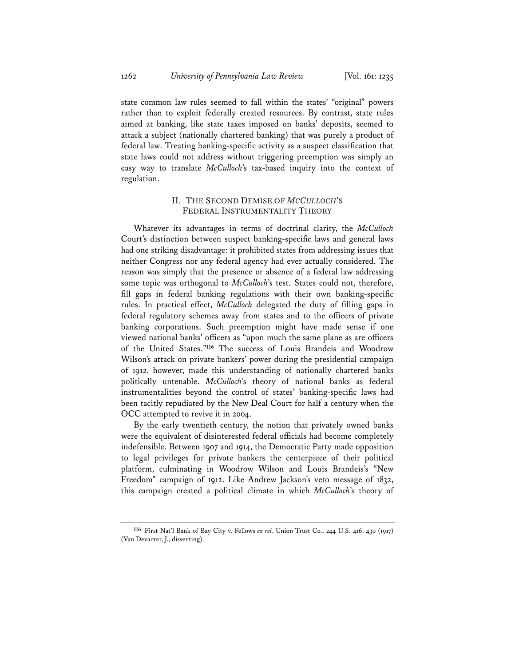state common law rules seemed to fall within the states' "original" powers rather than to exploit federally created resources. By contrast, state rules aimed at banking, like state taxes imposed on banks' deposits, seemed to attack a subject (nationally chartered banking) that was purely a product of federal law. Treating banking-specific activity as a suspect classification that state laws could not address without triggering preemption was simply an easy way to translate *McCulloch*'s tax-based inquiry into the context of regulation.

### II. THE SECOND DEMISE OF *MCCULLOCH*'S FEDERAL INSTRUMENTALITY THEORY

Whatever its advantages in terms of doctrinal clarity, the *McCulloch* Court's distinction between suspect banking-specific laws and general laws had one striking disadvantage: it prohibited states from addressing issues that neither Congress nor any federal agency had ever actually considered. The reason was simply that the presence or absence of a federal law addressing some topic was orthogonal to *McCulloch*'s test. States could not, therefore, fill gaps in federal banking regulations with their own banking-specific rules. In practical effect, *McCulloch* delegated the duty of filling gaps in federal regulatory schemes away from states and to the officers of private banking corporations. Such preemption might have made sense if one viewed national banks' officers as "upon much the same plane as are officers of the United States."**<sup>116</sup>** The success of Louis Brandeis and Woodrow Wilson's attack on private bankers' power during the presidential campaign of 1912, however, made this understanding of nationally chartered banks politically untenable. *McCulloch*'s theory of national banks as federal instrumentalities beyond the control of states' banking-specific laws had been tacitly repudiated by the New Deal Court for half a century when the OCC attempted to revive it in 2004.

By the early twentieth century, the notion that privately owned banks were the equivalent of disinterested federal officials had become completely indefensible. Between 1907 and 1914, the Democratic Party made opposition to legal privileges for private bankers the centerpiece of their political platform, culminating in Woodrow Wilson and Louis Brandeis's "New Freedom" campaign of 1912. Like Andrew Jackson's veto message of 1832, this campaign created a political climate in which *McCulloch*'s theory of

**<sup>116</sup>** First Nat'l Bank of Bay City v. Fellows *ex rel.* Union Trust Co., 244 U.S. 416, 430 (1917) (Van Devanter, J., dissenting).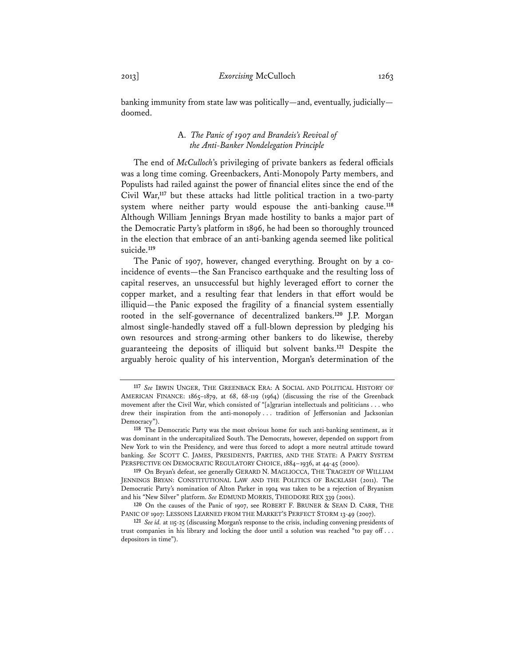banking immunity from state law was politically—and, eventually, judicially doomed.

#### A. *The Panic of 1907 and Brandeis's Revival of the Anti-Banker Nondelegation Principle*

The end of *McCulloch*'s privileging of private bankers as federal officials was a long time coming. Greenbackers, Anti-Monopoly Party members, and Populists had railed against the power of financial elites since the end of the Civil War,**<sup>117</sup>** but these attacks had little political traction in a two-party system where neither party would espouse the anti-banking cause.**<sup>118</sup>** Although William Jennings Bryan made hostility to banks a major part of the Democratic Party's platform in 1896, he had been so thoroughly trounced in the election that embrace of an anti-banking agenda seemed like political suicide.**<sup>119</sup>**

The Panic of 1907, however, changed everything. Brought on by a coincidence of events—the San Francisco earthquake and the resulting loss of capital reserves, an unsuccessful but highly leveraged effort to corner the copper market, and a resulting fear that lenders in that effort would be illiquid—the Panic exposed the fragility of a financial system essentially rooted in the self-governance of decentralized bankers.**<sup>120</sup>** J.P. Morgan almost single-handedly staved off a full-blown depression by pledging his own resources and strong-arming other bankers to do likewise, thereby guaranteeing the deposits of illiquid but solvent banks.**<sup>121</sup>** Despite the arguably heroic quality of his intervention, Morgan's determination of the

**<sup>117</sup>** *See* IRWIN UNGER, THE GREENBACK ERA: A SOCIAL AND POLITICAL HISTORY OF AMERICAN FINANCE:  $1865-1879$ , at 68, 68-119 (1964) (discussing the rise of the Greenback movement after the Civil War, which consisted of "[a]grarian intellectuals and politicians . . . who drew their inspiration from the anti-monopoly . . . tradition of Jeffersonian and Jacksonian Democracy").

**<sup>118</sup>** The Democratic Party was the most obvious home for such anti-banking sentiment, as it was dominant in the undercapitalized South. The Democrats, however, depended on support from New York to win the Presidency, and were thus forced to adopt a more neutral attitude toward banking. *See* SCOTT C. JAMES, PRESIDENTS, PARTIES, AND THE STATE: A PARTY SYSTEM PERSPECTIVE ON DEMOCRATIC REGULATORY CHOICE, 1884-1936, at 44-45 (2000).

**<sup>119</sup>** On Bryan's defeat, see generally GERARD N. MAGLIOCCA, THE TRAGEDY OF WILLIAM JENNINGS BRYAN: CONSTITUTIONAL LAW AND THE POLITICS OF BACKLASH (2011). The Democratic Party's nomination of Alton Parker in 1904 was taken to be a rejection of Bryanism and his "New Silver" platform. *See* EDMUND MORRIS, THEODORE REX 339 (2001).

**<sup>120</sup>** On the causes of the Panic of 1907, see ROBERT F. BRUNER & SEAN D. CARR, THE PANIC OF 1907: LESSONS LEARNED FROM THE MARKET'S PERFECT STORM 13-49 (2007).

**<sup>121</sup>** *See id.* at 115-25 (discussing Morgan's response to the crisis, including convening presidents of trust companies in his library and locking the door until a solution was reached "to pay off . . . depositors in time").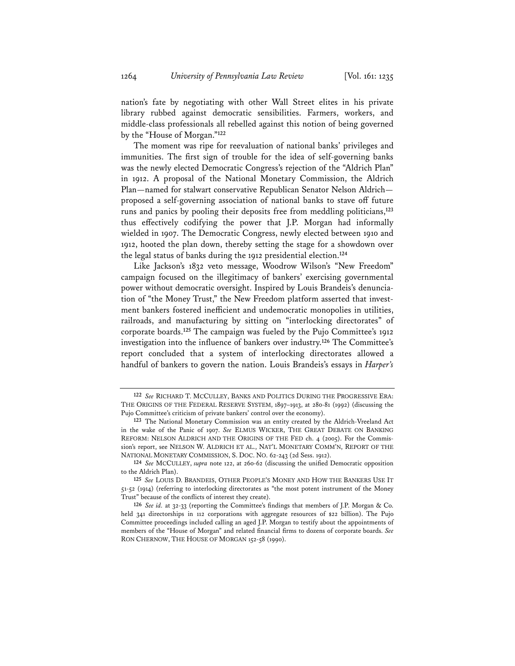nation's fate by negotiating with other Wall Street elites in his private library rubbed against democratic sensibilities. Farmers, workers, and middle-class professionals all rebelled against this notion of being governed by the "House of Morgan."**<sup>122</sup>**

The moment was ripe for reevaluation of national banks' privileges and immunities. The first sign of trouble for the idea of self-governing banks was the newly elected Democratic Congress's rejection of the "Aldrich Plan" in 1912. A proposal of the National Monetary Commission, the Aldrich Plan—named for stalwart conservative Republican Senator Nelson Aldrich proposed a self-governing association of national banks to stave off future runs and panics by pooling their deposits free from meddling politicians,**<sup>123</sup>** thus effectively codifying the power that J.P. Morgan had informally wielded in 1907. The Democratic Congress, newly elected between 1910 and 1912, hooted the plan down, thereby setting the stage for a showdown over the legal status of banks during the 1912 presidential election.**<sup>124</sup>**

Like Jackson's 1832 veto message, Woodrow Wilson's "New Freedom" campaign focused on the illegitimacy of bankers' exercising governmental power without democratic oversight. Inspired by Louis Brandeis's denunciation of "the Money Trust," the New Freedom platform asserted that investment bankers fostered inefficient and undemocratic monopolies in utilities, railroads, and manufacturing by sitting on "interlocking directorates" of corporate boards.**<sup>125</sup>** The campaign was fueled by the Pujo Committee's 1912 investigation into the influence of bankers over industry.**<sup>126</sup>** The Committee's report concluded that a system of interlocking directorates allowed a handful of bankers to govern the nation. Louis Brandeis's essays in *Harper's* 

**<sup>122</sup>** *See* RICHARD T. MCCULLEY, BANKS AND POLITICS DURING THE PROGRESSIVE ERA: THE ORIGINS OF THE FEDERAL RESERVE SYSTEM, 1897–1913, at 280-81 (1992) (discussing the Pujo Committee's criticism of private bankers' control over the economy).

**<sup>123</sup>** The National Monetary Commission was an entity created by the Aldrich-Vreeland Act in the wake of the Panic of 1907. *See* ELMUS WICKER, THE GREAT DEBATE ON BANKING REFORM: NELSON ALDRICH AND THE ORIGINS OF THE FED ch. 4 (2005). For the Commission's report, see NELSON W. ALDRICH ET AL., NAT'L MONETARY COMM'N, REPORT OF THE NATIONAL MONETARY COMMISSION, S. DOC. NO. 62-243 (2d Sess. 1912).

**<sup>124</sup>** *See* MCCULLEY, *supra* note 122, at 260-62 (discussing the unified Democratic opposition to the Aldrich Plan).

**<sup>125</sup>** *See* LOUIS D. BRANDEIS, OTHER PEOPLE'S MONEY AND HOW THE BANKERS USE IT 51-52 (1914) (referring to interlocking directorates as "the most potent instrument of the Money Trust" because of the conflicts of interest they create).

**<sup>126</sup>** *See id.* at 32-33 (reporting the Committee's findings that members of J.P. Morgan & Co. held 341 directorships in 112 corporations with aggregate resources of \$22 billion). The Pujo Committee proceedings included calling an aged J.P. Morgan to testify about the appointments of members of the "House of Morgan" and related financial firms to dozens of corporate boards. *See* RON CHERNOW, THE HOUSE OF MORGAN 152-58 (1990).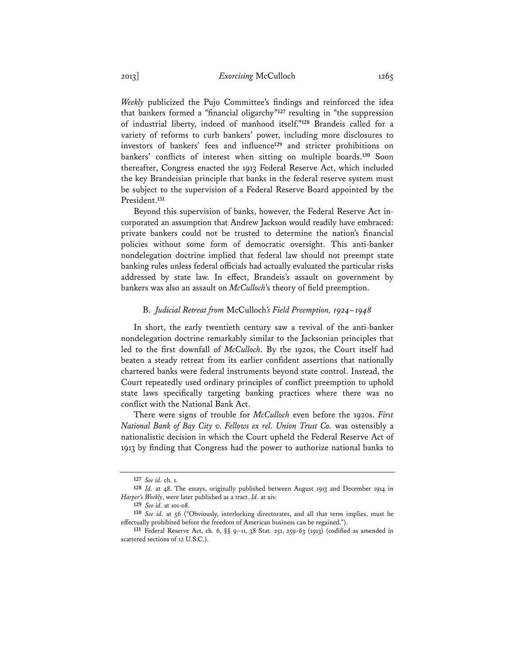*Weekly* publicized the Pujo Committee's findings and reinforced the idea that bankers formed a "financial oligarchy"**<sup>127</sup>** resulting in "the suppression of industrial liberty, indeed of manhood itself."**<sup>128</sup>** Brandeis called for a variety of reforms to curb bankers' power, including more disclosures to investors of bankers' fees and influence**<sup>129</sup>** and stricter prohibitions on bankers' conflicts of interest when sitting on multiple boards.**<sup>130</sup>** Soon thereafter, Congress enacted the 1913 Federal Reserve Act, which included the key Brandeisian principle that banks in the federal reserve system must be subject to the supervision of a Federal Reserve Board appointed by the President.**<sup>131</sup>**

Beyond this supervision of banks, however, the Federal Reserve Act incorporated an assumption that Andrew Jackson would readily have embraced: private bankers could not be trusted to determine the nation's financial policies without some form of democratic oversight. This anti-banker nondelegation doctrine implied that federal law should not preempt state banking rules unless federal officials had actually evaluated the particular risks addressed by state law. In effect, Brandeis's assault on government by bankers was also an assault on *McCulloch*'s theory of field preemption.

#### B. *Judicial Retreat from* McCulloch*'s Field Preemption, 1924–1948*

In short, the early twentieth century saw a revival of the anti-banker nondelegation doctrine remarkably similar to the Jacksonian principles that led to the first downfall of *McCulloch*. By the 1920s, the Court itself had beaten a steady retreat from its earlier confident assertions that nationally chartered banks were federal instruments beyond state control. Instead, the Court repeatedly used ordinary principles of conflict preemption to uphold state laws specifically targeting banking practices where there was no conflict with the National Bank Act.

There were signs of trouble for *McCulloch* even before the 1920s. *First National Bank of Bay City v. Fellows ex rel. Union Trust Co.* was ostensibly a nationalistic decision in which the Court upheld the Federal Reserve Act of 1913 by finding that Congress had the power to authorize national banks to

**<sup>127</sup>** *See id.* ch. 1.

**<sup>128</sup>** *Id.* at 48. The essays, originally published between August 1913 and December 1914 in *Harper's Weekly*, were later published as a tract. *Id.* at xiv.

**<sup>129</sup>** *See id.* at 101-08.

**<sup>130</sup>** *See id.* at 56 ("Obviously, interlocking directorates, and all that term implies, must be effectually prohibited before the freedom of American business can be regained.").

**<sup>131</sup>** Federal Reserve Act, ch. 6, §§ 9–11, 38 Stat. 251, 259-63 (1913) (codified as amended in scattered sections of 12 U.S.C.).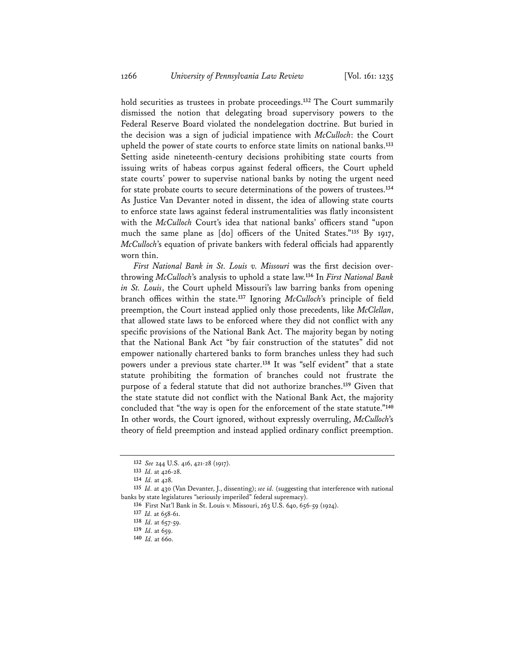hold securities as trustees in probate proceedings.**<sup>132</sup>** The Court summarily dismissed the notion that delegating broad supervisory powers to the Federal Reserve Board violated the nondelegation doctrine. But buried in the decision was a sign of judicial impatience with *McCulloch*: the Court upheld the power of state courts to enforce state limits on national banks.**<sup>133</sup>** Setting aside nineteenth-century decisions prohibiting state courts from issuing writs of habeas corpus against federal officers, the Court upheld state courts' power to supervise national banks by noting the urgent need for state probate courts to secure determinations of the powers of trustees.**<sup>134</sup>** As Justice Van Devanter noted in dissent, the idea of allowing state courts to enforce state laws against federal instrumentalities was flatly inconsistent with the *McCulloch* Court's idea that national banks' officers stand "upon much the same plane as [do] officers of the United States."**<sup>135</sup>** By 1917, *McCulloch*'s equation of private bankers with federal officials had apparently worn thin.

*First National Bank in St. Louis v. Missouri* was the first decision overthrowing *McCulloch*'s analysis to uphold a state law.**<sup>136</sup>** In *First National Bank in St. Louis*, the Court upheld Missouri's law barring banks from opening branch offices within the state.**<sup>137</sup>** Ignoring *McCulloch*'s principle of field preemption, the Court instead applied only those precedents, like *McClellan*, that allowed state laws to be enforced where they did not conflict with any specific provisions of the National Bank Act. The majority began by noting that the National Bank Act "by fair construction of the statutes" did not empower nationally chartered banks to form branches unless they had such powers under a previous state charter.**<sup>138</sup>** It was "self evident" that a state statute prohibiting the formation of branches could not frustrate the purpose of a federal statute that did not authorize branches.**<sup>139</sup>** Given that the state statute did not conflict with the National Bank Act, the majority concluded that "the way is open for the enforcement of the state statute."**<sup>140</sup>** In other words, the Court ignored, without expressly overruling, *McCulloch*'s theory of field preemption and instead applied ordinary conflict preemption.

**<sup>132</sup>** *See* 244 U.S. 416, 421-28 (1917).

**<sup>133</sup>** *Id.* at 426-28.

**<sup>134</sup>** *Id.* at 428.

**<sup>135</sup>** *Id.* at 430 (Van Devanter, J., dissenting); *see id.* (suggesting that interference with national banks by state legislatures "seriously imperiled" federal supremacy).

**<sup>136</sup>** First Nat'l Bank in St. Louis v. Missouri, 263 U.S. 640, 656-59 (1924).

**<sup>137</sup>** *Id.* at 658-61.

**<sup>138</sup>** *Id.* at 657-59.

**<sup>139</sup>** *Id.* at 659.

**<sup>140</sup>** *Id.* at 660.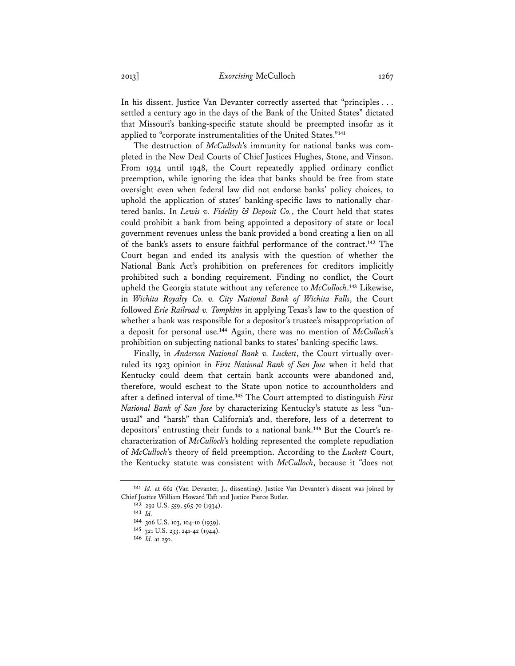In his dissent, Justice Van Devanter correctly asserted that "principles . . . settled a century ago in the days of the Bank of the United States" dictated that Missouri's banking-specific statute should be preempted insofar as it applied to "corporate instrumentalities of the United States."**<sup>141</sup>**

The destruction of *McCulloch*'s immunity for national banks was completed in the New Deal Courts of Chief Justices Hughes, Stone, and Vinson. From 1934 until 1948, the Court repeatedly applied ordinary conflict preemption, while ignoring the idea that banks should be free from state oversight even when federal law did not endorse banks' policy choices, to uphold the application of states' banking-specific laws to nationally chartered banks. In *Lewis v. Fidelity & Deposit Co.*, the Court held that states could prohibit a bank from being appointed a depository of state or local government revenues unless the bank provided a bond creating a lien on all of the bank's assets to ensure faithful performance of the contract.**<sup>142</sup>** The Court began and ended its analysis with the question of whether the National Bank Act's prohibition on preferences for creditors implicitly prohibited such a bonding requirement. Finding no conflict, the Court upheld the Georgia statute without any reference to *McCulloch*. **<sup>143</sup>** Likewise, in *Wichita Royalty Co. v. City National Bank of Wichita Falls*, the Court followed *Erie Railroad v. Tompkins* in applying Texas's law to the question of whether a bank was responsible for a depositor's trustee's misappropriation of a deposit for personal use.**<sup>144</sup>** Again, there was no mention of *McCulloch*'s prohibition on subjecting national banks to states' banking-specific laws.

Finally, in *Anderson National Bank v. Luckett*, the Court virtually overruled its 1923 opinion in *First National Bank of San Jose* when it held that Kentucky could deem that certain bank accounts were abandoned and, therefore, would escheat to the State upon notice to accountholders and after a defined interval of time.**<sup>145</sup>** The Court attempted to distinguish *First National Bank of San Jose* by characterizing Kentucky's statute as less "unusual" and "harsh" than California's and, therefore, less of a deterrent to depositors' entrusting their funds to a national bank.**146** But the Court's recharacterization of *McCulloch*'s holding represented the complete repudiation of *McCulloch*'s theory of field preemption. According to the *Luckett* Court, the Kentucky statute was consistent with *McCulloch*, because it "does not

**<sup>141</sup>** *Id.* at 662 (Van Devanter, J., dissenting). Justice Van Devanter's dissent was joined by Chief Justice William Howard Taft and Justice Pierce Butler.

**<sup>142</sup>** 292 U.S. 559, 565-70 (1934).

**<sup>143</sup>** *Id.*

**<sup>144</sup>** 306 U.S. 103, 104-10 (1939).

**<sup>145</sup>** 321 U.S. 233, 241-42 (1944).

**<sup>146</sup>** *Id.* at 250.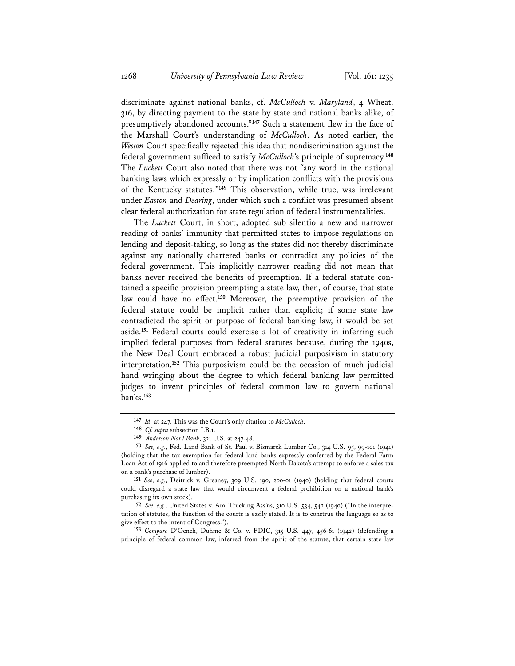discriminate against national banks, cf. *McCulloch* v. *Maryland*, 4 Wheat. 316, by directing payment to the state by state and national banks alike, of presumptively abandoned accounts."**<sup>147</sup>** Such a statement flew in the face of the Marshall Court's understanding of *McCulloch*. As noted earlier, the *Weston* Court specifically rejected this idea that nondiscrimination against the federal government sufficed to satisfy *McCulloch*'s principle of supremacy.**<sup>148</sup>** The *Luckett* Court also noted that there was not "any word in the national banking laws which expressly or by implication conflicts with the provisions of the Kentucky statutes."**<sup>149</sup>** This observation, while true, was irrelevant under *Easton* and *Dearing*, under which such a conflict was presumed absent clear federal authorization for state regulation of federal instrumentalities.

The *Luckett* Court, in short, adopted sub silentio a new and narrower reading of banks' immunity that permitted states to impose regulations on lending and deposit-taking, so long as the states did not thereby discriminate against any nationally chartered banks or contradict any policies of the federal government. This implicitly narrower reading did not mean that banks never received the benefits of preemption. If a federal statute contained a specific provision preempting a state law, then, of course, that state law could have no effect.**<sup>150</sup>** Moreover, the preemptive provision of the federal statute could be implicit rather than explicit; if some state law contradicted the spirit or purpose of federal banking law, it would be set aside.**<sup>151</sup>** Federal courts could exercise a lot of creativity in inferring such implied federal purposes from federal statutes because, during the 1940s, the New Deal Court embraced a robust judicial purposivism in statutory interpretation.**<sup>152</sup>** This purposivism could be the occasion of much judicial hand wringing about the degree to which federal banking law permitted judges to invent principles of federal common law to govern national banks.**<sup>153</sup>**

**<sup>147</sup>** *Id.* at 247. This was the Court's only citation to *McCulloch*.

**<sup>148</sup>** *Cf. supra* subsection I.B.1.

**<sup>149</sup>** *Anderson Nat'l Bank*, 321 U.S. at 247-48.

**<sup>150</sup>** *See, e.g.*, Fed. Land Bank of St. Paul v. Bismarck Lumber Co., 314 U.S. 95, 99-101 (1941) (holding that the tax exemption for federal land banks expressly conferred by the Federal Farm Loan Act of 1916 applied to and therefore preempted North Dakota's attempt to enforce a sales tax on a bank's purchase of lumber).

**<sup>151</sup>** *See, e.g.*, Deitrick v. Greaney, 309 U.S. 190, 200-01 (1940) (holding that federal courts could disregard a state law that would circumvent a federal prohibition on a national bank's purchasing its own stock).

**<sup>152</sup>** *See, e.g.*, United States v. Am. Trucking Ass'ns, 310 U.S. 534, 542 (1940) ("In the interpretation of statutes, the function of the courts is easily stated. It is to construe the language so as to give effect to the intent of Congress.").

**<sup>153</sup>** *Compare* D'Oench, Duhme & Co. v. FDIC, 315 U.S. 447, 456-61 (1942) (defending a principle of federal common law, inferred from the spirit of the statute, that certain state law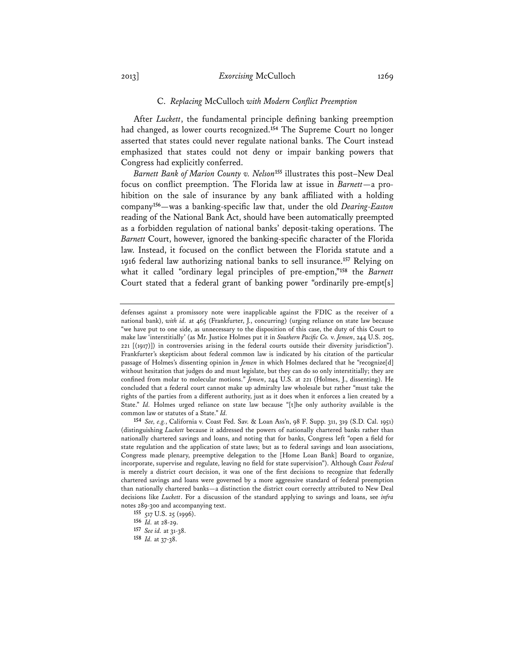# C. *Replacing* McCulloch *with Modern Conflict Preemption*

After *Luckett*, the fundamental principle defining banking preemption had changed, as lower courts recognized.**<sup>154</sup>** The Supreme Court no longer asserted that states could never regulate national banks. The Court instead emphasized that states could not deny or impair banking powers that Congress had explicitly conferred.

*Barnett Bank of Marion County v. Nelson***<sup>155</sup>** illustrates this post–New Deal focus on conflict preemption. The Florida law at issue in *Barnett*—a prohibition on the sale of insurance by any bank affiliated with a holding company**<sup>156</sup>**—was a banking-specific law that, under the old *Dearing*-*Easton* reading of the National Bank Act, should have been automatically preempted as a forbidden regulation of national banks' deposit-taking operations. The *Barnett* Court, however, ignored the banking-specific character of the Florida law. Instead, it focused on the conflict between the Florida statute and a 1916 federal law authorizing national banks to sell insurance.**<sup>157</sup>** Relying on what it called "ordinary legal principles of pre-emption,"**<sup>158</sup>** the *Barnett* Court stated that a federal grant of banking power "ordinarily pre-empt[s]

defenses against a promissory note were inapplicable against the FDIC as the receiver of a national bank), *with id.* at 465 (Frankfurter, J., concurring) (urging reliance on state law because "we have put to one side, as unnecessary to the disposition of this case, the duty of this Court to make law 'interstitially' (as Mr. Justice Holmes put it in *Southern Pacific Co.* v. *Jensen*, 244 U.S. 205, 221 [(1917)]) in controversies arising in the federal courts outside their diversity jurisdiction"). Frankfurter's skepticism about federal common law is indicated by his citation of the particular passage of Holmes's dissenting opinion in *Jensen* in which Holmes declared that he "recognize[d] without hesitation that judges do and must legislate, but they can do so only interstitially; they are confined from molar to molecular motions." *Jensen*, 244 U.S. at 221 (Holmes, J., dissenting). He concluded that a federal court cannot make up admiralty law wholesale but rather "must take the rights of the parties from a different authority, just as it does when it enforces a lien created by a State." *Id.* Holmes urged reliance on state law because "[t]he only authority available is the common law or statutes of a State." *Id.* 

**<sup>154</sup>** *See, e.g.*, California v. Coast Fed. Sav. & Loan Ass'n, 98 F. Supp. 311, 319 (S.D. Cal. 1951) (distinguishing *Luckett* because it addressed the powers of nationally chartered banks rather than nationally chartered savings and loans, and noting that for banks, Congress left "open a field for state regulation and the application of state laws; but as to federal savings and loan associations, Congress made plenary, preemptive delegation to the [Home Loan Bank] Board to organize, incorporate, supervise and regulate, leaving no field for state supervision"). Although *Coast Federal* is merely a district court decision, it was one of the first decisions to recognize that federally chartered savings and loans were governed by a more aggressive standard of federal preemption than nationally chartered banks—a distinction the district court correctly attributed to New Deal decisions like *Luckett*. For a discussion of the standard applying to savings and loans, see *infra* notes 289-300 and accompanying text.

**<sup>155</sup>** 517 U.S. 25 (1996).

**<sup>156</sup>** *Id.* at 28-29.

**<sup>157</sup>** *See id.* at 31-38.

**<sup>158</sup>** *Id.* at 37-38.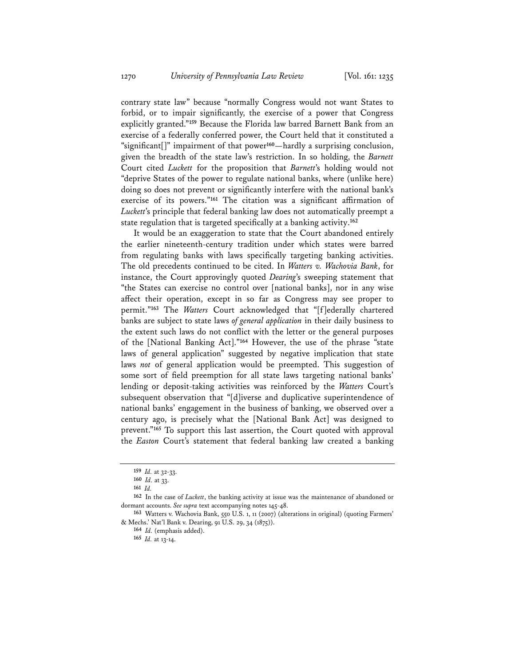contrary state law" because "normally Congress would not want States to forbid, or to impair significantly, the exercise of a power that Congress explicitly granted."**<sup>159</sup>** Because the Florida law barred Barnett Bank from an exercise of a federally conferred power, the Court held that it constituted a "significant[]" impairment of that power**<sup>160</sup>**—hardly a surprising conclusion, given the breadth of the state law's restriction. In so holding, the *Barnett* Court cited *Luckett* for the proposition that *Barnett*'s holding would not "deprive States of the power to regulate national banks, where (unlike here) doing so does not prevent or significantly interfere with the national bank's exercise of its powers."**<sup>161</sup>** The citation was a significant affirmation of *Luckett*'s principle that federal banking law does not automatically preempt a state regulation that is targeted specifically at a banking activity.**<sup>162</sup>**

It would be an exaggeration to state that the Court abandoned entirely the earlier nineteenth-century tradition under which states were barred from regulating banks with laws specifically targeting banking activities. The old precedents continued to be cited. In *Watters v. Wachovia Bank*, for instance, the Court approvingly quoted *Dearing*'s sweeping statement that "the States can exercise no control over [national banks], nor in any wise affect their operation, except in so far as Congress may see proper to permit."**<sup>163</sup>** The *Watters* Court acknowledged that "[f]ederally chartered banks are subject to state laws *of general application* in their daily business to the extent such laws do not conflict with the letter or the general purposes of the [National Banking Act]."**<sup>164</sup>** However, the use of the phrase "state laws of general application" suggested by negative implication that state laws *not* of general application would be preempted. This suggestion of some sort of field preemption for all state laws targeting national banks' lending or deposit-taking activities was reinforced by the *Watters* Court's subsequent observation that "[d]iverse and duplicative superintendence of national banks' engagement in the business of banking, we observed over a century ago, is precisely what the [National Bank Act] was designed to prevent."**<sup>165</sup>** To support this last assertion, the Court quoted with approval the *Easton* Court's statement that federal banking law created a banking

**164** *Id.* (emphasis added).

**165** *Id.* at 13-14.

**<sup>159</sup>** *Id.* at 32-33.

**<sup>160</sup>** *Id.* at 33.

**<sup>161</sup>** *Id.*

**<sup>162</sup>** In the case of *Luckett*, the banking activity at issue was the maintenance of abandoned or dormant accounts. *See supra* text accompanying notes 145-48.

**<sup>163</sup>** Watters v. Wachovia Bank, 550 U.S. 1, 11 (2007) (alterations in original) (quoting Farmers' & Mechs.' Nat'l Bank v. Dearing, 91 U.S. 29, 34 (1875)).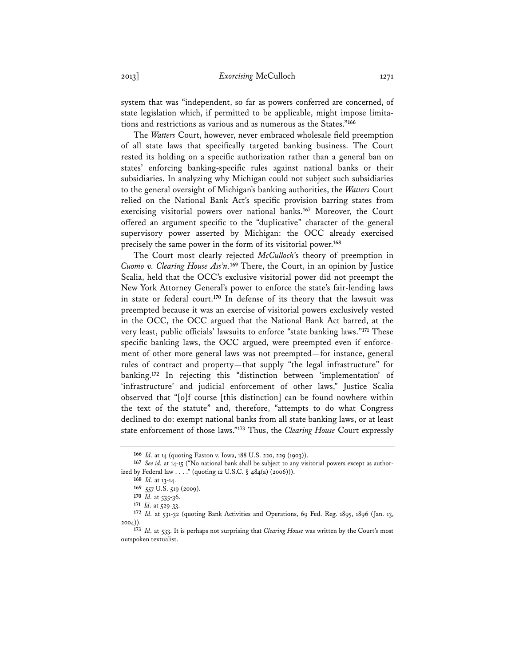system that was "independent, so far as powers conferred are concerned, of state legislation which, if permitted to be applicable, might impose limitations and restrictions as various and as numerous as the States."**<sup>166</sup>**

The *Watters* Court, however, never embraced wholesale field preemption of all state laws that specifically targeted banking business. The Court rested its holding on a specific authorization rather than a general ban on states' enforcing banking-specific rules against national banks or their subsidiaries. In analyzing why Michigan could not subject such subsidiaries to the general oversight of Michigan's banking authorities, the *Watters* Court relied on the National Bank Act's specific provision barring states from exercising visitorial powers over national banks.**<sup>167</sup>** Moreover, the Court offered an argument specific to the "duplicative" character of the general supervisory power asserted by Michigan: the OCC already exercised precisely the same power in the form of its visitorial power.**<sup>168</sup>**

The Court most clearly rejected *McCulloch*'s theory of preemption in *Cuomo v. Clearing House Ass'n*. **<sup>169</sup>** There, the Court, in an opinion by Justice Scalia, held that the OCC's exclusive visitorial power did not preempt the New York Attorney General's power to enforce the state's fair-lending laws in state or federal court.**<sup>170</sup>** In defense of its theory that the lawsuit was preempted because it was an exercise of visitorial powers exclusively vested in the OCC, the OCC argued that the National Bank Act barred, at the very least, public officials' lawsuits to enforce "state banking laws."**<sup>171</sup>** These specific banking laws, the OCC argued, were preempted even if enforcement of other more general laws was not preempted—for instance, general rules of contract and property—that supply "the legal infrastructure" for banking.**<sup>172</sup>** In rejecting this "distinction between 'implementation' of 'infrastructure' and judicial enforcement of other laws," Justice Scalia observed that "[o]f course [this distinction] can be found nowhere within the text of the statute" and, therefore, "attempts to do what Congress declined to do: exempt national banks from all state banking laws, or at least state enforcement of those laws."**<sup>173</sup>** Thus, the *Clearing House* Court expressly

**<sup>166</sup>** *Id.* at 14 (quoting Easton v. Iowa, 188 U.S. 220, 229 (1903)).

**<sup>167</sup>** *See id.* at 14-15 ("No national bank shall be subject to any visitorial powers except as authorized by Federal law . . . ." (quoting 12 U.S.C. § 484(a) (2006))).

**<sup>168</sup>** *Id.* at 13-14.

**<sup>169</sup>** 557 U.S. 519 (2009).

**<sup>170</sup>** *Id.* at 535-36.

**<sup>171</sup>** *Id.* at 529-33.

**<sup>172</sup>** *Id.* at 531-32 (quoting Bank Activities and Operations, 69 Fed. Reg. 1895, 1896 (Jan. 13, 2004)).

**<sup>173</sup>** *Id.* at 533. It is perhaps not surprising that *Clearing House* was written by the Court's most outspoken textualist.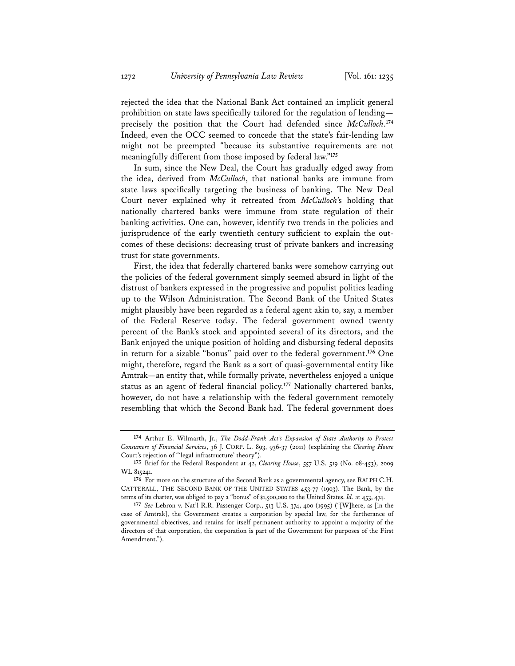rejected the idea that the National Bank Act contained an implicit general prohibition on state laws specifically tailored for the regulation of lending precisely the position that the Court had defended since *McCulloch*. **174** Indeed, even the OCC seemed to concede that the state's fair-lending law might not be preempted "because its substantive requirements are not meaningfully different from those imposed by federal law."**<sup>175</sup>**

In sum, since the New Deal, the Court has gradually edged away from the idea, derived from *McCulloch*, that national banks are immune from state laws specifically targeting the business of banking. The New Deal Court never explained why it retreated from *McCulloch*'s holding that nationally chartered banks were immune from state regulation of their banking activities. One can, however, identify two trends in the policies and jurisprudence of the early twentieth century sufficient to explain the outcomes of these decisions: decreasing trust of private bankers and increasing trust for state governments.

First, the idea that federally chartered banks were somehow carrying out the policies of the federal government simply seemed absurd in light of the distrust of bankers expressed in the progressive and populist politics leading up to the Wilson Administration. The Second Bank of the United States might plausibly have been regarded as a federal agent akin to, say, a member of the Federal Reserve today. The federal government owned twenty percent of the Bank's stock and appointed several of its directors, and the Bank enjoyed the unique position of holding and disbursing federal deposits in return for a sizable "bonus" paid over to the federal government.**<sup>176</sup>** One might, therefore, regard the Bank as a sort of quasi-governmental entity like Amtrak—an entity that, while formally private, nevertheless enjoyed a unique status as an agent of federal financial policy.**<sup>177</sup>** Nationally chartered banks, however, do not have a relationship with the federal government remotely resembling that which the Second Bank had. The federal government does

**<sup>174</sup>** Arthur E. Wilmarth, Jr., *The Dodd-Frank Act's Expansion of State Authority to Protect Consumers of Financial Services*, 36 J. CORP. L. 893, 936-37 (2011) (explaining the *Clearing House* Court's rejection of "'legal infrastructure' theory").

**<sup>175</sup>** Brief for the Federal Respondent at 42, *Clearing House*, 557 U.S. 519 (No. 08-453), 2009 WL 815241.

**<sup>176</sup>** For more on the structure of the Second Bank as a governmental agency, see RALPH C.H. CATTERALL, THE SECOND BANK OF THE UNITED STATES 453-77 (1903). The Bank, by the terms of its charter, was obliged to pay a "bonus" of \$1,500,000 to the United States. *Id.* at 453, 474.

**<sup>177</sup>** *See* Lebron v. Nat'l R.R. Passenger Corp., 513 U.S. 374, 400 (1995) ("[W]here, as [in the case of Amtrak], the Government creates a corporation by special law, for the furtherance of governmental objectives, and retains for itself permanent authority to appoint a majority of the directors of that corporation, the corporation is part of the Government for purposes of the First Amendment.").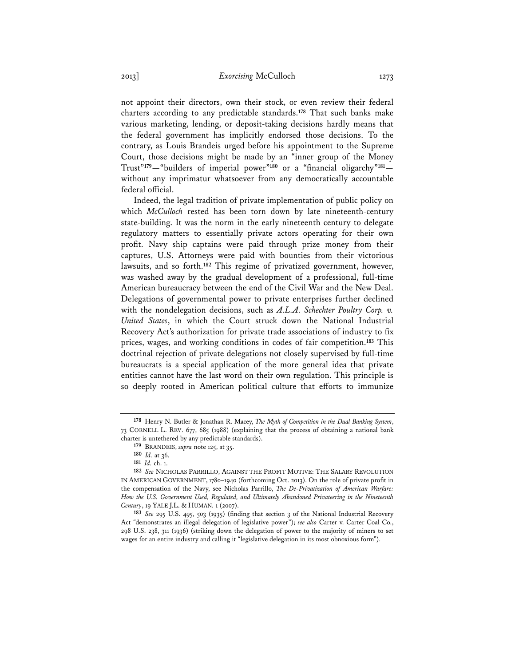not appoint their directors, own their stock, or even review their federal charters according to any predictable standards.**<sup>178</sup>** That such banks make various marketing, lending, or deposit-taking decisions hardly means that the federal government has implicitly endorsed those decisions. To the contrary, as Louis Brandeis urged before his appointment to the Supreme Court, those decisions might be made by an "inner group of the Money Trust"**<sup>179</sup>**—"builders of imperial power"**<sup>180</sup>** or a "financial oligarchy"**<sup>181</sup>** without any imprimatur whatsoever from any democratically accountable

Indeed, the legal tradition of private implementation of public policy on which *McCulloch* rested has been torn down by late nineteenth-century state-building. It was the norm in the early nineteenth century to delegate regulatory matters to essentially private actors operating for their own profit. Navy ship captains were paid through prize money from their captures, U.S. Attorneys were paid with bounties from their victorious lawsuits, and so forth.**<sup>182</sup>** This regime of privatized government, however, was washed away by the gradual development of a professional, full-time American bureaucracy between the end of the Civil War and the New Deal. Delegations of governmental power to private enterprises further declined with the nondelegation decisions, such as A.L.A. Schechter Poultry Corp. v. *United States*, in which the Court struck down the National Industrial Recovery Act's authorization for private trade associations of industry to fix prices, wages, and working conditions in codes of fair competition.**<sup>183</sup>** This doctrinal rejection of private delegations not closely supervised by full-time bureaucrats is a special application of the more general idea that private entities cannot have the last word on their own regulation. This principle is so deeply rooted in American political culture that efforts to immunize

federal official.

**<sup>178</sup>** Henry N. Butler & Jonathan R. Macey, *The Myth of Competition in the Dual Banking System*, 73 CORNELL L. REV. 677, 685 (1988) (explaining that the process of obtaining a national bank charter is untethered by any predictable standards).

**<sup>179</sup>** BRANDEIS, *supra* note 125, at 35.

**<sup>180</sup>** *Id.* at 36.

**<sup>181</sup>** *Id.* ch. 1.

**<sup>182</sup>** *See* NICHOLAS PARRILLO, AGAINST THE PROFIT MOTIVE: THE SALARY REVOLUTION IN AMERICAN GOVERNMENT, 1780–1940 (forthcoming Oct. 2013). On the role of private profit in the compensation of the Navy, see Nicholas Parrillo, *The De-Privatization of American Warfare: How the U.S. Government Used, Regulated, and Ultimately Abandoned Privateering in the Nineteenth Century*, 19 YALE J.L. & HUMAN. 1 (2007).

**<sup>183</sup>** *See* 295 U.S. 495, 503 (1935) (finding that section 3 of the National Industrial Recovery Act "demonstrates an illegal delegation of legislative power"); *see also* Carter v. Carter Coal Co., 298 U.S. 238, 311 (1936) (striking down the delegation of power to the majority of miners to set wages for an entire industry and calling it "legislative delegation in its most obnoxious form").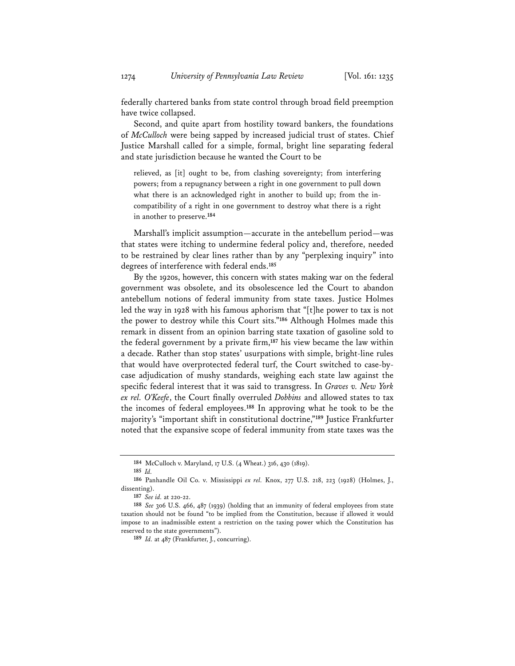federally chartered banks from state control through broad field preemption have twice collapsed.

Second, and quite apart from hostility toward bankers, the foundations of *McCulloch* were being sapped by increased judicial trust of states. Chief Justice Marshall called for a simple, formal, bright line separating federal and state jurisdiction because he wanted the Court to be

relieved, as [it] ought to be, from clashing sovereignty; from interfering powers; from a repugnancy between a right in one government to pull down what there is an acknowledged right in another to build up; from the incompatibility of a right in one government to destroy what there is a right in another to preserve.**<sup>184</sup>**

Marshall's implicit assumption—accurate in the antebellum period—was that states were itching to undermine federal policy and, therefore, needed to be restrained by clear lines rather than by any "perplexing inquiry" into degrees of interference with federal ends.**<sup>185</sup>**

By the 1920s, however, this concern with states making war on the federal government was obsolete, and its obsolescence led the Court to abandon antebellum notions of federal immunity from state taxes. Justice Holmes led the way in 1928 with his famous aphorism that "[t]he power to tax is not the power to destroy while this Court sits."**<sup>186</sup>** Although Holmes made this remark in dissent from an opinion barring state taxation of gasoline sold to the federal government by a private firm,**<sup>187</sup>** his view became the law within a decade. Rather than stop states' usurpations with simple, bright-line rules that would have overprotected federal turf, the Court switched to case-bycase adjudication of mushy standards, weighing each state law against the specific federal interest that it was said to transgress. In *Graves v. New York ex rel. O'Keefe*, the Court finally overruled *Dobbins* and allowed states to tax the incomes of federal employees.**<sup>188</sup>** In approving what he took to be the majority's "important shift in constitutional doctrine,"**<sup>189</sup>** Justice Frankfurter noted that the expansive scope of federal immunity from state taxes was the

**<sup>184</sup>** McCulloch v. Maryland, 17 U.S. (4 Wheat.) 316, 430 (1819).

**<sup>185</sup>** *Id.*

**<sup>186</sup>** Panhandle Oil Co. v. Mississippi *ex rel.* Knox, 277 U.S. 218, 223 (1928) (Holmes, J., dissenting).

**<sup>187</sup>** *See id.* at 220-22.

**<sup>188</sup>** *See* 306 U.S. 466, 487 (1939) (holding that an immunity of federal employees from state taxation should not be found "to be implied from the Constitution, because if allowed it would impose to an inadmissible extent a restriction on the taxing power which the Constitution has reserved to the state governments").

**<sup>189</sup>** *Id.* at 487 (Frankfurter, J., concurring).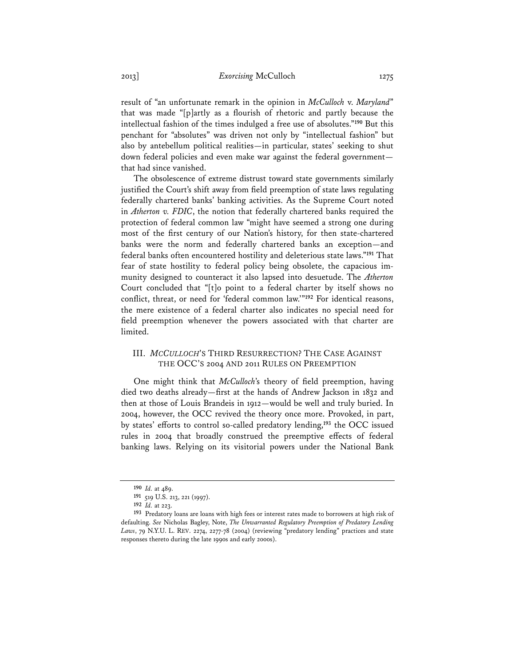result of "an unfortunate remark in the opinion in *McCulloch* v. *Maryland*" that was made "[p]artly as a flourish of rhetoric and partly because the intellectual fashion of the times indulged a free use of absolutes."**<sup>190</sup>** But this penchant for "absolutes" was driven not only by "intellectual fashion" but also by antebellum political realities—in particular, states' seeking to shut down federal policies and even make war against the federal government that had since vanished.

The obsolescence of extreme distrust toward state governments similarly justified the Court's shift away from field preemption of state laws regulating federally chartered banks' banking activities. As the Supreme Court noted in *Atherton v. FDIC*, the notion that federally chartered banks required the protection of federal common law "might have seemed a strong one during most of the first century of our Nation's history, for then state-chartered banks were the norm and federally chartered banks an exception—and federal banks often encountered hostility and deleterious state laws."**<sup>191</sup>** That fear of state hostility to federal policy being obsolete, the capacious immunity designed to counteract it also lapsed into desuetude. The *Atherton* Court concluded that "[t]o point to a federal charter by itself shows no conflict, threat, or need for 'federal common law.'"**<sup>192</sup>** For identical reasons, the mere existence of a federal charter also indicates no special need for field preemption whenever the powers associated with that charter are limited.

# III. *MCCULLOCH*'S THIRD RESURRECTION? THE CASE AGAINST THE OCC'S 2004 AND 2011 RULES ON PREEMPTION

One might think that *McCulloch*'s theory of field preemption, having died two deaths already—first at the hands of Andrew Jackson in 1832 and then at those of Louis Brandeis in 1912—would be well and truly buried. In 2004, however, the OCC revived the theory once more. Provoked, in part, by states' efforts to control so-called predatory lending,**<sup>193</sup>** the OCC issued rules in 2004 that broadly construed the preemptive effects of federal banking laws. Relying on its visitorial powers under the National Bank

**<sup>190</sup>** *Id.* at 489.

**<sup>191</sup>** 519 U.S. 213, 221 (1997).

**<sup>192</sup>** *Id.* at 223.

**<sup>193</sup>** Predatory loans are loans with high fees or interest rates made to borrowers at high risk of defaulting. *See* Nicholas Bagley, Note, *The Unwarranted Regulatory Preemption of Predatory Lending*  Laws, 79 N.Y.U. L. REV. 2274, 2277-78 (2004) (reviewing "predatory lending" practices and state responses thereto during the late 1990s and early 2000s).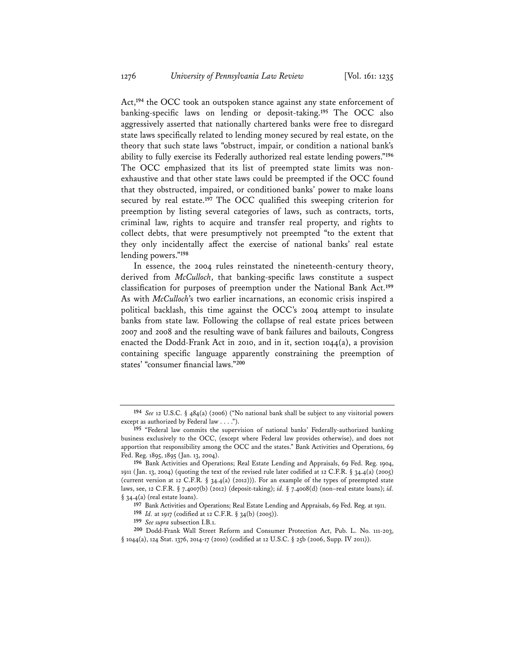Act,**<sup>194</sup>** the OCC took an outspoken stance against any state enforcement of banking-specific laws on lending or deposit-taking.**<sup>195</sup>** The OCC also aggressively asserted that nationally chartered banks were free to disregard state laws specifically related to lending money secured by real estate, on the theory that such state laws "obstruct, impair, or condition a national bank's ability to fully exercise its Federally authorized real estate lending powers."**<sup>196</sup>** The OCC emphasized that its list of preempted state limits was nonexhaustive and that other state laws could be preempted if the OCC found that they obstructed, impaired, or conditioned banks' power to make loans secured by real estate.**<sup>197</sup>** The OCC qualified this sweeping criterion for preemption by listing several categories of laws, such as contracts, torts, criminal law, rights to acquire and transfer real property, and rights to collect debts, that were presumptively not preempted "to the extent that they only incidentally affect the exercise of national banks' real estate lending powers."**<sup>198</sup>**

In essence, the 2004 rules reinstated the nineteenth-century theory, derived from *McCulloch*, that banking-specific laws constitute a suspect classification for purposes of preemption under the National Bank Act.**<sup>199</sup>** As with *McCulloch*'s two earlier incarnations, an economic crisis inspired a political backlash, this time against the OCC's 2004 attempt to insulate banks from state law. Following the collapse of real estate prices between 2007 and 2008 and the resulting wave of bank failures and bailouts, Congress enacted the Dodd-Frank Act in 2010, and in it, section 1044(a), a provision containing specific language apparently constraining the preemption of states' "consumer financial laws."**<sup>200</sup>**

**<sup>194</sup>** *See* 12 U.S.C. § 484(a) (2006) ("No national bank shall be subject to any visitorial powers except as authorized by Federal law . . . .").

**<sup>195</sup>** "Federal law commits the supervision of national banks' Federally-authorized banking business exclusively to the OCC, (except where Federal law provides otherwise), and does not apportion that responsibility among the OCC and the states." Bank Activities and Operations, 69 Fed. Reg. 1895, 1895 (Jan. 13, 2004).

**<sup>196</sup>** Bank Activities and Operations; Real Estate Lending and Appraisals, 69 Fed. Reg. 1904, 1911 (Jan. 13, 2004) (quoting the text of the revised rule later codified at 12 C.F.R. § 34.4(a) (2005) (current version at 12 C.F.R. § 34.4(a) (2012))). For an example of the types of preempted state laws, see, 12 C.F.R. § 7.4007(b) (2012) (deposit-taking); *id.* § 7.4008(d) (non–real estate loans); *id.*  $§ 34.4(a)$  (real estate loans).

**<sup>197</sup>** Bank Activities and Operations; Real Estate Lending and Appraisals, 69 Fed. Reg. at 1911.

**<sup>198</sup>** *Id.* at 1917 (codified at 12 C.F.R. § 34(b) (2005)).

**<sup>199</sup>** *See supra* subsection I.B.1.

**<sup>200</sup>** Dodd-Frank Wall Street Reform and Consumer Protection Act, Pub. L. No. 111-203, § 1044(a), 124 Stat. 1376, 2014-17 (2010) (codified at 12 U.S.C. § 25b (2006, Supp. IV 2011)).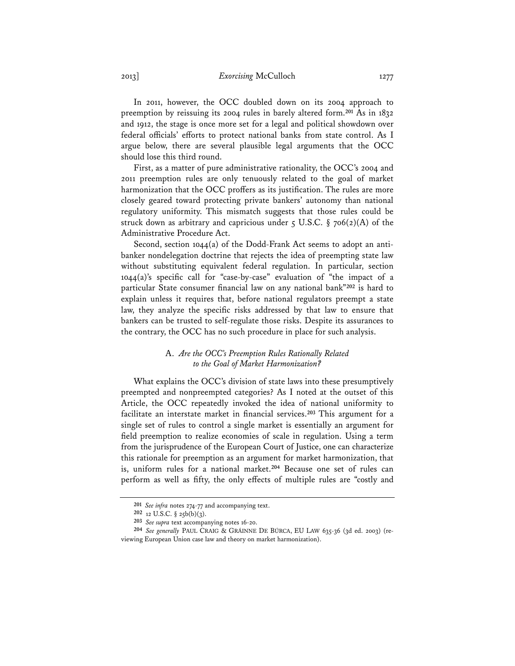In 2011, however, the OCC doubled down on its 2004 approach to preemption by reissuing its 2004 rules in barely altered form.**<sup>201</sup>** As in 1832 and 1912, the stage is once more set for a legal and political showdown over federal officials' efforts to protect national banks from state control. As I argue below, there are several plausible legal arguments that the OCC should lose this third round.

First, as a matter of pure administrative rationality, the OCC's 2004 and 2011 preemption rules are only tenuously related to the goal of market harmonization that the OCC proffers as its justification. The rules are more closely geared toward protecting private bankers' autonomy than national regulatory uniformity. This mismatch suggests that those rules could be struck down as arbitrary and capricious under  $5$  U.S.C. § 706(2)(A) of the Administrative Procedure Act.

Second, section 1044(a) of the Dodd-Frank Act seems to adopt an antibanker nondelegation doctrine that rejects the idea of preempting state law without substituting equivalent federal regulation. In particular, section 1044(a)'s specific call for "case-by-case" evaluation of "the impact of a particular State consumer financial law on any national bank"**<sup>202</sup>** is hard to explain unless it requires that, before national regulators preempt a state law, they analyze the specific risks addressed by that law to ensure that bankers can be trusted to self-regulate those risks. Despite its assurances to the contrary, the OCC has no such procedure in place for such analysis.

## A. *Are the OCC's Preemption Rules Rationally Related to the Goal of Market Harmonization?*

What explains the OCC's division of state laws into these presumptively preempted and nonpreempted categories? As I noted at the outset of this Article, the OCC repeatedly invoked the idea of national uniformity to facilitate an interstate market in financial services.**<sup>203</sup>** This argument for a single set of rules to control a single market is essentially an argument for field preemption to realize economies of scale in regulation. Using a term from the jurisprudence of the European Court of Justice, one can characterize this rationale for preemption as an argument for market harmonization, that is, uniform rules for a national market.**<sup>204</sup>** Because one set of rules can perform as well as fifty, the only effects of multiple rules are "costly and

**<sup>201</sup>** *See infra* notes 274-77 and accompanying text.

**<sup>202</sup>** 12 U.S.C. § 25b(b)(3).

**<sup>203</sup>** *See supra* text accompanying notes 16-20.

**<sup>204</sup>** *See generally* PAUL CRAIG & GRÁINNE DE BÚRCA, EU LAW 635-36 (3d ed. 2003) (reviewing European Union case law and theory on market harmonization).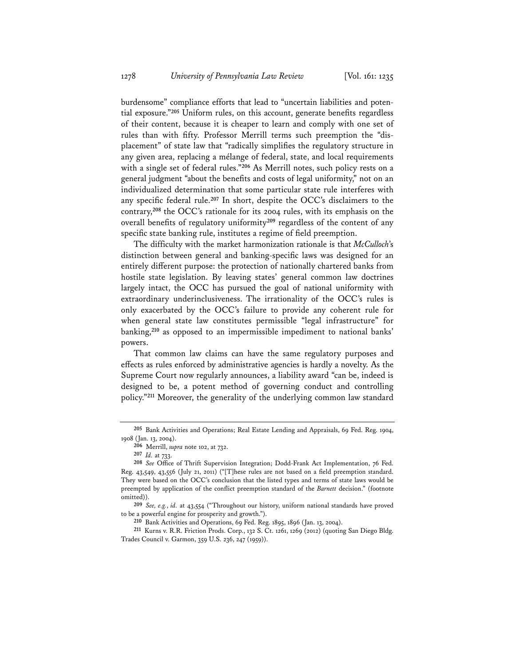burdensome" compliance efforts that lead to "uncertain liabilities and potential exposure."**<sup>205</sup>** Uniform rules, on this account, generate benefits regardless of their content, because it is cheaper to learn and comply with one set of rules than with fifty. Professor Merrill terms such preemption the "displacement" of state law that "radically simplifies the regulatory structure in any given area, replacing a mélange of federal, state, and local requirements with a single set of federal rules."**<sup>206</sup>** As Merrill notes, such policy rests on a general judgment "about the benefits and costs of legal uniformity," not on an individualized determination that some particular state rule interferes with any specific federal rule.**<sup>207</sup>** In short, despite the OCC's disclaimers to the contrary,**<sup>208</sup>** the OCC's rationale for its 2004 rules, with its emphasis on the overall benefits of regulatory uniformity**<sup>209</sup>** regardless of the content of any specific state banking rule, institutes a regime of field preemption.

The difficulty with the market harmonization rationale is that *McCulloch*'s distinction between general and banking-specific laws was designed for an entirely different purpose: the protection of nationally chartered banks from hostile state legislation. By leaving states' general common law doctrines largely intact, the OCC has pursued the goal of national uniformity with extraordinary underinclusiveness. The irrationality of the OCC's rules is only exacerbated by the OCC's failure to provide any coherent rule for when general state law constitutes permissible "legal infrastructure" for banking,**<sup>210</sup>** as opposed to an impermissible impediment to national banks' powers.

That common law claims can have the same regulatory purposes and effects as rules enforced by administrative agencies is hardly a novelty. As the Supreme Court now regularly announces, a liability award "can be, indeed is designed to be, a potent method of governing conduct and controlling policy."**<sup>211</sup>** Moreover, the generality of the underlying common law standard

**<sup>205</sup>** Bank Activities and Operations; Real Estate Lending and Appraisals, 69 Fed. Reg. 1904, 1908 (Jan. 13, 2004).

**<sup>206</sup>** Merrill, *supra* note 102, at 732.

**<sup>207</sup>** *Id.* at 733.

**<sup>208</sup>** *See* Office of Thrift Supervision Integration; Dodd-Frank Act Implementation, 76 Fed. Reg. 43,549, 43,556 (July 21, 2011) ("[T]hese rules are not based on a field preemption standard. They were based on the OCC's conclusion that the listed types and terms of state laws would be preempted by application of the conflict preemption standard of the *Barnett* decision." (footnote omitted)).

**<sup>209</sup>** *See, e.g.*, *id.* at 43,554 ("Throughout our history, uniform national standards have proved to be a powerful engine for prosperity and growth.").

**<sup>210</sup>** Bank Activities and Operations, 69 Fed. Reg. 1895, 1896 (Jan. 13, 2004).

**<sup>211</sup>** Kurns v. R.R. Friction Prods. Corp., 132 S. Ct. 1261, 1269 (2012) (quoting San Diego Bldg. Trades Council v. Garmon, 359 U.S. 236, 247 (1959)).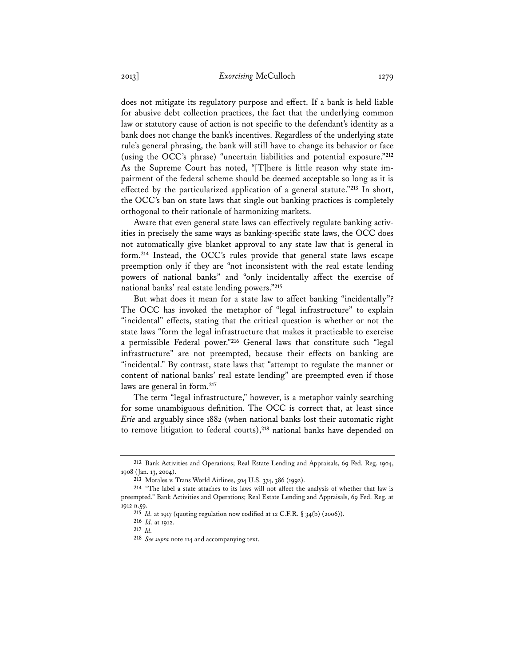does not mitigate its regulatory purpose and effect. If a bank is held liable for abusive debt collection practices, the fact that the underlying common law or statutory cause of action is not specific to the defendant's identity as a bank does not change the bank's incentives. Regardless of the underlying state rule's general phrasing, the bank will still have to change its behavior or face (using the OCC's phrase) "uncertain liabilities and potential exposure."**<sup>212</sup>** As the Supreme Court has noted, "[T]here is little reason why state impairment of the federal scheme should be deemed acceptable so long as it is effected by the particularized application of a general statute."**<sup>213</sup>** In short, the OCC's ban on state laws that single out banking practices is completely orthogonal to their rationale of harmonizing markets.

Aware that even general state laws can effectively regulate banking activities in precisely the same ways as banking-specific state laws, the OCC does not automatically give blanket approval to any state law that is general in form.**<sup>214</sup>** Instead, the OCC's rules provide that general state laws escape preemption only if they are "not inconsistent with the real estate lending powers of national banks" and "only incidentally affect the exercise of national banks' real estate lending powers."**<sup>215</sup>**

But what does it mean for a state law to affect banking "incidentally"? The OCC has invoked the metaphor of "legal infrastructure" to explain "incidental" effects, stating that the critical question is whether or not the state laws "form the legal infrastructure that makes it practicable to exercise a permissible Federal power."**<sup>216</sup>** General laws that constitute such "legal infrastructure" are not preempted, because their effects on banking are "incidental." By contrast, state laws that "attempt to regulate the manner or content of national banks' real estate lending" are preempted even if those laws are general in form.**<sup>217</sup>**

The term "legal infrastructure," however, is a metaphor vainly searching for some unambiguous definition. The OCC is correct that, at least since *Erie* and arguably since 1882 (when national banks lost their automatic right to remove litigation to federal courts),**<sup>218</sup>** national banks have depended on

**<sup>212</sup>** Bank Activities and Operations; Real Estate Lending and Appraisals, 69 Fed. Reg. 1904, 1908 (Jan. 13, 2004).

**<sup>213</sup>** Morales v. Trans World Airlines, 504 U.S. 374, 386 (1992).

**<sup>214</sup>** "The label a state attaches to its laws will not affect the analysis of whether that law is preempted." Bank Activities and Operations; Real Estate Lending and Appraisals, 69 Fed. Reg. at 1912 n.59.

**<sup>215</sup>** *Id.* at 1917 (quoting regulation now codified at 12 C.F.R. § 34(b) (2006)).

**<sup>216</sup>** *Id.* at 1912.

**<sup>217</sup>** *Id.*

**<sup>218</sup>** *See supra* note 114 and accompanying text.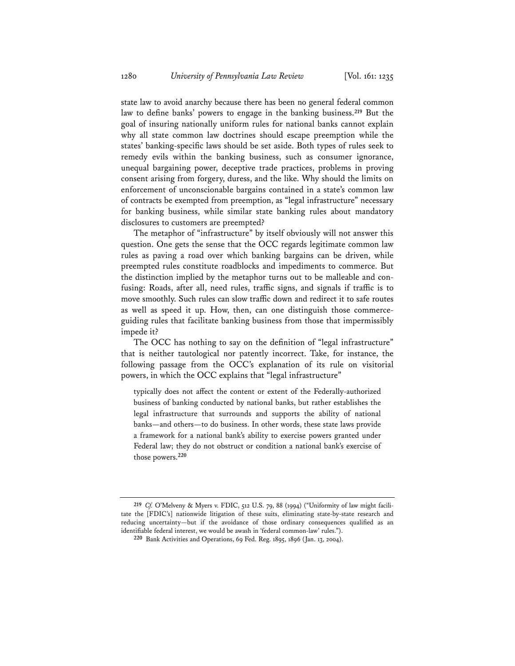state law to avoid anarchy because there has been no general federal common law to define banks' powers to engage in the banking business.**<sup>219</sup>** But the goal of insuring nationally uniform rules for national banks cannot explain why all state common law doctrines should escape preemption while the states' banking-specific laws should be set aside. Both types of rules seek to remedy evils within the banking business, such as consumer ignorance, unequal bargaining power, deceptive trade practices, problems in proving consent arising from forgery, duress, and the like. Why should the limits on enforcement of unconscionable bargains contained in a state's common law of contracts be exempted from preemption, as "legal infrastructure" necessary for banking business, while similar state banking rules about mandatory disclosures to customers are preempted?

The metaphor of "infrastructure" by itself obviously will not answer this question. One gets the sense that the OCC regards legitimate common law rules as paving a road over which banking bargains can be driven, while preempted rules constitute roadblocks and impediments to commerce. But the distinction implied by the metaphor turns out to be malleable and confusing: Roads, after all, need rules, traffic signs, and signals if traffic is to move smoothly. Such rules can slow traffic down and redirect it to safe routes as well as speed it up. How, then, can one distinguish those commerceguiding rules that facilitate banking business from those that impermissibly impede it?

The OCC has nothing to say on the definition of "legal infrastructure" that is neither tautological nor patently incorrect. Take, for instance, the following passage from the OCC's explanation of its rule on visitorial powers, in which the OCC explains that "legal infrastructure"

typically does not affect the content or extent of the Federally-authorized business of banking conducted by national banks, but rather establishes the legal infrastructure that surrounds and supports the ability of national banks—and others—to do business. In other words, these state laws provide a framework for a national bank's ability to exercise powers granted under Federal law; they do not obstruct or condition a national bank's exercise of those powers.**<sup>220</sup>**

**<sup>219</sup>** *Cf.* O'Melveny & Myers v. FDIC, 512 U.S. 79, 88 (1994) ("Uniformity of law might facilitate the [FDIC's] nationwide litigation of these suits, eliminating state-by-state research and reducing uncertainty—but if the avoidance of those ordinary consequences qualified as an identifiable federal interest, we would be awash in 'federal common-law' rules.").

**<sup>220</sup>** Bank Activities and Operations, 69 Fed. Reg. 1895, 1896 (Jan. 13, 2004).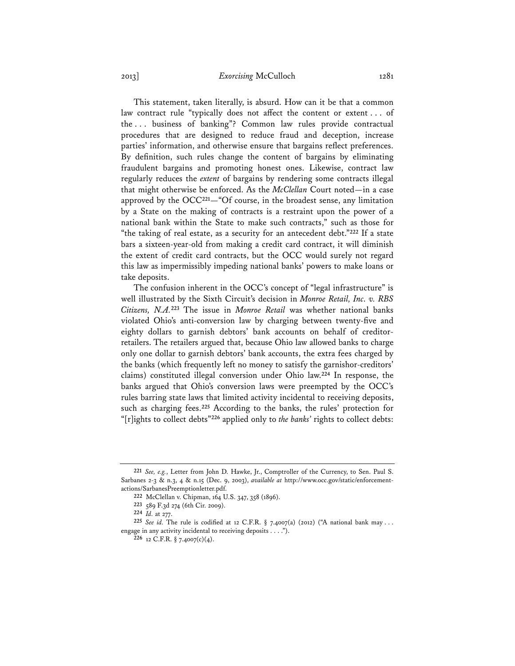This statement, taken literally, is absurd. How can it be that a common law contract rule "typically does not affect the content or extent . . . of the . . . business of banking"? Common law rules provide contractual procedures that are designed to reduce fraud and deception, increase parties' information, and otherwise ensure that bargains reflect preferences. By definition, such rules change the content of bargains by eliminating fraudulent bargains and promoting honest ones. Likewise, contract law regularly reduces the *extent* of bargains by rendering some contracts illegal that might otherwise be enforced. As the *McClellan* Court noted—in a case approved by the OCC**<sup>221</sup>**—"Of course, in the broadest sense, any limitation by a State on the making of contracts is a restraint upon the power of a national bank within the State to make such contracts," such as those for "the taking of real estate, as a security for an antecedent debt."**<sup>222</sup>** If a state bars a sixteen-year-old from making a credit card contract, it will diminish the extent of credit card contracts, but the OCC would surely not regard this law as impermissibly impeding national banks' powers to make loans or take deposits.

The confusion inherent in the OCC's concept of "legal infrastructure" is well illustrated by the Sixth Circuit's decision in *Monroe Retail, Inc. v. RBS Citizens, N.A.***<sup>223</sup>** The issue in *Monroe Retail* was whether national banks violated Ohio's anti-conversion law by charging between twenty-five and eighty dollars to garnish debtors' bank accounts on behalf of creditorretailers. The retailers argued that, because Ohio law allowed banks to charge only one dollar to garnish debtors' bank accounts, the extra fees charged by the banks (which frequently left no money to satisfy the garnishor-creditors' claims) constituted illegal conversion under Ohio law.**<sup>224</sup>** In response, the banks argued that Ohio's conversion laws were preempted by the OCC's rules barring state laws that limited activity incidental to receiving deposits, such as charging fees.**<sup>225</sup>** According to the banks, the rules' protection for "[r]ights to collect debts"**<sup>226</sup>** applied only to *the banks'* rights to collect debts:

**<sup>221</sup>** *See, e.g.*, Letter from John D. Hawke, Jr., Comptroller of the Currency, to Sen. Paul S. Sarbanes 2-3 & n.3, 4 & n.15 (Dec. 9, 2003), *available at* http://www.occ.gov/static/enforcementactions/SarbanesPreemptionletter.pdf.

**<sup>222</sup>** McClellan v. Chipman, 164 U.S. 347, 358 (1896).

**<sup>223</sup>** 589 F.3d 274 (6th Cir. 2009).

**<sup>224</sup>** *Id.* at 277.

**<sup>225</sup>** *See id.* The rule is codified at 12 C.F.R. § 7.4007(a) (2012) ("A national bank may . . . engage in any activity incidental to receiving deposits . . . .").

**<sup>226</sup>** 12 C.F.R. § 7.4007(c)(4).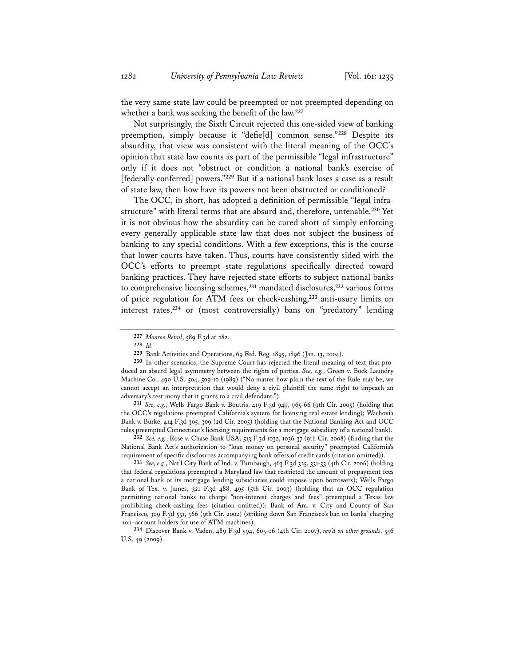the very same state law could be preempted or not preempted depending on whether a bank was seeking the benefit of the law.**<sup>227</sup>**

Not surprisingly, the Sixth Circuit rejected this one-sided view of banking preemption, simply because it "defie[d] common sense."**<sup>228</sup>** Despite its absurdity, that view was consistent with the literal meaning of the OCC's opinion that state law counts as part of the permissible "legal infrastructure" only if it does not "obstruct or condition a national bank's exercise of [federally conferred] powers."**<sup>229</sup>** But if a national bank loses a case as a result of state law, then how have its powers not been obstructed or conditioned?

The OCC, in short, has adopted a definition of permissible "legal infrastructure" with literal terms that are absurd and, therefore, untenable.**<sup>230</sup>** Yet it is not obvious how the absurdity can be cured short of simply enforcing every generally applicable state law that does not subject the business of banking to any special conditions. With a few exceptions, this is the course that lower courts have taken. Thus, courts have consistently sided with the OCC's efforts to preempt state regulations specifically directed toward banking practices. They have rejected state efforts to subject national banks to comprehensive licensing schemes,**<sup>231</sup>** mandated disclosures,**<sup>232</sup>** various forms of price regulation for ATM fees or check-cashing,**<sup>233</sup>** anti-usury limits on interest rates,**<sup>234</sup>** or (most controversially) bans on "predatory" lending

**231** *See, e.g.*, Wells Fargo Bank v. Boutris, 419 F.3d 949, 965-66 (9th Cir. 2005) (holding that the OCC's regulations preempted California's system for licensing real estate lending); Wachovia Bank v. Burke, 414 F.3d 305, 309 (2d Cir. 2005) (holding that the National Banking Act and OCC rules preempted Connecticut's licensing requirements for a mortgage subsidiary of a national bank).

**232** *See, e.g.*, Rose v. Chase Bank USA, 513 F.3d 1032, 1036-37 (9th Cir. 2008) (finding that the National Bank Act's authorization to "loan money on personal security" preempted California's requirement of specific disclosures accompanying bank offers of credit cards (citation omitted)).

**233** *See, e.g.*, Nat'l City Bank of Ind. v. Turnbaugh, 463 F.3d 325, 331-33 (4th Cir. 2006) (holding that federal regulations preempted a Maryland law that restricted the amount of prepayment fees a national bank or its mortgage lending subsidiaries could impose upon borrowers); Wells Fargo Bank of Tex. v. James, 321 F.3d 488, 495 (5th Cir. 2003) (holding that an OCC regulation permitting national banks to charge "non-interest charges and fees" preempted a Texas law prohibiting check-cashing fees (citation omitted)); Bank of Am. v. City and County of San Francisco, 309 F.3d 551, 566 (9th Cir. 2002) (striking down San Francisco's ban on banks' charging non–account holders for use of ATM machines).

**234** Discover Bank v. Vaden, 489 F.3d 594, 605-06 (4th Cir. 2007), *rev'd on other grounds*, 556 U.S. 49 (2009).

**<sup>227</sup>** *Monroe Retail*, 589 F.3d at 282.

**<sup>228</sup>** *Id.*

**<sup>229</sup>** Bank Activities and Operations, 69 Fed. Reg. 1895, 1896 (Jan. 13, 2004).

**<sup>230</sup>** In other scenarios, the Supreme Court has rejected the literal meaning of text that produced an absurd legal asymmetry between the rights of parties. *See, e.g.*, Green v. Bock Laundry Machine Co., 490 U.S. 504, 509-10 (1989) ("No matter how plain the text of the Rule may be, we cannot accept an interpretation that would deny a civil plaintiff the same right to impeach an adversary's testimony that it grants to a civil defendant.").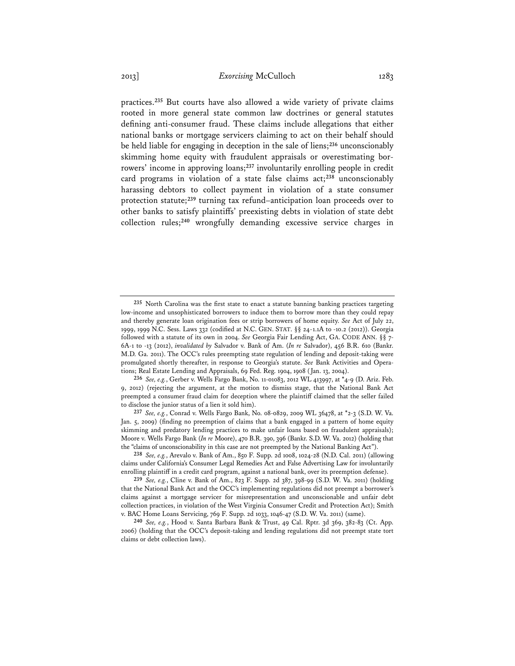practices.**<sup>235</sup>** But courts have also allowed a wide variety of private claims rooted in more general state common law doctrines or general statutes defining anti-consumer fraud. These claims include allegations that either national banks or mortgage servicers claiming to act on their behalf should

be held liable for engaging in deception in the sale of liens;**<sup>236</sup>** unconscionably skimming home equity with fraudulent appraisals or overestimating borrowers' income in approving loans;**<sup>237</sup>** involuntarily enrolling people in credit card programs in violation of a state false claims act;**<sup>238</sup>** unconscionably harassing debtors to collect payment in violation of a state consumer protection statute;**<sup>239</sup>** turning tax refund–anticipation loan proceeds over to other banks to satisfy plaintiffs' preexisting debts in violation of state debt collection rules;**<sup>240</sup>** wrongfully demanding excessive service charges in

**236** *See, e.g.*, Gerber v. Wells Fargo Bank, No. 11-01083, 2012 WL 413997, at \*4-9 (D. Ariz. Feb. 9, 2012) (rejecting the argument, at the motion to dismiss stage, that the National Bank Act preempted a consumer fraud claim for deception where the plaintiff claimed that the seller failed to disclose the junior status of a lien it sold him).

**<sup>235</sup>** North Carolina was the first state to enact a statute banning banking practices targeting low-income and unsophisticated borrowers to induce them to borrow more than they could repay and thereby generate loan origination fees or strip borrowers of home equity. *See* Act of July 22, 1999, 1999 N.C. Sess. Laws 332 (codified at N.C. GEN. STAT. §§ 24-1.1A to -10.2 (2012)). Georgia followed with a statute of its own in 2004. *See* Georgia Fair Lending Act, GA. CODE ANN. §§ 7- 6A-1 to -13 (2012), *invalidated by* Salvador v. Bank of Am. (*In re* Salvador), 456 B.R. 610 (Bankr. M.D. Ga. 2011). The OCC's rules preempting state regulation of lending and deposit-taking were promulgated shortly thereafter, in response to Georgia's statute. *See* Bank Activities and Operations; Real Estate Lending and Appraisals, 69 Fed. Reg. 1904, 1908 (Jan. 13, 2004).

**<sup>237</sup>** *See, e.g.*, Conrad v. Wells Fargo Bank, No. 08-0829, 2009 WL 36478, at \*2-3 (S.D. W. Va. Jan. 5, 2009) (finding no preemption of claims that a bank engaged in a pattern of home equity skimming and predatory lending practices to make unfair loans based on fraudulent appraisals); Moore v. Wells Fargo Bank (*In re* Moore), 470 B.R. 390, 396 (Bankr. S.D. W. Va. 2012) (holding that the "claims of unconscionability in this case are not preempted by the National Banking Act").

**<sup>238</sup>** *See, e.g.*, Arevalo v. Bank of Am., 850 F. Supp. 2d 1008, 1024-28 (N.D. Cal. 2011) (allowing claims under California's Consumer Legal Remedies Act and False Advertising Law for involuntarily enrolling plaintiff in a credit card program, against a national bank, over its preemption defense).

**<sup>239</sup>** *See, e.g.*, Cline v. Bank of Am., 823 F. Supp. 2d 387, 398-99 (S.D. W. Va. 2011) (holding that the National Bank Act and the OCC's implementing regulations did not preempt a borrower's claims against a mortgage servicer for misrepresentation and unconscionable and unfair debt collection practices, in violation of the West Virginia Consumer Credit and Protection Act); Smith v. BAC Home Loans Servicing, 769 F. Supp. 2d 1033, 1046-47 (S.D. W. Va. 2011) (same).

**<sup>240</sup>** *See, e.g.*, Hood v. Santa Barbara Bank & Trust, 49 Cal. Rptr. 3d 369, 382-83 (Ct. App. 2006) (holding that the OCC's deposit-taking and lending regulations did not preempt state tort claims or debt collection laws).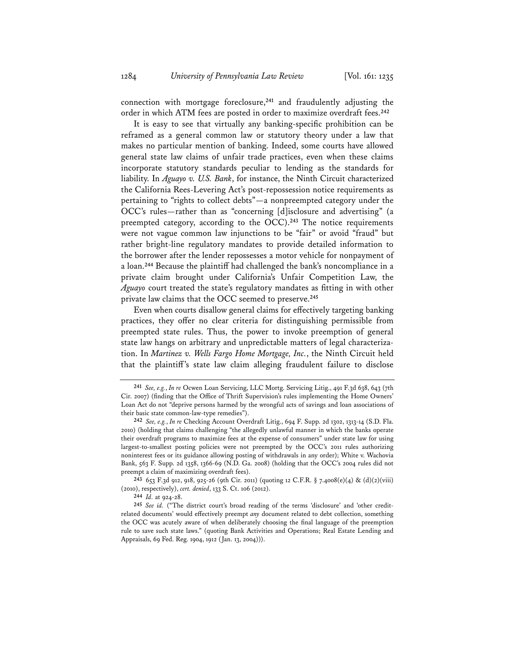connection with mortgage foreclosure,**<sup>241</sup>** and fraudulently adjusting the order in which ATM fees are posted in order to maximize overdraft fees.**<sup>242</sup>**

It is easy to see that virtually any banking-specific prohibition can be reframed as a general common law or statutory theory under a law that makes no particular mention of banking. Indeed, some courts have allowed general state law claims of unfair trade practices, even when these claims incorporate statutory standards peculiar to lending as the standards for liability. In *Aguayo v. U.S. Bank*, for instance, the Ninth Circuit characterized the California Rees-Levering Act's post-repossession notice requirements as pertaining to "rights to collect debts"—a nonpreempted category under the OCC's rules—rather than as "concerning [d]isclosure and advertising" (a preempted category, according to the OCC).**<sup>243</sup>** The notice requirements were not vague common law injunctions to be "fair" or avoid "fraud" but rather bright-line regulatory mandates to provide detailed information to the borrower after the lender repossesses a motor vehicle for nonpayment of a loan.**<sup>244</sup>** Because the plaintiff had challenged the bank's noncompliance in a private claim brought under California's Unfair Competition Law, the *Aguayo* court treated the state's regulatory mandates as fitting in with other private law claims that the OCC seemed to preserve.**<sup>245</sup>**

Even when courts disallow general claims for effectively targeting banking practices, they offer no clear criteria for distinguishing permissible from preempted state rules. Thus, the power to invoke preemption of general state law hangs on arbitrary and unpredictable matters of legal characterization. In *Martinez v. Wells Fargo Home Mortgage, Inc.*, the Ninth Circuit held that the plaintiff's state law claim alleging fraudulent failure to disclose

**<sup>241</sup>** *See, e.g.*, *In re* Ocwen Loan Servicing, LLC Mortg. Servicing Litig., 491 F.3d 638, 643 (7th Cir. 2007) (finding that the Office of Thrift Supervision's rules implementing the Home Owners' Loan Act do not "deprive persons harmed by the wrongful acts of savings and loan associations of their basic state common-law-type remedies").

**<sup>242</sup>** *See, e.g.*, *In re* Checking Account Overdraft Litig., 694 F. Supp. 2d 1302, 1313-14 (S.D. Fla. 2010) (holding that claims challenging "the allegedly unlawful manner in which the banks operate their overdraft programs to maximize fees at the expense of consumers" under state law for using largest-to-smallest posting policies were not preempted by the OCC's 2011 rules authorizing noninterest fees or its guidance allowing posting of withdrawals in any order); White v. Wachovia Bank, 563 F. Supp. 2d 1358, 1366-69 (N.D. Ga. 2008) (holding that the OCC's 2004 rules did not preempt a claim of maximizing overdraft fees).

**<sup>243</sup>** 653 F.3d 912, 918, 925-26 (9th Cir. 2011) (quoting 12 C.F.R. § 7.4008(e)(4) & (d)(2)(viii) (2010), respectively), *cert. denied*, 133 S. Ct. 106 (2012).

**<sup>244</sup>** *Id.* at 924-28.

**<sup>245</sup>** *See id.* ("The district court's broad reading of the terms 'disclosure' and 'other creditrelated documents' would effectively preempt *any* document related to debt collection, something the OCC was acutely aware of when deliberately choosing the final language of the preemption rule to save such state laws." (quoting Bank Activities and Operations; Real Estate Lending and Appraisals, 69 Fed. Reg. 1904, 1912 (Jan. 13, 2004))).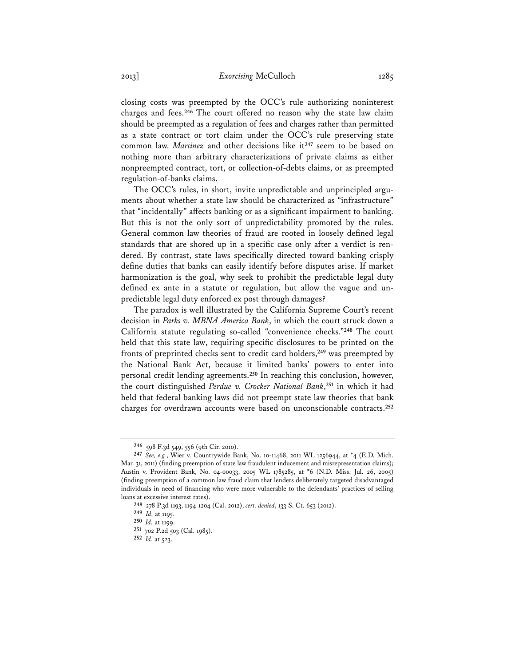closing costs was preempted by the OCC's rule authorizing noninterest charges and fees.**<sup>246</sup>** The court offered no reason why the state law claim should be preempted as a regulation of fees and charges rather than permitted as a state contract or tort claim under the OCC's rule preserving state common law. *Martinez* and other decisions like it**<sup>247</sup>** seem to be based on nothing more than arbitrary characterizations of private claims as either nonpreempted contract, tort, or collection-of-debts claims, or as preempted regulation-of-banks claims.

The OCC's rules, in short, invite unpredictable and unprincipled arguments about whether a state law should be characterized as "infrastructure" that "incidentally" affects banking or as a significant impairment to banking. But this is not the only sort of unpredictability promoted by the rules. General common law theories of fraud are rooted in loosely defined legal standards that are shored up in a specific case only after a verdict is rendered. By contrast, state laws specifically directed toward banking crisply define duties that banks can easily identify before disputes arise. If market harmonization is the goal, why seek to prohibit the predictable legal duty defined ex ante in a statute or regulation, but allow the vague and unpredictable legal duty enforced ex post through damages?

The paradox is well illustrated by the California Supreme Court's recent decision in *Parks v. MBNA America Bank*, in which the court struck down a California statute regulating so-called "convenience checks."**<sup>248</sup>** The court held that this state law, requiring specific disclosures to be printed on the fronts of preprinted checks sent to credit card holders,**<sup>249</sup>** was preempted by the National Bank Act, because it limited banks' powers to enter into personal credit lending agreements.**<sup>250</sup>** In reaching this conclusion, however, the court distinguished *Perdue v. Crocker National Bank*, **<sup>251</sup>** in which it had held that federal banking laws did not preempt state law theories that bank charges for overdrawn accounts were based on unconscionable contracts.**<sup>252</sup>**

**<sup>246</sup>** 598 F.3d 549, 556 (9th Cir. 2010).

**<sup>247</sup>** *See, e.g.*, Wier v. Countrywide Bank, No. 10-11468, 2011 WL 1256944, at \*4 (E.D. Mich. Mar. 31, 2011) (finding preemption of state law fraudulent inducement and misrepresentation claims); Austin v. Provident Bank, No. 04-00033, 2005 WL 1785285, at \*6 (N.D. Miss. Jul. 26, 2005) (finding preemption of a common law fraud claim that lenders deliberately targeted disadvantaged individuals in need of financing who were more vulnerable to the defendants' practices of selling loans at excessive interest rates).

**<sup>248</sup>** 278 P.3d 1193, 1194-1204 (Cal. 2012), *cert. denied*, 133 S. Ct. 653 (2012).

**<sup>249</sup>** *Id.* at 1195.

**<sup>250</sup>** *Id.* at 1199.

**<sup>251</sup>** 702 P.2d 503 (Cal. 1985).

**<sup>252</sup>** *Id*. at 523.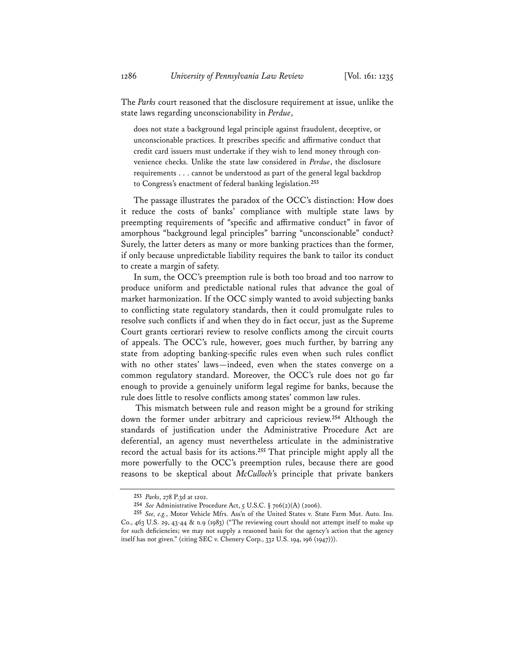The *Parks* court reasoned that the disclosure requirement at issue, unlike the state laws regarding unconscionability in *Perdue*,

does not state a background legal principle against fraudulent, deceptive, or unconscionable practices. It prescribes specific and affirmative conduct that credit card issuers must undertake if they wish to lend money through convenience checks. Unlike the state law considered in *Perdue*, the disclosure requirements . . . cannot be understood as part of the general legal backdrop to Congress's enactment of federal banking legislation.**<sup>253</sup>**

The passage illustrates the paradox of the OCC's distinction: How does it reduce the costs of banks' compliance with multiple state laws by preempting requirements of "specific and affirmative conduct" in favor of amorphous "background legal principles" barring "unconscionable" conduct? Surely, the latter deters as many or more banking practices than the former, if only because unpredictable liability requires the bank to tailor its conduct to create a margin of safety.

In sum, the OCC's preemption rule is both too broad and too narrow to produce uniform and predictable national rules that advance the goal of market harmonization. If the OCC simply wanted to avoid subjecting banks to conflicting state regulatory standards, then it could promulgate rules to resolve such conflicts if and when they do in fact occur, just as the Supreme Court grants certiorari review to resolve conflicts among the circuit courts of appeals. The OCC's rule, however, goes much further, by barring any state from adopting banking-specific rules even when such rules conflict with no other states' laws—indeed, even when the states converge on a common regulatory standard. Moreover, the OCC's rule does not go far enough to provide a genuinely uniform legal regime for banks, because the rule does little to resolve conflicts among states' common law rules.

 This mismatch between rule and reason might be a ground for striking down the former under arbitrary and capricious review.**<sup>254</sup>** Although the standards of justification under the Administrative Procedure Act are deferential, an agency must nevertheless articulate in the administrative record the actual basis for its actions.**<sup>255</sup>** That principle might apply all the more powerfully to the OCC's preemption rules, because there are good reasons to be skeptical about *McCulloch*'s principle that private bankers

**<sup>253</sup>** *Parks*, 278 P.3d at 1202.

**<sup>254</sup>** *See* Administrative Procedure Act, 5 U.S.C. § 706(2)(A) (2006).

**<sup>255</sup>** *See, e.g.*, Motor Vehicle Mfrs. Ass'n of the United States v. State Farm Mut. Auto. Ins. Co., 463 U.S. 29, 43-44 & n.9 (1983) ("The reviewing court should not attempt itself to make up for such deficiencies; we may not supply a reasoned basis for the agency's action that the agency itself has not given." (citing SEC v. Chenery Corp., 332 U.S. 194, 196 (1947))).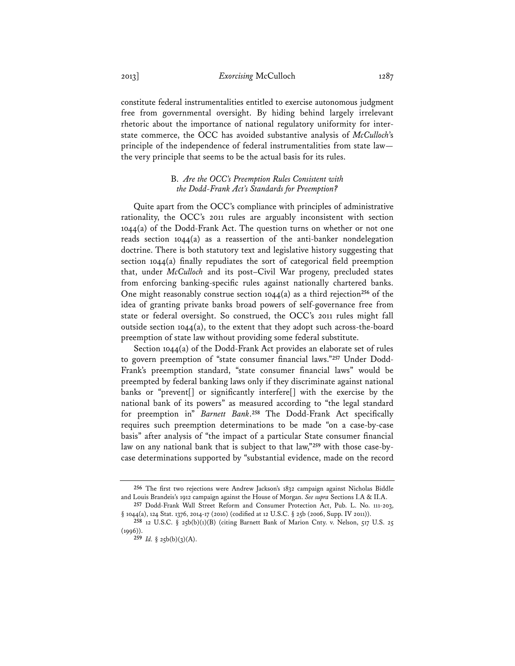constitute federal instrumentalities entitled to exercise autonomous judgment free from governmental oversight. By hiding behind largely irrelevant rhetoric about the importance of national regulatory uniformity for interstate commerce, the OCC has avoided substantive analysis of *McCulloch*'s principle of the independence of federal instrumentalities from state law the very principle that seems to be the actual basis for its rules.

#### B. *Are the OCC's Preemption Rules Consistent with the Dodd-Frank Act's Standards for Preemption?*

Quite apart from the OCC's compliance with principles of administrative rationality, the OCC's 2011 rules are arguably inconsistent with section 1044(a) of the Dodd-Frank Act. The question turns on whether or not one reads section 1044(a) as a reassertion of the anti-banker nondelegation doctrine. There is both statutory text and legislative history suggesting that section 1044(a) finally repudiates the sort of categorical field preemption that, under *McCulloch* and its post–Civil War progeny, precluded states from enforcing banking-specific rules against nationally chartered banks. One might reasonably construe section 1044(a) as a third rejection**<sup>256</sup>** of the idea of granting private banks broad powers of self-governance free from state or federal oversight. So construed, the OCC's 2011 rules might fall outside section 1044(a), to the extent that they adopt such across-the-board preemption of state law without providing some federal substitute.

Section 1044(a) of the Dodd-Frank Act provides an elaborate set of rules to govern preemption of "state consumer financial laws."**257** Under Dodd-Frank's preemption standard, "state consumer financial laws" would be preempted by federal banking laws only if they discriminate against national banks or "prevent[] or significantly interfere[] with the exercise by the national bank of its powers" as measured according to "the legal standard for preemption in" *Barnett Bank*. **<sup>258</sup>** The Dodd-Frank Act specifically requires such preemption determinations to be made "on a case-by-case basis" after analysis of "the impact of a particular State consumer financial law on any national bank that is subject to that law,"**259** with those case-bycase determinations supported by "substantial evidence, made on the record

**<sup>256</sup>** The first two rejections were Andrew Jackson's 1832 campaign against Nicholas Biddle and Louis Brandeis's 1912 campaign against the House of Morgan. *See supra* Sections I.A & II.A.

**<sup>257</sup>** Dodd-Frank Wall Street Reform and Consumer Protection Act, Pub. L. No. 111-203, § 1044(a), 124 Stat. 1376, 2014-17 (2010) (codified at 12 U.S.C. § 25b (2006, Supp. IV 2011)).

**<sup>258</sup>** 12 U.S.C. § 25b(b)(1)(B) (citing Barnett Bank of Marion Cnty. v. Nelson, 517 U.S. 25  $(1996)$ .

**<sup>259</sup>** *Id.* § 25b(b)(3)(A).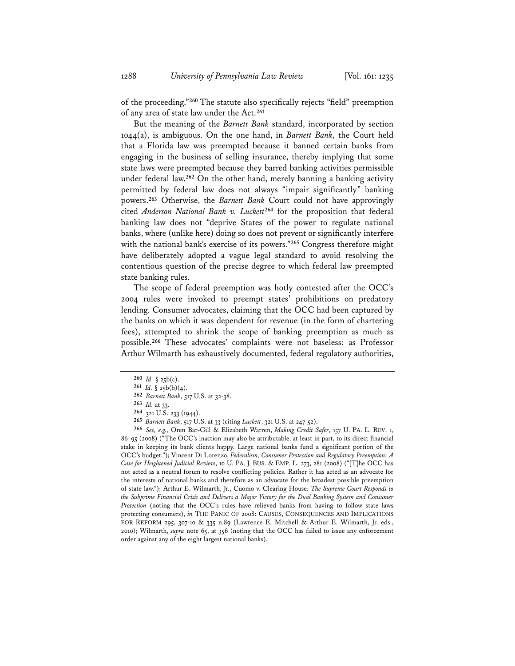of the proceeding."**<sup>260</sup>** The statute also specifically rejects "field" preemption of any area of state law under the Act.**<sup>261</sup>**

But the meaning of the *Barnett Bank* standard, incorporated by section 1044(a), is ambiguous. On the one hand, in *Barnett Bank*, the Court held that a Florida law was preempted because it banned certain banks from engaging in the business of selling insurance, thereby implying that some state laws were preempted because they barred banking activities permissible under federal law.**<sup>262</sup>** On the other hand, merely banning a banking activity permitted by federal law does not always "impair significantly" banking powers.**<sup>263</sup>** Otherwise, the *Barnett Bank* Court could not have approvingly cited *Anderson National Bank v. Luckett***<sup>264</sup>** for the proposition that federal banking law does not "deprive States of the power to regulate national banks, where (unlike here) doing so does not prevent or significantly interfere with the national bank's exercise of its powers."**<sup>265</sup>** Congress therefore might have deliberately adopted a vague legal standard to avoid resolving the contentious question of the precise degree to which federal law preempted state banking rules.

The scope of federal preemption was hotly contested after the OCC's 2004 rules were invoked to preempt states' prohibitions on predatory lending. Consumer advocates, claiming that the OCC had been captured by the banks on which it was dependent for revenue (in the form of chartering fees), attempted to shrink the scope of banking preemption as much as possible.**<sup>266</sup>** These advocates' complaints were not baseless: as Professor Arthur Wilmarth has exhaustively documented, federal regulatory authorities,

**266** *See, e.g.*, Oren Bar-Gill & Elizabeth Warren, *Making Credit Safer*, 157 U. PA. L. REV. 1, 86-95 (2008) ("The OCC's inaction may also be attributable, at least in part, to its direct financial stake in keeping its bank clients happy. Large national banks fund a significant portion of the OCC's budget."); Vincent Di Lorenzo, *Federalism, Consumer Protection and Regulatory Preemption: A Case for Heightened Judicial Review*, 10 U. PA. J. BUS. & EMP. L. 273, 281 (2008) ("[T]he OCC has not acted as a neutral forum to resolve conflicting policies. Rather it has acted as an advocate for the interests of national banks and therefore as an advocate for the broadest possible preemption of state law."); Arthur E. Wilmarth, Jr., Cuomo v. Clearing House*: The Supreme Court Responds to the Subprime Financial Crisis and Delivers a Major Victory for the Dual Banking System and Consumer Protection* (noting that the OCC's rules have relieved banks from having to follow state laws protecting consumers), *in* THE PANIC OF 2008: CAUSES, CONSEQUENCES AND IMPLICATIONS FOR REFORM 295, 307-10 & 335 n.89 (Lawrence E. Mitchell & Arthur E. Wilmarth, Jr. eds., 2010); Wilmarth, *supra* note 65, at 356 (noting that the OCC has failed to issue any enforcement order against any of the eight largest national banks).

**<sup>260</sup>** *Id.* § 25b(c).

**<sup>261</sup>** *Id.* § 25b(b)(4).

**<sup>262</sup>** *Barnett Bank*, 517 U.S. at 32-38.

**<sup>263</sup>** *Id.* at 33.

**<sup>264</sup>** 321 U.S. 233 (1944).

**<sup>265</sup>** *Barnett Bank*, 517 U.S. at 33 (citing *Luckett*, 321 U.S. at 247-52).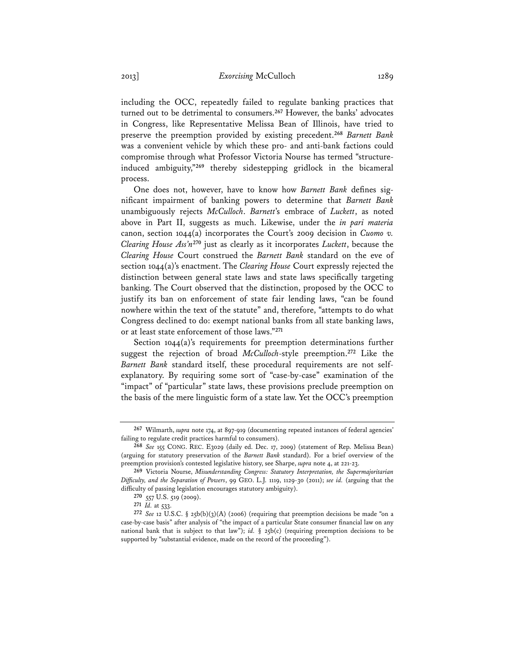including the OCC, repeatedly failed to regulate banking practices that turned out to be detrimental to consumers.**<sup>267</sup>** However, the banks' advocates in Congress, like Representative Melissa Bean of Illinois, have tried to preserve the preemption provided by existing precedent.**<sup>268</sup>** *Barnett Bank* was a convenient vehicle by which these pro- and anti-bank factions could compromise through what Professor Victoria Nourse has termed "structureinduced ambiguity,"**<sup>269</sup>** thereby sidestepping gridlock in the bicameral process.

One does not, however, have to know how *Barnett Bank* defines significant impairment of banking powers to determine that *Barnett Bank* unambiguously rejects *McCulloch*. *Barnett*'s embrace of *Luckett*, as noted above in Part II, suggests as much. Likewise, under the *in pari materia* canon, section 1044(a) incorporates the Court's 2009 decision in *Cuomo v. Clearing House Ass'n***<sup>270</sup>** just as clearly as it incorporates *Luckett*, because the *Clearing House* Court construed the *Barnett Bank* standard on the eve of section 1044(a)'s enactment. The *Clearing House* Court expressly rejected the distinction between general state laws and state laws specifically targeting banking. The Court observed that the distinction, proposed by the OCC to justify its ban on enforcement of state fair lending laws, "can be found nowhere within the text of the statute" and, therefore, "attempts to do what Congress declined to do: exempt national banks from all state banking laws, or at least state enforcement of those laws."**<sup>271</sup>**

Section 1044(a)'s requirements for preemption determinations further suggest the rejection of broad *McCulloch*-style preemption.**<sup>272</sup>** Like the *Barnett Bank* standard itself, these procedural requirements are not selfexplanatory. By requiring some sort of "case-by-case" examination of the "impact" of "particular" state laws, these provisions preclude preemption on the basis of the mere linguistic form of a state law. Yet the OCC's preemption

**<sup>267</sup>** Wilmarth, *supra* note 174, at 897-919 (documenting repeated instances of federal agencies' failing to regulate credit practices harmful to consumers).

**<sup>268</sup>** *See* 155 CONG. REC. E3029 (daily ed. Dec. 17, 2009) (statement of Rep. Melissa Bean) (arguing for statutory preservation of the *Barnett Bank* standard). For a brief overview of the preemption provision's contested legislative history, see Sharpe, *supra* note 4, at 221-23.

**<sup>269</sup>** Victoria Nourse, *Misunderstanding Congress: Statutory Interpretation, the Supermajoritarian Difficulty, and the Separation of Powers*, 99 GEO. L.J. 1119, 1129-30 (2011); *see id.* (arguing that the difficulty of passing legislation encourages statutory ambiguity).

**<sup>270</sup>** 557 U.S. 519 (2009).

**<sup>271</sup>** *Id.* at 533.

**<sup>272</sup>** *See* 12 U.S.C. § 25b(b)(3)(A) (2006) (requiring that preemption decisions be made "on a case-by-case basis" after analysis of "the impact of a particular State consumer financial law on any national bank that is subject to that law"); *id.* § 25b(c) (requiring preemption decisions to be supported by "substantial evidence, made on the record of the proceeding").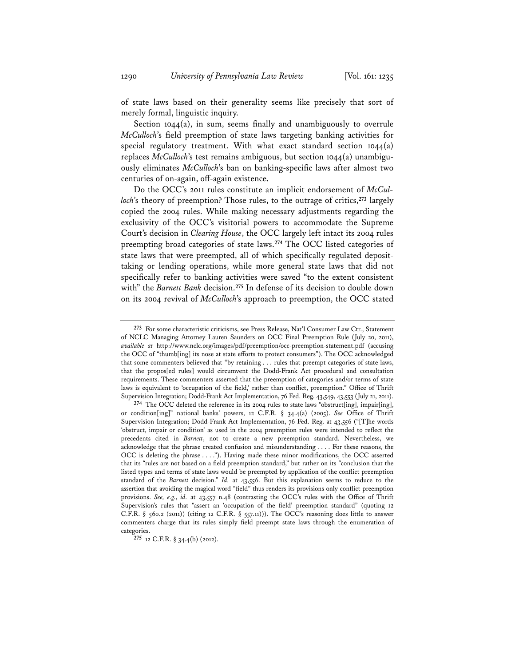of state laws based on their generality seems like precisely that sort of merely formal, linguistic inquiry.

Section 1044(a), in sum, seems finally and unambiguously to overrule *McCulloch*'s field preemption of state laws targeting banking activities for special regulatory treatment. With what exact standard section 1044(a) replaces *McCulloch*'s test remains ambiguous, but section 1044(a) unambiguously eliminates *McCulloch*'s ban on banking-specific laws after almost two centuries of on-again, off-again existence.

Do the OCC's 2011 rules constitute an implicit endorsement of *McCulloch*'s theory of preemption? Those rules, to the outrage of critics,**<sup>273</sup>** largely copied the 2004 rules. While making necessary adjustments regarding the exclusivity of the OCC's visitorial powers to accommodate the Supreme Court's decision in *Clearing House*, the OCC largely left intact its 2004 rules preempting broad categories of state laws.**<sup>274</sup>** The OCC listed categories of state laws that were preempted, all of which specifically regulated deposittaking or lending operations, while more general state laws that did not specifically refer to banking activities were saved "to the extent consistent with" the *Barnett Bank* decision.**<sup>275</sup>** In defense of its decision to double down on its 2004 revival of *McCulloch*'s approach to preemption, the OCC stated

**<sup>273</sup>** For some characteristic criticisms, see Press Release, Nat'l Consumer Law Ctr., Statement of NCLC Managing Attorney Lauren Saunders on OCC Final Preemption Rule (July 20, 2011), *available at* http://www.nclc.org/images/pdf/preemption/occ-preemption-statement.pdf (accusing the OCC of "thumb[ing] its nose at state efforts to protect consumers"). The OCC acknowledged that some commenters believed that "by retaining . . . rules that preempt categories of state laws, that the propos[ed rules] would circumvent the Dodd-Frank Act procedural and consultation requirements. These commenters asserted that the preemption of categories and/or terms of state laws is equivalent to 'occupation of the field,' rather than conflict, preemption." Office of Thrift Supervision Integration; Dodd-Frank Act Implementation, 76 Fed. Reg. 43,549, 43,553 (July 21, 2011).

**<sup>274</sup>** The OCC deleted the reference in its 2004 rules to state laws "obstruct[ing], impair[ing], or condition[ing]" national banks' powers, 12 C.F.R. § 34.4(a) (2005). *See* Office of Thrift Supervision Integration; Dodd-Frank Act Implementation, 76 Fed. Reg. at 43,556 ("[T]he words 'obstruct, impair or condition' as used in the 2004 preemption rules were intended to reflect the precedents cited in *Barnett*, not to create a new preemption standard. Nevertheless, we acknowledge that the phrase created confusion and misunderstanding . . . . For these reasons, the OCC is deleting the phrase . . . ."). Having made these minor modifications, the OCC asserted that its "rules are not based on a field preemption standard," but rather on its "conclusion that the listed types and terms of state laws would be preempted by application of the conflict preemption standard of the *Barnett* decision." *Id.* at 43,556. But this explanation seems to reduce to the assertion that avoiding the magical word "field" thus renders its provisions only conflict preemption provisions. *See, e.g.*, *id.* at 43,557 n.48 (contrasting the OCC's rules with the Office of Thrift Supervision's rules that "assert an 'occupation of the field' preemption standard" (quoting 12 C.F.R. § 560.2 (2011)) (citing 12 C.F.R. § 557.11)). The OCC's reasoning does little to answer commenters charge that its rules simply field preempt state laws through the enumeration of categories.

**<sup>275</sup>** 12 C.F.R. § 34.4(b) (2012).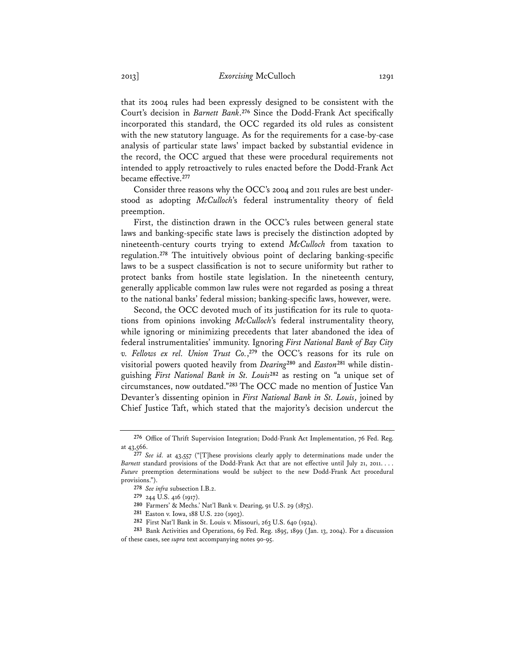that its 2004 rules had been expressly designed to be consistent with the Court's decision in *Barnett Bank*. **<sup>276</sup>** Since the Dodd-Frank Act specifically incorporated this standard, the OCC regarded its old rules as consistent with the new statutory language. As for the requirements for a case-by-case analysis of particular state laws' impact backed by substantial evidence in the record, the OCC argued that these were procedural requirements not intended to apply retroactively to rules enacted before the Dodd-Frank Act became effective.**<sup>277</sup>**

Consider three reasons why the OCC's 2004 and 2011 rules are best understood as adopting *McCulloch*'s federal instrumentality theory of field preemption.

First, the distinction drawn in the OCC's rules between general state laws and banking-specific state laws is precisely the distinction adopted by nineteenth-century courts trying to extend *McCulloch* from taxation to regulation.**<sup>278</sup>** The intuitively obvious point of declaring banking-specific laws to be a suspect classification is not to secure uniformity but rather to protect banks from hostile state legislation. In the nineteenth century, generally applicable common law rules were not regarded as posing a threat to the national banks' federal mission; banking-specific laws, however, were.

Second, the OCC devoted much of its justification for its rule to quotations from opinions invoking *McCulloch*'s federal instrumentality theory, while ignoring or minimizing precedents that later abandoned the idea of federal instrumentalities' immunity. Ignoring *First National Bank of Bay City v. Fellows ex rel. Union Trust Co.*, **<sup>279</sup>** the OCC's reasons for its rule on visitorial powers quoted heavily from *Dearing***280** and *Easton***281** while distinguishing *First National Bank in St. Louis***<sup>282</sup>** as resting on "a unique set of circumstances, now outdated."**<sup>283</sup>** The OCC made no mention of Justice Van Devanter's dissenting opinion in *First National Bank in St. Louis*, joined by Chief Justice Taft, which stated that the majority's decision undercut the

**281** Easton v. Iowa, 188 U.S. 220 (1903).

**<sup>276</sup>** Office of Thrift Supervision Integration; Dodd-Frank Act Implementation, 76 Fed. Reg. at 43,566.

**<sup>277</sup>** *See id.* at 43,557 ("[T]hese provisions clearly apply to determinations made under the *Barnett* standard provisions of the Dodd-Frank Act that are not effective until July 21, 2011. . . . *Future* preemption determinations would be subject to the new Dodd-Frank Act procedural provisions.").

**<sup>278</sup>** *See infra* subsection I.B.2.

**<sup>279</sup>** 244 U.S. 416 (1917).

**<sup>280</sup>** Farmers' & Mechs.' Nat'l Bank v. Dearing, 91 U.S. 29 (1875).

**<sup>282</sup>** First Nat'l Bank in St. Louis v. Missouri, 263 U.S. 640 (1924).

**<sup>283</sup>** Bank Activities and Operations, 69 Fed. Reg. 1895, 1899 (Jan. 13, 2004). For a discussion of these cases, see *supra* text accompanying notes 90-95.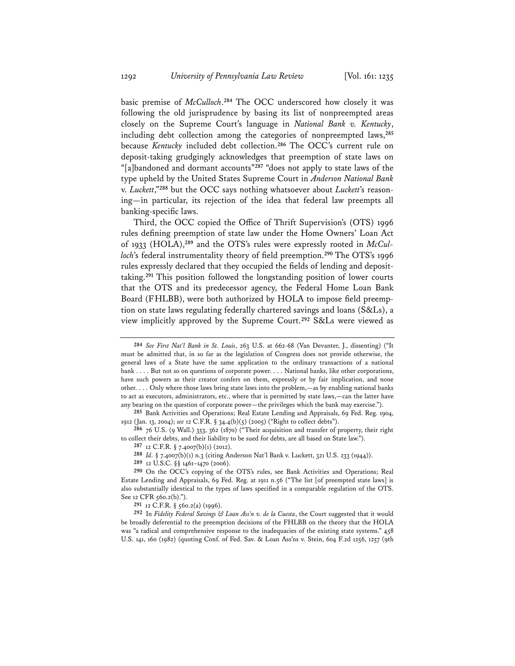basic premise of *McCulloch*. **<sup>284</sup>** The OCC underscored how closely it was following the old jurisprudence by basing its list of nonpreempted areas closely on the Supreme Court's language in *National Bank v. Kentucky*, including debt collection among the categories of nonpreempted laws,**<sup>285</sup>** because *Kentucky* included debt collection.**<sup>286</sup>** The OCC's current rule on deposit-taking grudgingly acknowledges that preemption of state laws on "[a]bandoned and dormant accounts"**<sup>287</sup>** "does not apply to state laws of the type upheld by the United States Supreme Court in *Anderson National Bank* v. *Luckett*,"**288** but the OCC says nothing whatsoever about *Luckett*'s reasoning—in particular, its rejection of the idea that federal law preempts all banking-specific laws.

Third, the OCC copied the Office of Thrift Supervision's (OTS) 1996 rules defining preemption of state law under the Home Owners' Loan Act of 1933 (HOLA),**289** and the OTS's rules were expressly rooted in *McCulloch*'s federal instrumentality theory of field preemption.**<sup>290</sup>** The OTS's 1996 rules expressly declared that they occupied the fields of lending and deposittaking.**<sup>291</sup>** This position followed the longstanding position of lower courts that the OTS and its predecessor agency, the Federal Home Loan Bank Board (FHLBB), were both authorized by HOLA to impose field preemption on state laws regulating federally chartered savings and loans (S&Ls), a view implicitly approved by the Supreme Court.**<sup>292</sup>** S&Ls were viewed as

**285** Bank Activities and Operations; Real Estate Lending and Appraisals, 69 Fed. Reg. 1904, 1912 (Jan. 13, 2004); *see* 12 C.F.R. § 34.4(b)(5) (2005) ("Right to collect debts").

**286** 76 U.S. (9 Wall.) 353, 362 (1870) ("Their acquisition and transfer of property, their right to collect their debts, and their liability to be sued for debts, are all based on State law.").

**287** 12 C.F.R. § 7.4007(b)(1) (2012).

**288** *Id.* § 7.4007(b)(1) n.3 (citing Anderson Nat'l Bank v. Luckett, 321 U.S. 233 (1944)).

**289** 12 U.S.C. §§ 1461–1470 (2006).

**290** On the OCC's copying of the OTS's rules, see Bank Activities and Operations; Real Estate Lending and Appraisals, 69 Fed. Reg. at 1911 n.56 ("The list [of preempted state laws] is also substantially identical to the types of laws specified in a comparable regulation of the OTS. See 12 CFR 560.2(b).").

**291** 12 C.F.R. § 560.2(a) (1996).

**292** In *Fidelity Federal Savings & Loan Ass'n v. de la Cuesta*, the Court suggested that it would be broadly deferential to the preemption decisions of the FHLBB on the theory that the HOLA was "a radical and comprehensive response to the inadequacies of the existing state systems." 458 U.S. 141, 160 (1982) (quoting Conf. of Fed. Sav. & Loan Ass'ns v. Stein, 604 F.2d 1256, 1257 (9th

**<sup>284</sup>** *See First Nat'l Bank in St. Louis*, 263 U.S. at 662-68 (Van Devanter, J., dissenting) ("It must be admitted that, in so far as the legislation of Congress does not provide otherwise, the general laws of a State have the same application to the ordinary transactions of a national bank . . . . But not so on questions of corporate power. . . . National banks, like other corporations, have such powers as their creator confers on them, expressly or by fair implication, and none other. . . . Only where those laws bring state laws into the problem,—as by enabling national banks to act as executors, administrators, etc., where that is permitted by state laws,—can the latter have any bearing on the question of corporate power—the privileges which the bank may exercise.").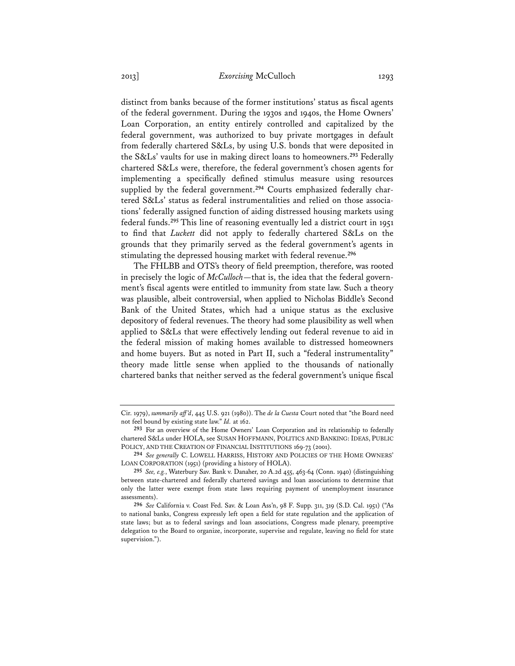distinct from banks because of the former institutions' status as fiscal agents of the federal government. During the 1930s and 1940s, the Home Owners' Loan Corporation, an entity entirely controlled and capitalized by the federal government, was authorized to buy private mortgages in default from federally chartered S&Ls, by using U.S. bonds that were deposited in the S&Ls' vaults for use in making direct loans to homeowners.**<sup>293</sup>** Federally chartered S&Ls were, therefore, the federal government's chosen agents for implementing a specifically defined stimulus measure using resources supplied by the federal government.<sup>294</sup> Courts emphasized federally chartered S&Ls' status as federal instrumentalities and relied on those associations' federally assigned function of aiding distressed housing markets using federal funds.**<sup>295</sup>** This line of reasoning eventually led a district court in 1951 to find that *Luckett* did not apply to federally chartered S&Ls on the grounds that they primarily served as the federal government's agents in stimulating the depressed housing market with federal revenue.**<sup>296</sup>**

The FHLBB and OTS's theory of field preemption, therefore, was rooted in precisely the logic of *McCulloch*—that is, the idea that the federal government's fiscal agents were entitled to immunity from state law. Such a theory was plausible, albeit controversial, when applied to Nicholas Biddle's Second Bank of the United States, which had a unique status as the exclusive depository of federal revenues. The theory had some plausibility as well when applied to S&Ls that were effectively lending out federal revenue to aid in the federal mission of making homes available to distressed homeowners and home buyers. But as noted in Part II, such a "federal instrumentality" theory made little sense when applied to the thousands of nationally chartered banks that neither served as the federal government's unique fiscal

Cir. 1979), *summarily aff 'd*, 445 U.S. 921 (1980)). The *de la Cuesta* Court noted that "the Board need not feel bound by existing state law." *Id.* at 162.

**<sup>293</sup>** For an overview of the Home Owners' Loan Corporation and its relationship to federally chartered S&Ls under HOLA, see SUSAN HOFFMANN, POLITICS AND BANKING: IDEAS, PUBLIC POLICY, AND THE CREATION OF FINANCIAL INSTITUTIONS 169-73 (2001).

**<sup>294</sup>** *See generally* C. LOWELL HARRISS, HISTORY AND POLICIES OF THE HOME OWNERS' LOAN CORPORATION (1951) (providing a history of HOLA).

**<sup>295</sup>** *See, e.g.*, Waterbury Sav. Bank v. Danaher, 20 A.2d 455, 463-64 (Conn. 1940) (distinguishing between state-chartered and federally chartered savings and loan associations to determine that only the latter were exempt from state laws requiring payment of unemployment insurance assessments).

**<sup>296</sup>** *See* California v. Coast Fed. Sav. & Loan Ass'n, 98 F. Supp. 311, 319 (S.D. Cal. 1951) ("As to national banks, Congress expressly left open a field for state regulation and the application of state laws; but as to federal savings and loan associations, Congress made plenary, preemptive delegation to the Board to organize, incorporate, supervise and regulate, leaving no field for state supervision.").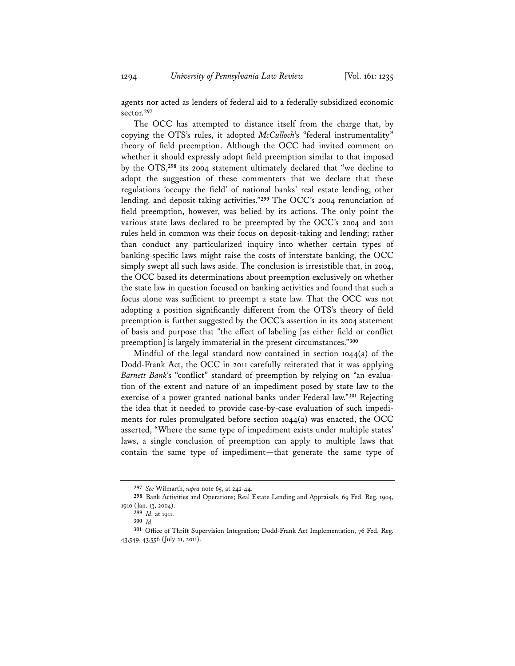agents nor acted as lenders of federal aid to a federally subsidized economic sector.**<sup>297</sup>**

The OCC has attempted to distance itself from the charge that, by copying the OTS's rules, it adopted *McCulloch*'s "federal instrumentality" theory of field preemption. Although the OCC had invited comment on whether it should expressly adopt field preemption similar to that imposed by the OTS,**<sup>298</sup>** its 2004 statement ultimately declared that "we decline to adopt the suggestion of these commenters that we declare that these regulations 'occupy the field' of national banks' real estate lending, other lending, and deposit-taking activities."**<sup>299</sup>** The OCC's 2004 renunciation of field preemption, however, was belied by its actions. The only point the various state laws declared to be preempted by the OCC's 2004 and 2011 rules held in common was their focus on deposit-taking and lending; rather than conduct any particularized inquiry into whether certain types of banking-specific laws might raise the costs of interstate banking, the OCC simply swept all such laws aside. The conclusion is irresistible that, in 2004, the OCC based its determinations about preemption exclusively on whether the state law in question focused on banking activities and found that such a focus alone was sufficient to preempt a state law. That the OCC was not adopting a position significantly different from the OTS's theory of field preemption is further suggested by the OCC's assertion in its 2004 statement of basis and purpose that "the effect of labeling [as either field or conflict preemption] is largely immaterial in the present circumstances."**<sup>300</sup>**

Mindful of the legal standard now contained in section 1044(a) of the Dodd-Frank Act, the OCC in 2011 carefully reiterated that it was applying *Barnett Bank*'s "conflict" standard of preemption by relying on "an evaluation of the extent and nature of an impediment posed by state law to the exercise of a power granted national banks under Federal law."**<sup>301</sup>** Rejecting the idea that it needed to provide case-by-case evaluation of such impediments for rules promulgated before section 1044(a) was enacted, the OCC asserted, "Where the same type of impediment exists under multiple states' laws, a single conclusion of preemption can apply to multiple laws that contain the same type of impediment—that generate the same type of

**<sup>297</sup>** *See* Wilmarth, *supra* note 65, at 242-44.

**<sup>298</sup>** Bank Activities and Operations; Real Estate Lending and Appraisals, 69 Fed. Reg. 1904, 1910 (Jan. 13, 2004).

**<sup>299</sup>** *Id.* at 1911.

**<sup>300</sup>** *Id.*

**<sup>301</sup>** Office of Thrift Supervision Integration; Dodd-Frank Act Implementation, 76 Fed. Reg. 43,549, 43,556 (July 21, 2011).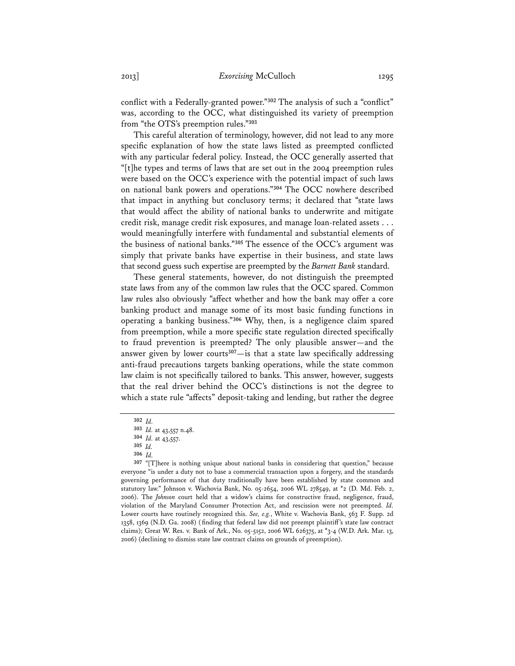conflict with a Federally-granted power."**<sup>302</sup>** The analysis of such a "conflict" was, according to the OCC, what distinguished its variety of preemption from "the OTS's preemption rules."**<sup>303</sup>**

This careful alteration of terminology, however, did not lead to any more specific explanation of how the state laws listed as preempted conflicted with any particular federal policy. Instead, the OCC generally asserted that "[t]he types and terms of laws that are set out in the 2004 preemption rules were based on the OCC's experience with the potential impact of such laws on national bank powers and operations."**<sup>304</sup>** The OCC nowhere described that impact in anything but conclusory terms; it declared that "state laws that would affect the ability of national banks to underwrite and mitigate credit risk, manage credit risk exposures, and manage loan-related assets . . . would meaningfully interfere with fundamental and substantial elements of the business of national banks."**<sup>305</sup>** The essence of the OCC's argument was simply that private banks have expertise in their business, and state laws that second guess such expertise are preempted by the *Barnett Bank* standard.

These general statements, however, do not distinguish the preempted state laws from any of the common law rules that the OCC spared. Common law rules also obviously "affect whether and how the bank may offer a core banking product and manage some of its most basic funding functions in operating a banking business."**<sup>306</sup>** Why, then, is a negligence claim spared from preemption, while a more specific state regulation directed specifically to fraud prevention is preempted? The only plausible answer—and the answer given by lower courts**<sup>307</sup>**—is that a state law specifically addressing anti-fraud precautions targets banking operations, while the state common law claim is not specifically tailored to banks. This answer, however, suggests that the real driver behind the OCC's distinctions is not the degree to which a state rule "affects" deposit-taking and lending, but rather the degree

**302** *Id.* **303** *Id.* at 43,557 n.48. **304** *Id.* at 43,557. **305** *Id.* **306** *Id.*

**307** "[T]here is nothing unique about national banks in considering that question," because everyone "is under a duty not to base a commercial transaction upon a forgery, and the standards governing performance of that duty traditionally have been established by state common and statutory law." Johnson v. Wachovia Bank, No. 05-2654, 2006 WL 278549, at \*2 (D. Md. Feb. 2, 2006). The *Johnson* court held that a widow's claims for constructive fraud, negligence, fraud, violation of the Maryland Consumer Protection Act, and rescission were not preempted. *Id.* Lower courts have routinely recognized this. *See, e.g.*, White v. Wachovia Bank, 563 F. Supp. 2d 1358, 1369 (N.D. Ga. 2008) (finding that federal law did not preempt plaintiff's state law contract claims); Great W. Res. v. Bank of Ark., No. 05-5152, 2006 WL 626375, at \*3-4 (W.D. Ark. Mar. 13, 2006) (declining to dismiss state law contract claims on grounds of preemption).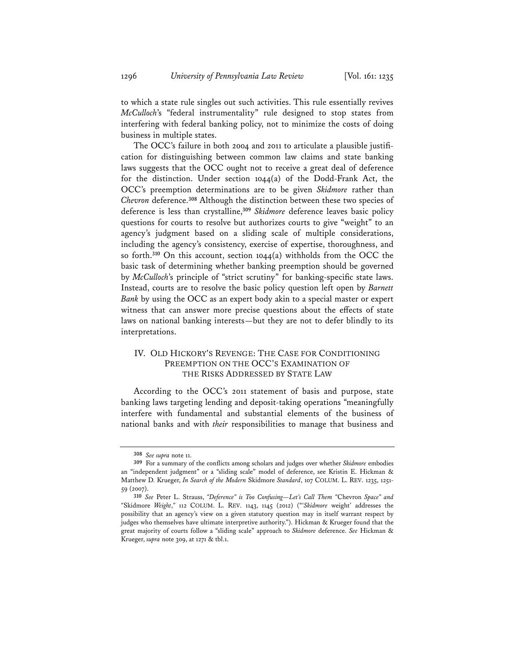to which a state rule singles out such activities. This rule essentially revives *McCulloch*'s "federal instrumentality" rule designed to stop states from interfering with federal banking policy, not to minimize the costs of doing business in multiple states.

The OCC's failure in both 2004 and 2011 to articulate a plausible justification for distinguishing between common law claims and state banking laws suggests that the OCC ought not to receive a great deal of deference for the distinction. Under section 1044(a) of the Dodd-Frank Act, the OCC's preemption determinations are to be given *Skidmore* rather than *Chevron* deference.**<sup>308</sup>** Although the distinction between these two species of deference is less than crystalline,**<sup>309</sup>** *Skidmore* deference leaves basic policy questions for courts to resolve but authorizes courts to give "weight" to an agency's judgment based on a sliding scale of multiple considerations, including the agency's consistency, exercise of expertise, thoroughness, and so forth.**<sup>310</sup>** On this account, section 1044(a) withholds from the OCC the basic task of determining whether banking preemption should be governed by *McCulloch*'s principle of "strict scrutiny" for banking-specific state laws. Instead, courts are to resolve the basic policy question left open by *Barnett Bank* by using the OCC as an expert body akin to a special master or expert witness that can answer more precise questions about the effects of state laws on national banking interests—but they are not to defer blindly to its interpretations.

## IV. OLD HICKORY'S REVENGE: THE CASE FOR CONDITIONING PREEMPTION ON THE OCC'S EXAMINATION OF THE RISKS ADDRESSED BY STATE LAW

According to the OCC's 2011 statement of basis and purpose, state banking laws targeting lending and deposit-taking operations "meaningfully interfere with fundamental and substantial elements of the business of national banks and with *their* responsibilities to manage that business and

**<sup>308</sup>** *See supra* note 11.

**<sup>309</sup>** For a summary of the conflicts among scholars and judges over whether *Skidmore* embodies an "independent judgment" or a "sliding scale" model of deference, see Kristin E. Hickman & Matthew D. Krueger, *In Search of the Modern* Skidmore *Standard*, 107 COLUM. L. REV. 1235, 1251- 59 (2007).

**<sup>310</sup>** *See* Peter L. Strauss, *"Deference" is Too Confusing—Let's Call Them "*Chevron *Space" and "*Skidmore *Weight*,*"* 112 COLUM. L. REV. 1143, 1145 (2012) ("'*Skidmore* weight' addresses the possibility that an agency's view on a given statutory question may in itself warrant respect by judges who themselves have ultimate interpretive authority."). Hickman & Krueger found that the great majority of courts follow a "sliding scale" approach to *Skidmore* deference. *See* Hickman & Krueger, *supra* note 309, at 1271 & tbl.1.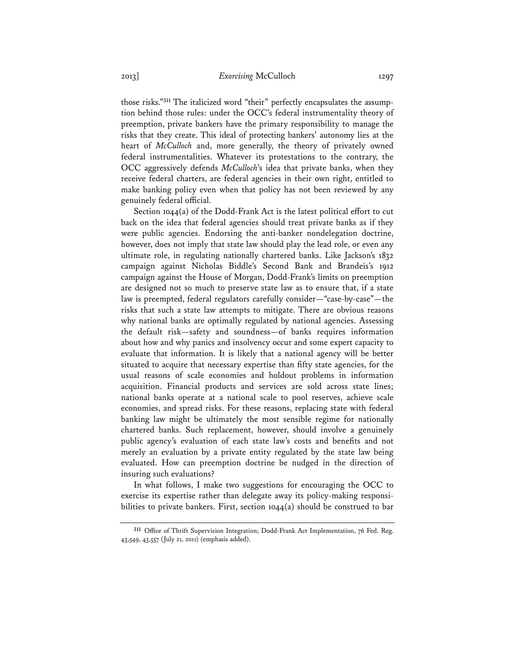those risks."**311** The italicized word "their" perfectly encapsulates the assumption behind those rules: under the OCC's federal instrumentality theory of preemption, private bankers have the primary responsibility to manage the risks that they create. This ideal of protecting bankers' autonomy lies at the heart of *McCulloch* and, more generally, the theory of privately owned federal instrumentalities. Whatever its protestations to the contrary, the OCC aggressively defends *McCulloch*'s idea that private banks, when they receive federal charters, are federal agencies in their own right, entitled to make banking policy even when that policy has not been reviewed by any genuinely federal official.

Section 1044(a) of the Dodd-Frank Act is the latest political effort to cut back on the idea that federal agencies should treat private banks as if they were public agencies. Endorsing the anti-banker nondelegation doctrine, however, does not imply that state law should play the lead role, or even any ultimate role, in regulating nationally chartered banks. Like Jackson's 1832 campaign against Nicholas Biddle's Second Bank and Brandeis's 1912 campaign against the House of Morgan, Dodd-Frank's limits on preemption are designed not so much to preserve state law as to ensure that, if a state law is preempted, federal regulators carefully consider—"case-by-case"—the risks that such a state law attempts to mitigate. There are obvious reasons why national banks are optimally regulated by national agencies. Assessing the default risk—safety and soundness—of banks requires information about how and why panics and insolvency occur and some expert capacity to evaluate that information. It is likely that a national agency will be better situated to acquire that necessary expertise than fifty state agencies, for the usual reasons of scale economies and holdout problems in information acquisition. Financial products and services are sold across state lines; national banks operate at a national scale to pool reserves, achieve scale economies, and spread risks. For these reasons, replacing state with federal banking law might be ultimately the most sensible regime for nationally chartered banks. Such replacement, however, should involve a genuinely public agency's evaluation of each state law's costs and benefits and not merely an evaluation by a private entity regulated by the state law being evaluated. How can preemption doctrine be nudged in the direction of insuring such evaluations?

In what follows, I make two suggestions for encouraging the OCC to exercise its expertise rather than delegate away its policy-making responsibilities to private bankers. First, section 1044(a) should be construed to bar

**<sup>311</sup>** Office of Thrift Supervision Integration; Dodd-Frank Act Implementation, 76 Fed. Reg. 43,549, 43,557 (July 21, 2011) (emphasis added).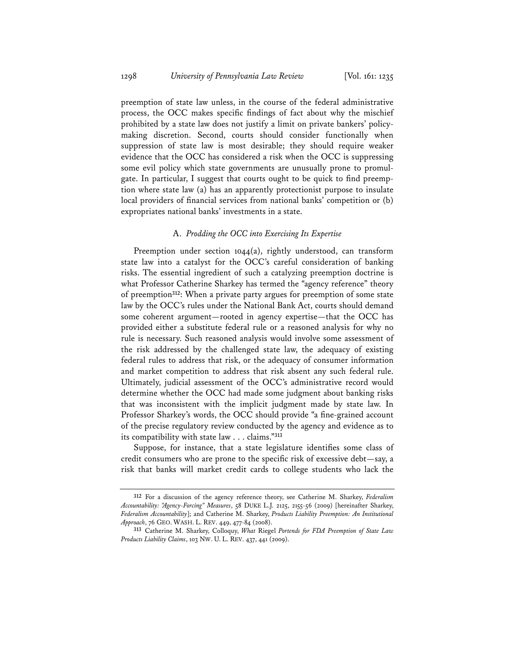preemption of state law unless, in the course of the federal administrative process, the OCC makes specific findings of fact about why the mischief prohibited by a state law does not justify a limit on private bankers' policymaking discretion. Second, courts should consider functionally when suppression of state law is most desirable; they should require weaker evidence that the OCC has considered a risk when the OCC is suppressing some evil policy which state governments are unusually prone to promulgate. In particular, I suggest that courts ought to be quick to find preemption where state law (a) has an apparently protectionist purpose to insulate local providers of financial services from national banks' competition or (b) expropriates national banks' investments in a state.

#### A. *Prodding the OCC into Exercising Its Expertise*

Preemption under section 1044(a), rightly understood, can transform state law into a catalyst for the OCC's careful consideration of banking risks. The essential ingredient of such a catalyzing preemption doctrine is what Professor Catherine Sharkey has termed the "agency reference" theory of preemption**<sup>312</sup>**: When a private party argues for preemption of some state law by the OCC's rules under the National Bank Act, courts should demand some coherent argument—rooted in agency expertise—that the OCC has provided either a substitute federal rule or a reasoned analysis for why no rule is necessary. Such reasoned analysis would involve some assessment of the risk addressed by the challenged state law, the adequacy of existing federal rules to address that risk, or the adequacy of consumer information and market competition to address that risk absent any such federal rule. Ultimately, judicial assessment of the OCC's administrative record would determine whether the OCC had made some judgment about banking risks that was inconsistent with the implicit judgment made by state law. In Professor Sharkey's words, the OCC should provide "a fine-grained account of the precise regulatory review conducted by the agency and evidence as to its compatibility with state law . . . claims."**<sup>313</sup>**

Suppose, for instance, that a state legislature identifies some class of credit consumers who are prone to the specific risk of excessive debt—say, a risk that banks will market credit cards to college students who lack the

**<sup>312</sup>** For a discussion of the agency reference theory, see Catherine M. Sharkey, *Federalism Accountability: "Agency-Forcing" Measures*, 58 DUKE L.J. 2125, 2155-56 (2009) [hereinafter Sharkey, *Federalism Accountability*]; and Catherine M. Sharkey, *Products Liability Preemption: An Institutional Approach*, 76 GEO. WASH. L. REV. 449, 477-84 (2008).

**<sup>313</sup>** Catherine M. Sharkey, Colloquy, *What* Riegel *Portends for FDA Preemption of State Law Products Liability Claims*, 103 NW. U. L. REV. 437, 441 (2009).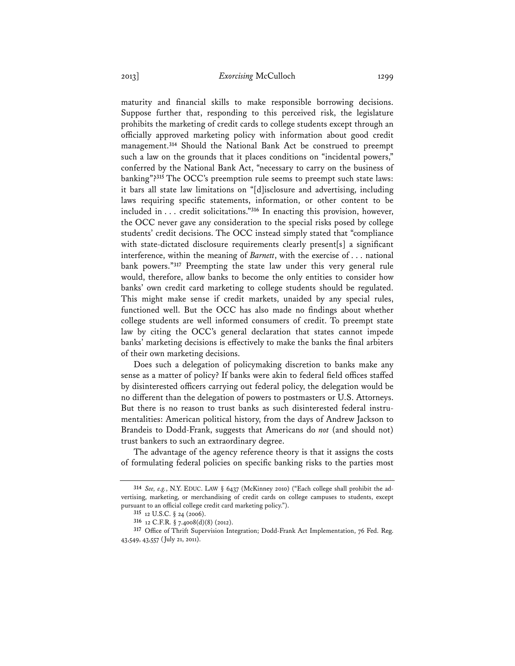maturity and financial skills to make responsible borrowing decisions. Suppose further that, responding to this perceived risk, the legislature prohibits the marketing of credit cards to college students except through an officially approved marketing policy with information about good credit management.**<sup>314</sup>** Should the National Bank Act be construed to preempt such a law on the grounds that it places conditions on "incidental powers," conferred by the National Bank Act, "necessary to carry on the business of banking"?**<sup>315</sup>** The OCC's preemption rule seems to preempt such state laws: it bars all state law limitations on "[d]isclosure and advertising, including laws requiring specific statements, information, or other content to be included in . . . credit solicitations."**<sup>316</sup>** In enacting this provision, however, the OCC never gave any consideration to the special risks posed by college students' credit decisions. The OCC instead simply stated that "compliance with state-dictated disclosure requirements clearly present[s] a significant interference, within the meaning of *Barnett*, with the exercise of . . . national bank powers."**<sup>317</sup>** Preempting the state law under this very general rule would, therefore, allow banks to become the only entities to consider how banks' own credit card marketing to college students should be regulated. This might make sense if credit markets, unaided by any special rules, functioned well. But the OCC has also made no findings about whether college students are well informed consumers of credit. To preempt state law by citing the OCC's general declaration that states cannot impede banks' marketing decisions is effectively to make the banks the final arbiters of their own marketing decisions.

Does such a delegation of policymaking discretion to banks make any sense as a matter of policy? If banks were akin to federal field offices staffed by disinterested officers carrying out federal policy, the delegation would be no different than the delegation of powers to postmasters or U.S. Attorneys. But there is no reason to trust banks as such disinterested federal instrumentalities: American political history, from the days of Andrew Jackson to Brandeis to Dodd-Frank, suggests that Americans do *not* (and should not) trust bankers to such an extraordinary degree.

The advantage of the agency reference theory is that it assigns the costs of formulating federal policies on specific banking risks to the parties most

**<sup>314</sup>** *See, e.g.*, N.Y. EDUC. LAW § 6437 (McKinney 2010) ("Each college shall prohibit the advertising, marketing, or merchandising of credit cards on college campuses to students, except pursuant to an official college credit card marketing policy.").

**<sup>315</sup>** 12 U.S.C. § 24 (2006).

**<sup>316</sup>** 12 C.F.R. § 7.4008(d)(8) (2012).

**<sup>317</sup>** Office of Thrift Supervision Integration; Dodd-Frank Act Implementation, 76 Fed. Reg. 43,549, 43,557 (July 21, 2011).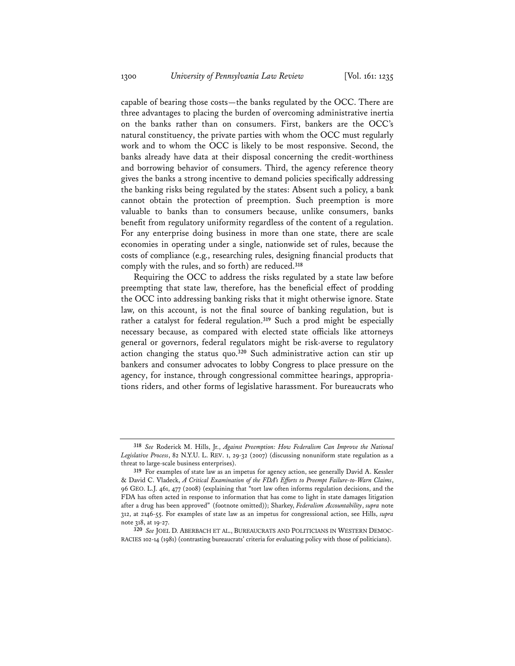capable of bearing those costs—the banks regulated by the OCC. There are three advantages to placing the burden of overcoming administrative inertia on the banks rather than on consumers. First, bankers are the OCC's natural constituency, the private parties with whom the OCC must regularly work and to whom the OCC is likely to be most responsive. Second, the banks already have data at their disposal concerning the credit-worthiness and borrowing behavior of consumers. Third, the agency reference theory gives the banks a strong incentive to demand policies specifically addressing the banking risks being regulated by the states: Absent such a policy, a bank cannot obtain the protection of preemption. Such preemption is more valuable to banks than to consumers because, unlike consumers, banks benefit from regulatory uniformity regardless of the content of a regulation. For any enterprise doing business in more than one state, there are scale economies in operating under a single, nationwide set of rules, because the costs of compliance (e.g., researching rules, designing financial products that comply with the rules, and so forth) are reduced.**<sup>318</sup>**

Requiring the OCC to address the risks regulated by a state law before preempting that state law, therefore, has the beneficial effect of prodding the OCC into addressing banking risks that it might otherwise ignore. State law, on this account, is not the final source of banking regulation, but is rather a catalyst for federal regulation.**<sup>319</sup>** Such a prod might be especially necessary because, as compared with elected state officials like attorneys general or governors, federal regulators might be risk-averse to regulatory action changing the status quo.**<sup>320</sup>** Such administrative action can stir up bankers and consumer advocates to lobby Congress to place pressure on the agency, for instance, through congressional committee hearings, appropriations riders, and other forms of legislative harassment. For bureaucrats who

**<sup>318</sup>** *See* Roderick M. Hills, Jr., *Against Preemption: How Federalism Can Improve the National Legislative Process*, 82 N.Y.U. L. REV. 1, 29-32 (2007) (discussing nonuniform state regulation as a threat to large-scale business enterprises).

**<sup>319</sup>** For examples of state law as an impetus for agency action, see generally David A. Kessler & David C. Vladeck, *A Critical Examination of the FDA's Efforts to Preempt Failure-to-Warn Claims*, 96 GEO. L.J. 461, 477 (2008) (explaining that "tort law often informs regulation decisions, and the FDA has often acted in response to information that has come to light in state damages litigation after a drug has been approved" (footnote omitted)); Sharkey, *Federalism Accountability*, *supra* note 312, at 2146-55. For examples of state law as an impetus for congressional action, see Hills, *supra* note 318, at 19-27.

**<sup>320</sup>** *See* JOEL D. ABERBACH ET AL., BUREAUCRATS AND POLITICIANS IN WESTERN DEMOC-RACIES 102-14 (1981) (contrasting bureaucrats' criteria for evaluating policy with those of politicians).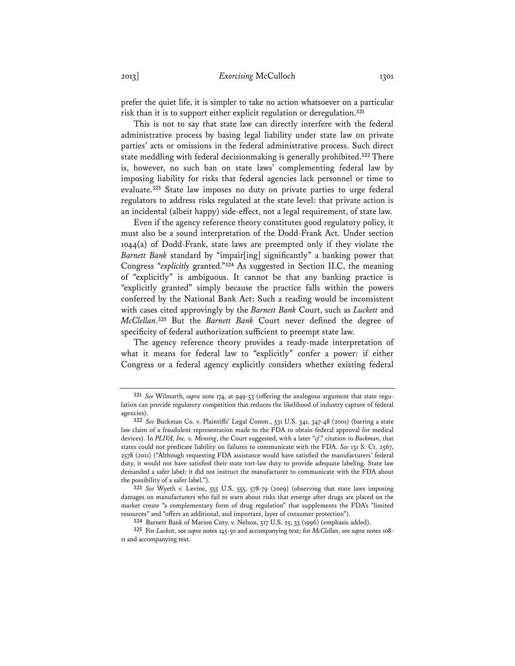prefer the quiet life, it is simpler to take no action whatsoever on a particular risk than it is to support either explicit regulation or deregulation.**<sup>321</sup>**

This is not to say that state law can directly interfere with the federal administrative process by basing legal liability under state law on private parties' acts or omissions in the federal administrative process. Such direct state meddling with federal decisionmaking is generally prohibited.**<sup>322</sup>** There is, however, no such ban on state laws' complementing federal law by imposing liability for risks that federal agencies lack personnel or time to evaluate.**<sup>323</sup>** State law imposes no duty on private parties to urge federal regulators to address risks regulated at the state level: that private action is an incidental (albeit happy) side-effect, not a legal requirement, of state law.

Even if the agency reference theory constitutes good regulatory policy, it must also be a sound interpretation of the Dodd-Frank Act. Under section 1044(a) of Dodd-Frank, state laws are preempted only if they violate the *Barnett Bank* standard by "impair[ing] significantly" a banking power that Congress "*explicitly* granted."**<sup>324</sup>** As suggested in Section II.C, the meaning of "explicitly" is ambiguous. It cannot be that any banking practice is "explicitly granted" simply because the practice falls within the powers conferred by the National Bank Act: Such a reading would be inconsistent with cases cited approvingly by the *Barnett Bank* Court, such as *Luckett* and *McClellan*. **<sup>325</sup>** But the *Barnett Bank* Court never defined the degree of specificity of federal authorization sufficient to preempt state law.

The agency reference theory provides a ready-made interpretation of what it means for federal law to "explicitly" confer a power: if either Congress or a federal agency explicitly considers whether existing federal

**<sup>321</sup>** *See* Wilmarth, *supra* note 174, at 949-53 (offering the analogous argument that state regulation can provide regulatory competition that reduces the likelihood of industry capture of federal agencies).

**<sup>322</sup>** *See* Buckman Co. v. Plaintiffs' Legal Comm., 531 U.S. 341, 347-48 (2001) (barring a state law claim of a fraudulent representation made to the FDA to obtain federal approval for medical devices). In *PLIVA, Inc. v. Mensing*, the Court suggested, with a later "*cf*." citation to *Buckman*, that states could not predicate liability on failures to communicate with the FDA. *See* 131 S. Ct. 2567, 2578 (2011) ("Although requesting FDA assistance would have satisfied the manufacturers' federal duty, it would not have satisfied their state tort-law duty to provide adequate labeling. State law demanded a safer label; it did not instruct the manufacturer to communicate with the FDA about the possibility of a safer label.").

**<sup>323</sup>** *See* Wyeth v. Levine, 555 U.S. 555, 578-79 (2009) (observing that state laws imposing damages on manufacturers who fail to warn about risks that emerge after drugs are placed on the market create "a complementary form of drug regulation" that supplements the FDA's "limited resources" and "offers an additional, and important, layer of consumer protection").

**<sup>324</sup>** Barnett Bank of Marion Cnty. v. Nelson, 517 U.S. 25, 33 (1996) (emphasis added).

**<sup>325</sup>** For *Luckett*, see *supra* notes 145-50 and accompanying text; for *McClellan*, see *supra* notes 108- 11 and accompanying text.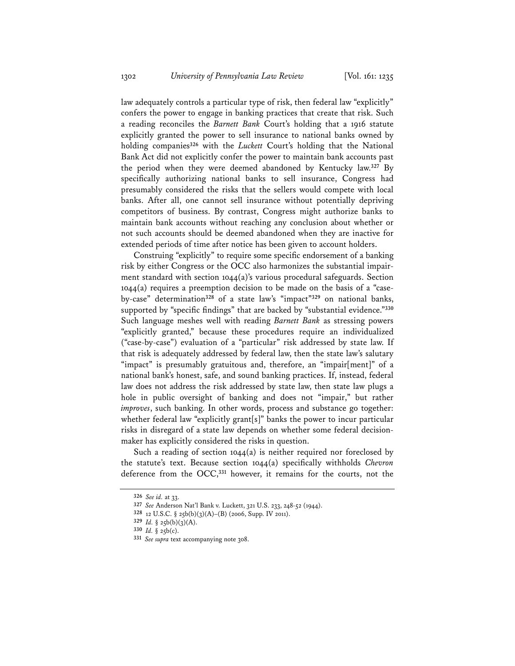law adequately controls a particular type of risk, then federal law "explicitly" confers the power to engage in banking practices that create that risk. Such a reading reconciles the *Barnett Bank* Court's holding that a 1916 statute explicitly granted the power to sell insurance to national banks owned by holding companies**<sup>326</sup>** with the *Luckett* Court's holding that the National Bank Act did not explicitly confer the power to maintain bank accounts past the period when they were deemed abandoned by Kentucky law.**<sup>327</sup>** By specifically authorizing national banks to sell insurance, Congress had presumably considered the risks that the sellers would compete with local banks. After all, one cannot sell insurance without potentially depriving competitors of business. By contrast, Congress might authorize banks to maintain bank accounts without reaching any conclusion about whether or not such accounts should be deemed abandoned when they are inactive for extended periods of time after notice has been given to account holders.

Construing "explicitly" to require some specific endorsement of a banking risk by either Congress or the OCC also harmonizes the substantial impairment standard with section 1044(a)'s various procedural safeguards. Section 1044(a) requires a preemption decision to be made on the basis of a "caseby-case" determination**<sup>328</sup>** of a state law's "impact"**<sup>329</sup>** on national banks, supported by "specific findings" that are backed by "substantial evidence."**<sup>330</sup>** Such language meshes well with reading *Barnett Bank* as stressing powers "explicitly granted," because these procedures require an individualized ("case-by-case") evaluation of a "particular" risk addressed by state law. If that risk is adequately addressed by federal law, then the state law's salutary "impact" is presumably gratuitous and, therefore, an "impair[ment]" of a national bank's honest, safe, and sound banking practices. If, instead, federal law does not address the risk addressed by state law, then state law plugs a hole in public oversight of banking and does not "impair," but rather *improves*, such banking. In other words, process and substance go together: whether federal law "explicitly grant[s]" banks the power to incur particular risks in disregard of a state law depends on whether some federal decisionmaker has explicitly considered the risks in question.

Such a reading of section  $1044(a)$  is neither required nor foreclosed by the statute's text. Because section 1044(a) specifically withholds *Chevron* deference from the OCC,**<sup>331</sup>** however, it remains for the courts, not the

**<sup>326</sup>** *See id.* at 33.

**<sup>327</sup>** *See* Anderson Nat'l Bank v. Luckett, 321 U.S. 233, 248-52 (1944).

**<sup>328</sup>** 12 U.S.C. § 25b(b)(3)(A)–(B) (2006, Supp. IV 2011).

**<sup>329</sup>** *Id.* § 25b(b)(3)(A).

**<sup>330</sup>** *Id.* § 25b(c).

**<sup>331</sup>** *See supra* text accompanying note 308.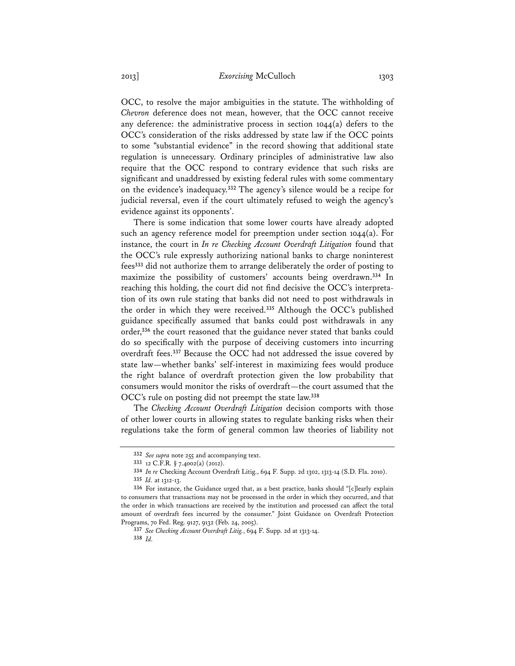OCC, to resolve the major ambiguities in the statute. The withholding of *Chevron* deference does not mean, however, that the OCC cannot receive any deference: the administrative process in section 1044(a) defers to the OCC's consideration of the risks addressed by state law if the OCC points to some "substantial evidence" in the record showing that additional state regulation is unnecessary. Ordinary principles of administrative law also require that the OCC respond to contrary evidence that such risks are significant and unaddressed by existing federal rules with some commentary on the evidence's inadequacy.**<sup>332</sup>** The agency's silence would be a recipe for judicial reversal, even if the court ultimately refused to weigh the agency's evidence against its opponents'.

There is some indication that some lower courts have already adopted such an agency reference model for preemption under section 1044(a). For instance, the court in *In re Checking Account Overdraft Litigation* found that the OCC's rule expressly authorizing national banks to charge noninterest fees**<sup>333</sup>** did not authorize them to arrange deliberately the order of posting to maximize the possibility of customers' accounts being overdrawn.**<sup>334</sup>** In reaching this holding, the court did not find decisive the OCC's interpretation of its own rule stating that banks did not need to post withdrawals in the order in which they were received.**<sup>335</sup>** Although the OCC's published guidance specifically assumed that banks could post withdrawals in any order,**<sup>336</sup>** the court reasoned that the guidance never stated that banks could do so specifically with the purpose of deceiving customers into incurring overdraft fees.**<sup>337</sup>** Because the OCC had not addressed the issue covered by state law—whether banks' self-interest in maximizing fees would produce the right balance of overdraft protection given the low probability that consumers would monitor the risks of overdraft—the court assumed that the OCC's rule on posting did not preempt the state law.**<sup>338</sup>**

The *Checking Account Overdraft Litigation* decision comports with those of other lower courts in allowing states to regulate banking risks when their regulations take the form of general common law theories of liability not

**<sup>332</sup>** *See supra* note 255 and accompanying text.

**<sup>333</sup>** 12 C.F.R. § 7.4002(a) (2012).

**<sup>334</sup>** *In re* Checking Account Overdraft Litig., 694 F. Supp. 2d 1302, 1313-14 (S.D. Fla. 2010).

**<sup>335</sup>** *Id.* at 1312-13.

**<sup>336</sup>** For instance, the Guidance urged that, as a best practice, banks should "[c]learly explain to consumers that transactions may not be processed in the order in which they occurred, and that the order in which transactions are received by the institution and processed can affect the total amount of overdraft fees incurred by the consumer." Joint Guidance on Overdraft Protection Programs, 70 Fed. Reg. 9127, 9132 (Feb. 24, 2005).

**<sup>337</sup>** *See Checking Account Overdraft Litig.*, 694 F. Supp. 2d at 1313-14. **338** *Id.*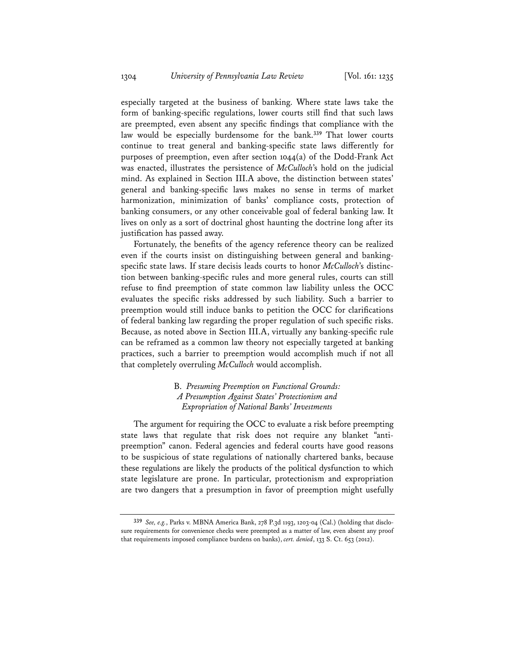especially targeted at the business of banking. Where state laws take the form of banking-specific regulations, lower courts still find that such laws are preempted, even absent any specific findings that compliance with the law would be especially burdensome for the bank.**<sup>339</sup>** That lower courts continue to treat general and banking-specific state laws differently for purposes of preemption, even after section 1044(a) of the Dodd-Frank Act was enacted, illustrates the persistence of *McCulloch*'s hold on the judicial mind. As explained in Section III.A above, the distinction between states' general and banking-specific laws makes no sense in terms of market harmonization, minimization of banks' compliance costs, protection of banking consumers, or any other conceivable goal of federal banking law. It lives on only as a sort of doctrinal ghost haunting the doctrine long after its justification has passed away.

Fortunately, the benefits of the agency reference theory can be realized even if the courts insist on distinguishing between general and bankingspecific state laws. If stare decisis leads courts to honor *McCulloch*'s distinction between banking-specific rules and more general rules, courts can still refuse to find preemption of state common law liability unless the OCC evaluates the specific risks addressed by such liability. Such a barrier to preemption would still induce banks to petition the OCC for clarifications of federal banking law regarding the proper regulation of such specific risks. Because, as noted above in Section III.A, virtually any banking-specific rule can be reframed as a common law theory not especially targeted at banking practices, such a barrier to preemption would accomplish much if not all that completely overruling *McCulloch* would accomplish.

#### B. *Presuming Preemption on Functional Grounds: A Presumption Against States' Protectionism and Expropriation of National Banks' Investments*

The argument for requiring the OCC to evaluate a risk before preempting state laws that regulate that risk does not require any blanket "antipreemption" canon. Federal agencies and federal courts have good reasons to be suspicious of state regulations of nationally chartered banks, because these regulations are likely the products of the political dysfunction to which state legislature are prone. In particular, protectionism and expropriation are two dangers that a presumption in favor of preemption might usefully

**<sup>339</sup>** *See, e.g.*, Parks v. MBNA America Bank, 278 P.3d 1193, 1203-04 (Cal.) (holding that disclosure requirements for convenience checks were preempted as a matter of law, even absent any proof that requirements imposed compliance burdens on banks), *cert. denied*, 133 S. Ct. 653 (2012).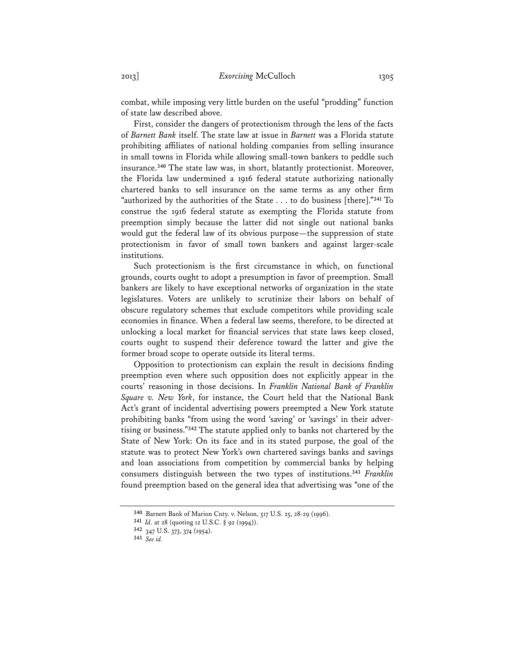combat, while imposing very little burden on the useful "prodding" function of state law described above.

First, consider the dangers of protectionism through the lens of the facts of *Barnett Bank* itself. The state law at issue in *Barnett* was a Florida statute prohibiting affiliates of national holding companies from selling insurance in small towns in Florida while allowing small-town bankers to peddle such insurance.**<sup>340</sup>** The state law was, in short, blatantly protectionist. Moreover, the Florida law undermined a 1916 federal statute authorizing nationally chartered banks to sell insurance on the same terms as any other firm "authorized by the authorities of the State . . . to do business [there]."**<sup>341</sup>** To construe the 1916 federal statute as exempting the Florida statute from preemption simply because the latter did not single out national banks would gut the federal law of its obvious purpose—the suppression of state protectionism in favor of small town bankers and against larger-scale institutions.

Such protectionism is the first circumstance in which, on functional grounds, courts ought to adopt a presumption in favor of preemption. Small bankers are likely to have exceptional networks of organization in the state legislatures. Voters are unlikely to scrutinize their labors on behalf of obscure regulatory schemes that exclude competitors while providing scale economies in finance. When a federal law seems, therefore, to be directed at unlocking a local market for financial services that state laws keep closed, courts ought to suspend their deference toward the latter and give the former broad scope to operate outside its literal terms.

Opposition to protectionism can explain the result in decisions finding preemption even where such opposition does not explicitly appear in the courts' reasoning in those decisions. In *Franklin National Bank of Franklin Square v. New York*, for instance, the Court held that the National Bank Act's grant of incidental advertising powers preempted a New York statute prohibiting banks "from using the word 'saving' or 'savings' in their advertising or business."**<sup>342</sup>** The statute applied only to banks not chartered by the State of New York: On its face and in its stated purpose, the goal of the statute was to protect New York's own chartered savings banks and savings and loan associations from competition by commercial banks by helping consumers distinguish between the two types of institutions.**<sup>343</sup>** *Franklin* found preemption based on the general idea that advertising was "one of the

**<sup>340</sup>** Barnett Bank of Marion Cnty. v. Nelson, 517 U.S. 25, 28-29 (1996).

**<sup>341</sup>** *Id.* at 28 (quoting 12 U.S.C. § 92 (1994)).

**<sup>342</sup>** 347 U.S. 373, 374 (1954).

**<sup>343</sup>** *See id.*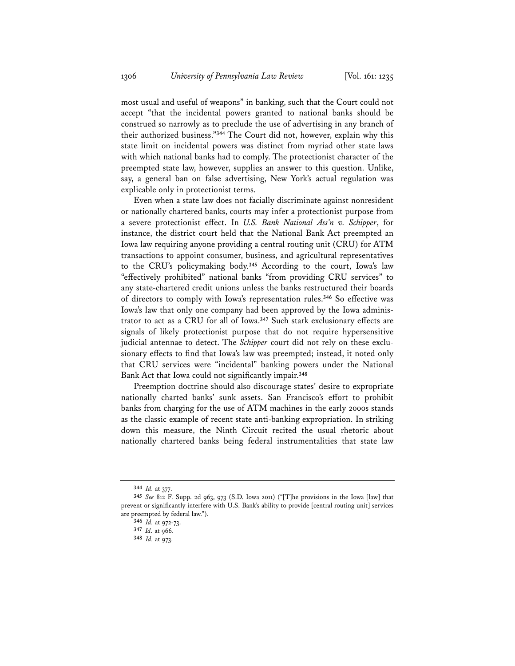most usual and useful of weapons" in banking, such that the Court could not accept "that the incidental powers granted to national banks should be construed so narrowly as to preclude the use of advertising in any branch of their authorized business."**<sup>344</sup>** The Court did not, however, explain why this state limit on incidental powers was distinct from myriad other state laws with which national banks had to comply. The protectionist character of the preempted state law, however, supplies an answer to this question. Unlike, say, a general ban on false advertising, New York's actual regulation was explicable only in protectionist terms.

Even when a state law does not facially discriminate against nonresident or nationally chartered banks, courts may infer a protectionist purpose from a severe protectionist effect. In *U.S. Bank National Ass'n v. Schipper*, for instance, the district court held that the National Bank Act preempted an Iowa law requiring anyone providing a central routing unit (CRU) for ATM transactions to appoint consumer, business, and agricultural representatives to the CRU's policymaking body.**<sup>345</sup>** According to the court, Iowa's law "effectively prohibited" national banks "from providing CRU services" to any state-chartered credit unions unless the banks restructured their boards of directors to comply with Iowa's representation rules.**<sup>346</sup>** So effective was Iowa's law that only one company had been approved by the Iowa administrator to act as a CRU for all of Iowa.**<sup>347</sup>** Such stark exclusionary effects are signals of likely protectionist purpose that do not require hypersensitive judicial antennae to detect. The *Schipper* court did not rely on these exclusionary effects to find that Iowa's law was preempted; instead, it noted only that CRU services were "incidental" banking powers under the National Bank Act that Iowa could not significantly impair.**<sup>348</sup>**

Preemption doctrine should also discourage states' desire to expropriate nationally charted banks' sunk assets. San Francisco's effort to prohibit banks from charging for the use of ATM machines in the early 2000s stands as the classic example of recent state anti-banking expropriation. In striking down this measure, the Ninth Circuit recited the usual rhetoric about nationally chartered banks being federal instrumentalities that state law

**<sup>344</sup>** *Id.* at 377.

**<sup>345</sup>** *See* 812 F. Supp. 2d 963, 973 (S.D. Iowa 2011) ("[T]he provisions in the Iowa [law] that prevent or significantly interfere with U.S. Bank's ability to provide [central routing unit] services are preempted by federal law.").

**<sup>346</sup>** *Id.* at 972-73.

**<sup>347</sup>** *Id.* at 966.

**<sup>348</sup>** *Id.* at 973.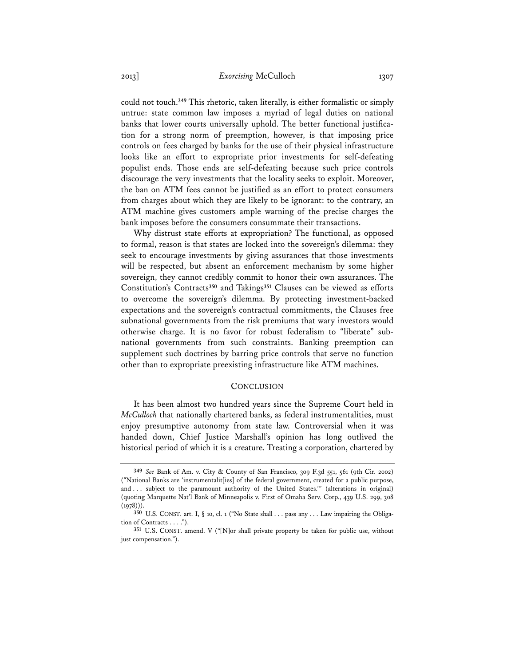could not touch.**<sup>349</sup>** This rhetoric, taken literally, is either formalistic or simply untrue: state common law imposes a myriad of legal duties on national banks that lower courts universally uphold. The better functional justification for a strong norm of preemption, however, is that imposing price controls on fees charged by banks for the use of their physical infrastructure looks like an effort to expropriate prior investments for self-defeating populist ends. Those ends are self-defeating because such price controls discourage the very investments that the locality seeks to exploit. Moreover, the ban on ATM fees cannot be justified as an effort to protect consumers from charges about which they are likely to be ignorant: to the contrary, an ATM machine gives customers ample warning of the precise charges the bank imposes before the consumers consummate their transactions.

Why distrust state efforts at expropriation? The functional, as opposed to formal, reason is that states are locked into the sovereign's dilemma: they seek to encourage investments by giving assurances that those investments will be respected, but absent an enforcement mechanism by some higher sovereign, they cannot credibly commit to honor their own assurances. The Constitution's Contracts**<sup>350</sup>** and Takings**<sup>351</sup>** Clauses can be viewed as efforts to overcome the sovereign's dilemma. By protecting investment-backed expectations and the sovereign's contractual commitments, the Clauses free subnational governments from the risk premiums that wary investors would otherwise charge. It is no favor for robust federalism to "liberate" subnational governments from such constraints. Banking preemption can supplement such doctrines by barring price controls that serve no function other than to expropriate preexisting infrastructure like ATM machines.

## **CONCLUSION**

It has been almost two hundred years since the Supreme Court held in *McCulloch* that nationally chartered banks, as federal instrumentalities, must enjoy presumptive autonomy from state law. Controversial when it was handed down, Chief Justice Marshall's opinion has long outlived the historical period of which it is a creature. Treating a corporation, chartered by

**<sup>349</sup>** *See* Bank of Am. v. City & County of San Francisco, 309 F.3d 551, 561 (9th Cir. 2002) ("National Banks are 'instrumentalit[ies] of the federal government, created for a public purpose, and . . . subject to the paramount authority of the United States.'" (alterations in original) (quoting Marquette Nat'l Bank of Minneapolis v. First of Omaha Serv. Corp., 439 U.S. 299, 308  $(1978))$ .

**<sup>350</sup>** U.S. CONST. art. I, § 10, cl. 1 ("No State shall . . . pass any . . . Law impairing the Obligation of Contracts . . . .").

**<sup>351</sup>** U.S. CONST. amend. V ("[N]or shall private property be taken for public use, without just compensation.").